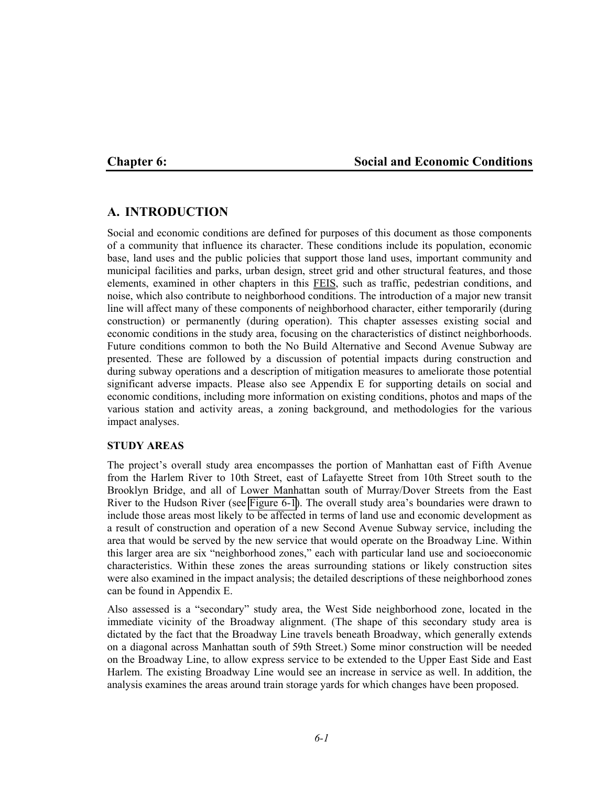#### **Chapter 6: Social and Economic Conditions**

### **A. INTRODUCTION**

Social and economic conditions are defined for purposes of this document as those components of a community that influence its character. These conditions include its population, economic base, land uses and the public policies that support those land uses, important community and municipal facilities and parks, urban design, street grid and other structural features, and those elements, examined in other chapters in this FEIS, such as traffic, pedestrian conditions, and noise, which also contribute to neighborhood conditions. The introduction of a major new transit line will affect many of these components of neighborhood character, either temporarily (during construction) or permanently (during operation). This chapter assesses existing social and economic conditions in the study area, focusing on the characteristics of distinct neighborhoods. Future conditions common to both the No Build Alternative and Second Avenue Subway are presented. These are followed by a discussion of potential impacts during construction and during subway operations and a description of mitigation measures to ameliorate those potential significant adverse impacts. Please also see Appendix E for supporting details on social and economic conditions, including more information on existing conditions, photos and maps of the various station and activity areas, a zoning background, and methodologies for the various impact analyses.

#### **STUDY AREAS**

The project's overall study area encompasses the portion of Manhattan east of Fifth Avenue from the Harlem River to 10th Street, east of Lafayette Street from 10th Street south to the Brooklyn Bridge, and all of Lower Manhattan south of Murray/Dover Streets from the East River to the Hudson River (see Figure 6-1). The overall study area's boundaries were drawn to include those areas most likely to be affected in terms of land use and economic development as a result of construction and operation of a new Second Avenue Subway service, including the area that would be served by the new service that would operate on the Broadway Line. Within this larger area are six "neighborhood zones," each with particular land use and socioeconomic characteristics. Within these zones the areas surrounding stations or likely construction sites were also examined in the impact analysis; the detailed descriptions of these neighborhood zones can be found in Appendix E.

Also assessed is a "secondary" study area, the West Side neighborhood zone, located in the immediate vicinity of the Broadway alignment. (The shape of this secondary study area is dictated by the fact that the Broadway Line travels beneath Broadway, which generally extends on a diagonal across Manhattan south of 59th Street.) Some minor construction will be needed on the Broadway Line, to allow express service to be extended to the Upper East Side and East Harlem. The existing Broadway Line would see an increase in service as well. In addition, the analysis examines the areas around train storage yards for which changes have been proposed.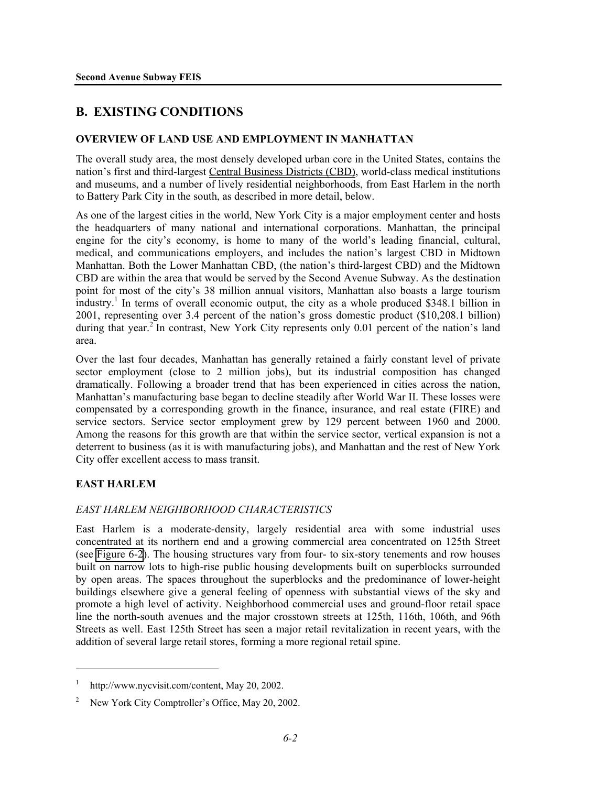# **B. EXISTING CONDITIONS**

#### **OVERVIEW OF LAND USE AND EMPLOYMENT IN MANHATTAN**

The overall study area, the most densely developed urban core in the United States, contains the nation's first and third-largest Central Business Districts (CBD), world-class medical institutions and museums, and a number of lively residential neighborhoods, from East Harlem in the north to Battery Park City in the south, as described in more detail, below.

As one of the largest cities in the world, New York City is a major employment center and hosts the headquarters of many national and international corporations. Manhattan, the principal engine for the city's economy, is home to many of the world's leading financial, cultural, medical, and communications employers, and includes the nation's largest CBD in Midtown Manhattan. Both the Lower Manhattan CBD, (the nation's third-largest CBD) and the Midtown CBD are within the area that would be served by the Second Avenue Subway. As the destination point for most of the city's 38 million annual visitors, Manhattan also boasts a large tourism  $\frac{1}{2}$  industry.<sup>1</sup> In terms of overall economic output, the city as a whole produced \$348.1 billion in 2001, representing over 3.4 percent of the nation's gross domestic product (\$10,208.1 billion) during that year.<sup>2</sup> In contrast, New York City represents only 0.01 percent of the nation's land area.

Over the last four decades, Manhattan has generally retained a fairly constant level of private sector employment (close to 2 million jobs), but its industrial composition has changed dramatically. Following a broader trend that has been experienced in cities across the nation, Manhattan's manufacturing base began to decline steadily after World War II. These losses were compensated by a corresponding growth in the finance, insurance, and real estate (FIRE) and service sectors. Service sector employment grew by 129 percent between 1960 and 2000. Among the reasons for this growth are that within the service sector, vertical expansion is not a deterrent to business (as it is with manufacturing jobs), and Manhattan and the rest of New York City offer excellent access to mass transit.

#### **EAST HARLEM**

<u>.</u>

#### *EAST HARLEM NEIGHBORHOOD CHARACTERISTICS*

East Harlem is a moderate-density, largely residential area with some industrial uses concentrated at its northern end and a growing commercial area concentrated on 125th Street (see Figure 6-2). The housing structures vary from four- to six-story tenements and row houses built on narrow lots to high-rise public housing developments built on superblocks surrounded by open areas. The spaces throughout the superblocks and the predominance of lower-height buildings elsewhere give a general feeling of openness with substantial views of the sky and promote a high level of activity. Neighborhood commercial uses and ground-floor retail space line the north-south avenues and the major crosstown streets at 125th, 116th, 106th, and 96th Streets as well. East 125th Street has seen a major retail revitalization in recent years, with the addition of several large retail stores, forming a more regional retail spine.

<sup>1</sup> http://www.nycvisit.com/content, May 20, 2002.

<sup>&</sup>lt;sup>2</sup> New York City Comptroller's Office, May 20, 2002.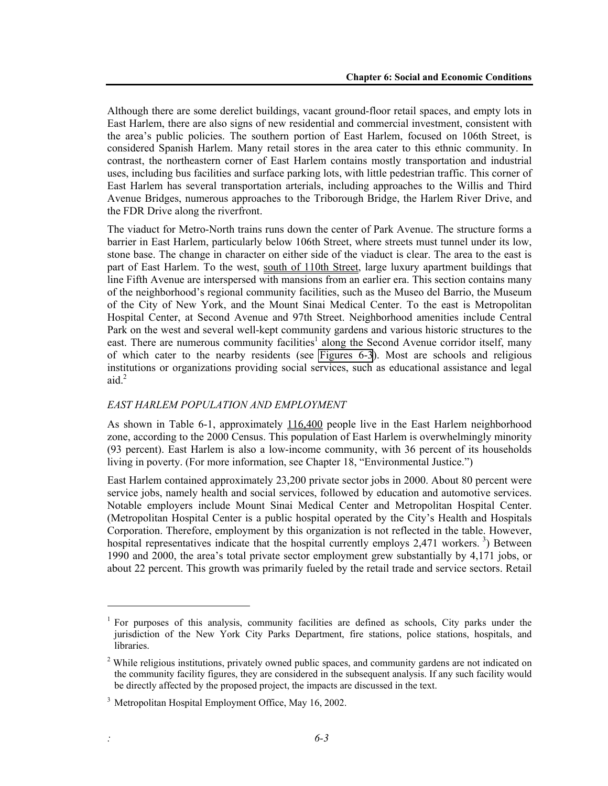Although there are some derelict buildings, vacant ground-floor retail spaces, and empty lots in East Harlem, there are also signs of new residential and commercial investment, consistent with the area's public policies. The southern portion of East Harlem, focused on 106th Street, is considered Spanish Harlem. Many retail stores in the area cater to this ethnic community. In contrast, the northeastern corner of East Harlem contains mostly transportation and industrial uses, including bus facilities and surface parking lots, with little pedestrian traffic. This corner of East Harlem has several transportation arterials, including approaches to the Willis and Third Avenue Bridges, numerous approaches to the Triborough Bridge, the Harlem River Drive, and the FDR Drive along the riverfront.

The viaduct for Metro-North trains runs down the center of Park Avenue. The structure forms a barrier in East Harlem, particularly below 106th Street, where streets must tunnel under its low, stone base. The change in character on either side of the viaduct is clear. The area to the east is part of East Harlem. To the west, south of 110th Street, large luxury apartment buildings that line Fifth Avenue are interspersed with mansions from an earlier era. This section contains many of the neighborhood's regional community facilities, such as the Museo del Barrio, the Museum of the City of New York, and the Mount Sinai Medical Center. To the east is Metropolitan Hospital Center, at Second Avenue and 97th Street. Neighborhood amenities include Central Park on the west and several well-kept community gardens and various historic structures to the east. There are numerous community facilities<sup>1</sup> along the Second Avenue corridor itself, many of which cater to the nearby residents (see Figures 6-3). Most are schools and religious institutions or organizations providing social services, such as educational assistance and legal aid. $^{2}$ 

#### *EAST HARLEM POPULATION AND EMPLOYMENT*

As shown in Table 6-1, approximately  $\underline{116,400}$  people live in the East Harlem neighborhood zone, according to the 2000 Census. This population of East Harlem is overwhelmingly minority (93 percent). East Harlem is also a low-income community, with 36 percent of its households living in poverty. (For more information, see Chapter 18, "Environmental Justice.")

East Harlem contained approximately 23,200 private sector jobs in 2000. About 80 percent were service jobs, namely health and social services, followed by education and automotive services. Notable employers include Mount Sinai Medical Center and Metropolitan Hospital Center. (Metropolitan Hospital Center is a public hospital operated by the City's Health and Hospitals Corporation. Therefore, employment by this organization is not reflected in the table. However, hospital representatives indicate that the hospital currently employs  $2,471$  workers.<sup>3</sup>) Between 1990 and 2000, the area's total private sector employment grew substantially by 4,171 jobs, or about 22 percent. This growth was primarily fueled by the retail trade and service sectors. Retail

l

<sup>&</sup>lt;sup>1</sup> For purposes of this analysis, community facilities are defined as schools, City parks under the jurisdiction of the New York City Parks Department, fire stations, police stations, hospitals, and libraries.

<sup>&</sup>lt;sup>2</sup> While religious institutions, privately owned public spaces, and community gardens are not indicated on the community facility figures, they are considered in the subsequent analysis. If any such facility would be directly affected by the proposed project, the impacts are discussed in the text.

<sup>&</sup>lt;sup>3</sup> Metropolitan Hospital Employment Office, May 16, 2002.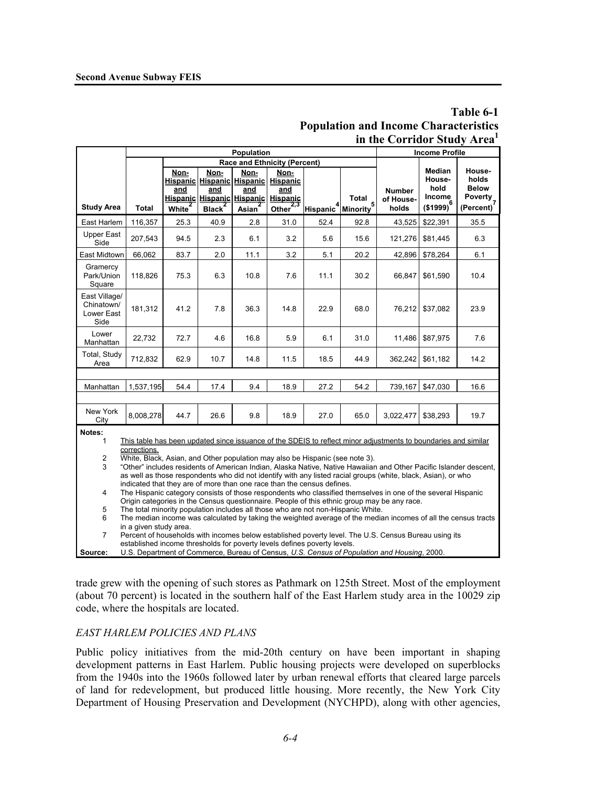|                                                                                                                                                                                                                                                                                                                                                           |                                                                                                                                                                                                                                                                                                                              |                                   |                                          |                                   |                                                                                                                        |                                             |       | in the Corridor Study Area <sup>1</sup> |                                                        |                                                                             |  |  |  |
|-----------------------------------------------------------------------------------------------------------------------------------------------------------------------------------------------------------------------------------------------------------------------------------------------------------------------------------------------------------|------------------------------------------------------------------------------------------------------------------------------------------------------------------------------------------------------------------------------------------------------------------------------------------------------------------------------|-----------------------------------|------------------------------------------|-----------------------------------|------------------------------------------------------------------------------------------------------------------------|---------------------------------------------|-------|-----------------------------------------|--------------------------------------------------------|-----------------------------------------------------------------------------|--|--|--|
|                                                                                                                                                                                                                                                                                                                                                           |                                                                                                                                                                                                                                                                                                                              | Population                        |                                          |                                   |                                                                                                                        |                                             |       |                                         |                                                        | <b>Income Profile</b>                                                       |  |  |  |
|                                                                                                                                                                                                                                                                                                                                                           | <b>Race and Ethnicity (Percent)</b>                                                                                                                                                                                                                                                                                          |                                   |                                          |                                   |                                                                                                                        |                                             |       |                                         |                                                        |                                                                             |  |  |  |
| <b>Study Area</b>                                                                                                                                                                                                                                                                                                                                         | <b>Total</b>                                                                                                                                                                                                                                                                                                                 | Non-<br>and<br>White <sup>2</sup> | Non-<br>and<br><b>Black</b> <sup>2</sup> | Non-<br>and<br>Asian <sup>2</sup> | Non-<br>Hispanic Hispanic Hispanic Hispanic<br>and<br>Hispanic Hispanic Hispanic Hispanic<br>Other $\overline{^{2,3}}$ | Hispanic <sup>4</sup> Minority <sup>5</sup> | Total | <b>Number</b><br>of House-<br>holds     | Median<br>House-<br>hold<br>Income<br>$($ \$1999) $^6$ | House-<br>holds<br><b>Below</b><br><b>Poverty</b><br>(Percent) <sup>7</sup> |  |  |  |
| East Harlem                                                                                                                                                                                                                                                                                                                                               | 116,357                                                                                                                                                                                                                                                                                                                      | 25.3                              | 40.9                                     | 2.8                               | 31.0                                                                                                                   | 52.4                                        | 92.8  | 43,525                                  | \$22,391                                               | 35.5                                                                        |  |  |  |
| <b>Upper East</b><br>Side                                                                                                                                                                                                                                                                                                                                 | 207,543                                                                                                                                                                                                                                                                                                                      | 94.5                              | 2.3                                      | 6.1                               | 3.2                                                                                                                    | 5.6                                         | 15.6  | 121,276                                 | \$81,445                                               | 6.3                                                                         |  |  |  |
| East Midtown                                                                                                                                                                                                                                                                                                                                              | 66,062                                                                                                                                                                                                                                                                                                                       | 83.7                              | 2.0                                      | 11.1                              | 3.2                                                                                                                    | 5.1                                         | 20.2  |                                         | 42,896 \$78,264                                        | 6.1                                                                         |  |  |  |
| Gramercy<br>Park/Union<br>Square                                                                                                                                                                                                                                                                                                                          | 118,826                                                                                                                                                                                                                                                                                                                      | 75.3                              | 6.3                                      | 10.8                              | 7.6                                                                                                                    | 11.1                                        | 30.2  | 66,847                                  | \$61,590                                               | 10.4                                                                        |  |  |  |
| East Village/<br>Chinatown/<br>Lower East<br>Side                                                                                                                                                                                                                                                                                                         | 181,312                                                                                                                                                                                                                                                                                                                      | 41.2                              | 7.8                                      | 36.3                              | 14.8                                                                                                                   | 22.9                                        | 68.0  | 76,212                                  | \$37,082                                               | 23.9                                                                        |  |  |  |
| Lower<br>Manhattan                                                                                                                                                                                                                                                                                                                                        | 22,732                                                                                                                                                                                                                                                                                                                       | 72.7                              | 4.6                                      | 16.8                              | 5.9                                                                                                                    | 6.1                                         | 31.0  | 11,486                                  | \$87,975                                               | 7.6                                                                         |  |  |  |
| Total, Study<br>Area                                                                                                                                                                                                                                                                                                                                      | 712,832                                                                                                                                                                                                                                                                                                                      | 62.9                              | 10.7                                     | 14.8                              | 11.5                                                                                                                   | 18.5                                        | 44.9  | 362,242                                 | \$61,182                                               | 14.2                                                                        |  |  |  |
|                                                                                                                                                                                                                                                                                                                                                           |                                                                                                                                                                                                                                                                                                                              |                                   |                                          |                                   |                                                                                                                        |                                             |       |                                         |                                                        |                                                                             |  |  |  |
| Manhattan                                                                                                                                                                                                                                                                                                                                                 | 1,537,195                                                                                                                                                                                                                                                                                                                    | 54.4                              | 17.4                                     | 9.4                               | 18.9                                                                                                                   | 27.2                                        | 54.2  | 739,167                                 | \$47,030                                               | 16.6                                                                        |  |  |  |
|                                                                                                                                                                                                                                                                                                                                                           |                                                                                                                                                                                                                                                                                                                              |                                   |                                          |                                   |                                                                                                                        |                                             |       |                                         |                                                        |                                                                             |  |  |  |
| New York<br>City                                                                                                                                                                                                                                                                                                                                          | 8,008,278                                                                                                                                                                                                                                                                                                                    | 44.7                              | 26.6                                     | 9.8                               | 18.9                                                                                                                   | 27.0                                        | 65.0  | 3,022,477                               | \$38,293                                               | 19.7                                                                        |  |  |  |
| Notes:<br>This table has been updated since issuance of the SDEIS to reflect minor adjustments to boundaries and similar<br>1                                                                                                                                                                                                                             |                                                                                                                                                                                                                                                                                                                              |                                   |                                          |                                   |                                                                                                                        |                                             |       |                                         |                                                        |                                                                             |  |  |  |
| corrections.<br>$\overline{2}$<br>White, Black, Asian, and Other population may also be Hispanic (see note 3).<br>3<br>"Other" includes residents of American Indian, Alaska Native, Native Hawaiian and Other Pacific Islander descent,<br>as well as those respondents who did not identify with any listed racial groups (white, black, Asian), or who |                                                                                                                                                                                                                                                                                                                              |                                   |                                          |                                   |                                                                                                                        |                                             |       |                                         |                                                        |                                                                             |  |  |  |
| 4                                                                                                                                                                                                                                                                                                                                                         | indicated that they are of more than one race than the census defines.<br>The Hispanic category consists of those respondents who classified themselves in one of the several Hispanic<br>Origin categories in the Census questionnaire. People of this ethnic group may be any race.                                        |                                   |                                          |                                   |                                                                                                                        |                                             |       |                                         |                                                        |                                                                             |  |  |  |
| 5                                                                                                                                                                                                                                                                                                                                                         | The total minority population includes all those who are not non-Hispanic White.                                                                                                                                                                                                                                             |                                   |                                          |                                   |                                                                                                                        |                                             |       |                                         |                                                        |                                                                             |  |  |  |
| 6<br>7                                                                                                                                                                                                                                                                                                                                                    | The median income was calculated by taking the weighted average of the median incomes of all the census tracts<br>in a given study area.<br>Percent of households with incomes below established poverty level. The U.S. Census Bureau using its<br>established income thresholds for poverty levels defines poverty levels. |                                   |                                          |                                   |                                                                                                                        |                                             |       |                                         |                                                        |                                                                             |  |  |  |
| Source:                                                                                                                                                                                                                                                                                                                                                   | U.S. Department of Commerce, Bureau of Census, U.S. Census of Population and Housing, 2000.                                                                                                                                                                                                                                  |                                   |                                          |                                   |                                                                                                                        |                                             |       |                                         |                                                        |                                                                             |  |  |  |

# **Table 6-1 Population and Income Characteristics**

trade grew with the opening of such stores as Pathmark on 125th Street. Most of the employment (about 70 percent) is located in the southern half of the East Harlem study area in the 10029 zip code, where the hospitals are located.

#### *EAST HARLEM POLICIES AND PLANS*

Public policy initiatives from the mid-20th century on have been important in shaping development patterns in East Harlem. Public housing projects were developed on superblocks from the 1940s into the 1960s followed later by urban renewal efforts that cleared large parcels of land for redevelopment, but produced little housing. More recently, the New York City Department of Housing Preservation and Development (NYCHPD), along with other agencies,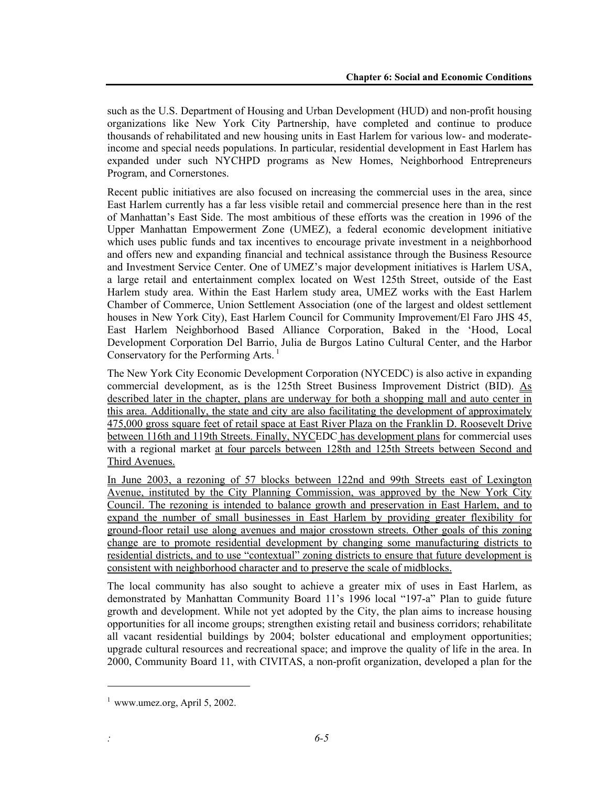such as the U.S. Department of Housing and Urban Development (HUD) and non-profit housing organizations like New York City Partnership, have completed and continue to produce thousands of rehabilitated and new housing units in East Harlem for various low- and moderateincome and special needs populations. In particular, residential development in East Harlem has expanded under such NYCHPD programs as New Homes, Neighborhood Entrepreneurs Program, and Cornerstones.

Recent public initiatives are also focused on increasing the commercial uses in the area, since East Harlem currently has a far less visible retail and commercial presence here than in the rest of Manhattan's East Side. The most ambitious of these efforts was the creation in 1996 of the Upper Manhattan Empowerment Zone (UMEZ), a federal economic development initiative which uses public funds and tax incentives to encourage private investment in a neighborhood and offers new and expanding financial and technical assistance through the Business Resource and Investment Service Center. One of UMEZ's major development initiatives is Harlem USA, a large retail and entertainment complex located on West 125th Street, outside of the East Harlem study area. Within the East Harlem study area, UMEZ works with the East Harlem Chamber of Commerce, Union Settlement Association (one of the largest and oldest settlement houses in New York City), East Harlem Council for Community Improvement/El Faro JHS 45, East Harlem Neighborhood Based Alliance Corporation, Baked in the 'Hood, Local Development Corporation Del Barrio, Julia de Burgos Latino Cultural Center, and the Harbor Conservatory for the Performing Arts. 1

The New York City Economic Development Corporation (NYCEDC) is also active in expanding commercial development, as is the 125th Street Business Improvement District (BID). As described later in the chapter, plans are underway for both a shopping mall and auto center in this area. Additionally, the state and city are also facilitating the development of approximately 475,000 gross square feet of retail space at East River Plaza on the Franklin D. Roosevelt Drive between 116th and 119th Streets. Finally, NYCEDC has development plans for commercial uses with a regional market at four parcels between 128th and 125th Streets between Second and Third Avenues.

In June 2003, a rezoning of 57 blocks between 122nd and 99th Streets east of Lexington Avenue, instituted by the City Planning Commission, was approved by the New York City Council. The rezoning is intended to balance growth and preservation in East Harlem, and to expand the number of small businesses in East Harlem by providing greater flexibility for ground-floor retail use along avenues and major crosstown streets. Other goals of this zoning change are to promote residential development by changing some manufacturing districts to residential districts, and to use "contextual" zoning districts to ensure that future development is consistent with neighborhood character and to preserve the scale of midblocks.

The local community has also sought to achieve a greater mix of uses in East Harlem, as demonstrated by Manhattan Community Board 11's 1996 local "197-a" Plan to guide future growth and development. While not yet adopted by the City, the plan aims to increase housing opportunities for all income groups; strengthen existing retail and business corridors; rehabilitate all vacant residential buildings by 2004; bolster educational and employment opportunities; upgrade cultural resources and recreational space; and improve the quality of life in the area. In 2000, Community Board 11, with CIVITAS, a non-profit organization, developed a plan for the

l

 $<sup>1</sup>$  www.umez.org, April 5, 2002.</sup>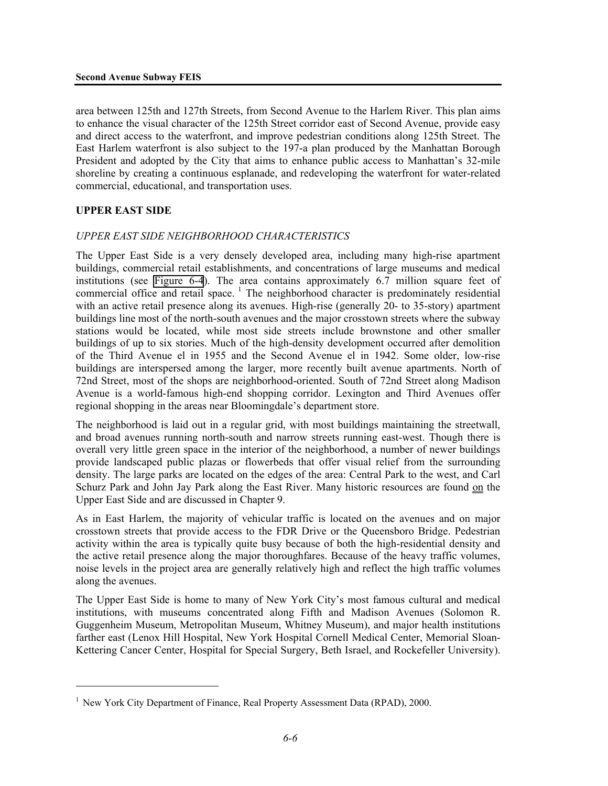area between 125th and 127th Streets, from Second Avenue to the Harlem River. This plan aims to enhance the visual character of the 125th Street corridor east of Second Avenue, provide easy and direct access to the waterfront, and improve pedestrian conditions along 125th Street. The East Harlem waterfront is also subject to the 197-a plan produced by the Manhattan Borough President and adopted by the City that aims to enhance public access to Manhattan's 32-mile shoreline by creating a continuous esplanade, and redeveloping the waterfront for water-related commercial, educational, and transportation uses.

#### **UPPER EAST SIDE**

<u>.</u>

#### *UPPER EAST SIDE NEIGHBORHOOD CHARACTERISTICS*

The Upper East Side is a very densely developed area, including many high-rise apartment buildings, commercial retail establishments, and concentrations of large museums and medical institutions (see Figure 6-4). The area contains approximately 6.7 million square feet of commercial office and retail space.<sup>1</sup> The neighborhood character is predominately residential with an active retail presence along its avenues. High-rise (generally 20- to 35-story) apartment buildings line most of the north-south avenues and the major crosstown streets where the subway stations would be located, while most side streets include brownstone and other smaller buildings of up to six stories. Much of the high-density development occurred after demolition of the Third Avenue el in 1955 and the Second Avenue el in 1942. Some older, low-rise buildings are interspersed among the larger, more recently built avenue apartments. North of 72nd Street, most of the shops are neighborhood-oriented. South of 72nd Street along Madison Avenue is a world-famous high-end shopping corridor. Lexington and Third Avenues offer regional shopping in the areas near Bloomingdale's department store.

The neighborhood is laid out in a regular grid, with most buildings maintaining the streetwall, and broad avenues running north-south and narrow streets running east-west. Though there is overall very little green space in the interior of the neighborhood, a number of newer buildings provide landscaped public plazas or flowerbeds that offer visual relief from the surrounding density. The large parks are located on the edges of the area: Central Park to the west, and Carl Schurz Park and John Jay Park along the East River. Many historic resources are found on the Upper East Side and are discussed in Chapter 9.

As in East Harlem, the majority of vehicular traffic is located on the avenues and on major crosstown streets that provide access to the FDR Drive or the Queensboro Bridge. Pedestrian activity within the area is typically quite busy because of both the high-residential density and the active retail presence along the major thoroughfares. Because of the heavy traffic volumes, noise levels in the project area are generally relatively high and reflect the high traffic volumes along the avenues.

The Upper East Side is home to many of New York City's most famous cultural and medical institutions, with museums concentrated along Fifth and Madison Avenues (Solomon R. Guggenheim Museum, Metropolitan Museum, Whitney Museum), and major health institutions farther east (Lenox Hill Hospital, New York Hospital Cornell Medical Center, Memorial Sloan-Kettering Cancer Center, Hospital for Special Surgery, Beth Israel, and Rockefeller University).

<sup>&</sup>lt;sup>1</sup> New York City Department of Finance, Real Property Assessment Data (RPAD), 2000.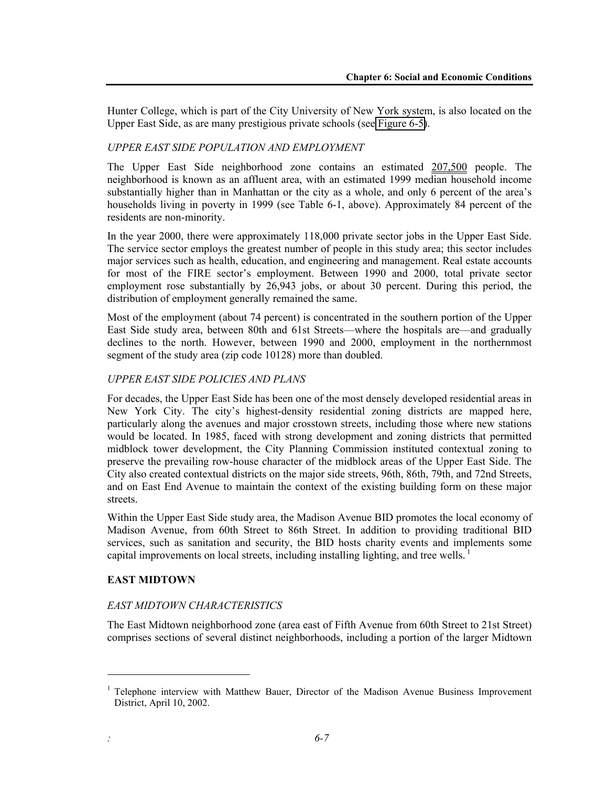Hunter College, which is part of the City University of New York system, is also located on the Upper East Side, as are many prestigious private schools (see Figure 6-5).

## *UPPER EAST SIDE POPULATION AND EMPLOYMENT*

The Upper East Side neighborhood zone contains an estimated 207,500 people. The neighborhood is known as an affluent area, with an estimated 1999 median household income substantially higher than in Manhattan or the city as a whole, and only 6 percent of the area's households living in poverty in 1999 (see Table 6-1, above). Approximately 84 percent of the residents are non-minority.

In the year 2000, there were approximately 118,000 private sector jobs in the Upper East Side. The service sector employs the greatest number of people in this study area; this sector includes major services such as health, education, and engineering and management. Real estate accounts for most of the FIRE sector's employment. Between 1990 and 2000, total private sector employment rose substantially by 26,943 jobs, or about 30 percent. During this period, the distribution of employment generally remained the same.

Most of the employment (about 74 percent) is concentrated in the southern portion of the Upper East Side study area, between 80th and 61st Streets—where the hospitals are—and gradually declines to the north. However, between 1990 and 2000, employment in the northernmost segment of the study area (zip code 10128) more than doubled.

#### *UPPER EAST SIDE POLICIES AND PLANS*

For decades, the Upper East Side has been one of the most densely developed residential areas in New York City. The city's highest-density residential zoning districts are mapped here, particularly along the avenues and major crosstown streets, including those where new stations would be located. In 1985, faced with strong development and zoning districts that permitted midblock tower development, the City Planning Commission instituted contextual zoning to preserve the prevailing row-house character of the midblock areas of the Upper East Side. The City also created contextual districts on the major side streets, 96th, 86th, 79th, and 72nd Streets, and on East End Avenue to maintain the context of the existing building form on these major streets.

Within the Upper East Side study area, the Madison Avenue BID promotes the local economy of Madison Avenue, from 60th Street to 86th Street. In addition to providing traditional BID services, such as sanitation and security, the BID hosts charity events and implements some capital improvements on local streets, including installing lighting, and tree wells.

#### **EAST MIDTOWN**

l

#### *EAST MIDTOWN CHARACTERISTICS*

The East Midtown neighborhood zone (area east of Fifth Avenue from 60th Street to 21st Street) comprises sections of several distinct neighborhoods, including a portion of the larger Midtown

<sup>&</sup>lt;sup>1</sup> Telephone interview with Matthew Bauer, Director of the Madison Avenue Business Improvement District, April 10, 2002.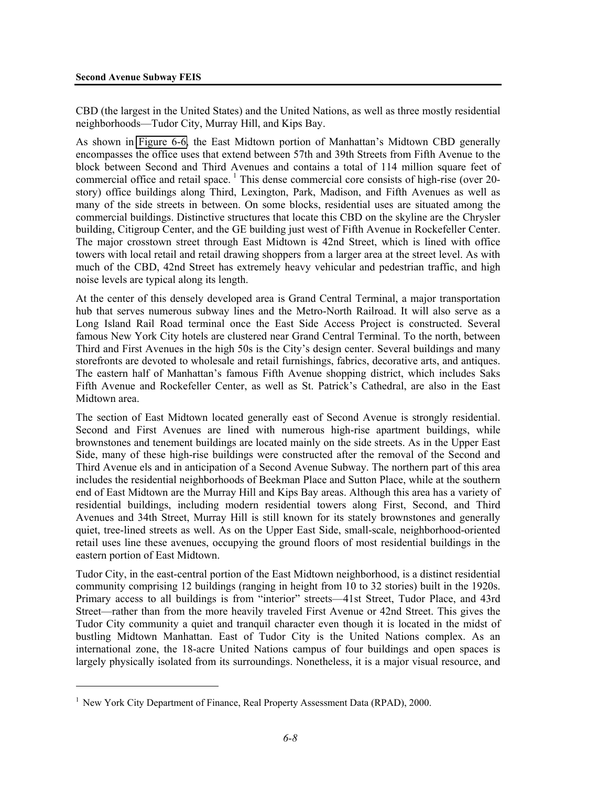CBD (the largest in the United States) and the United Nations, as well as three mostly residential neighborhoods—Tudor City, Murray Hill, and Kips Bay.

As shown in Figure 6-6, the East Midtown portion of Manhattan's Midtown CBD generally encompasses the office uses that extend between 57th and 39th Streets from Fifth Avenue to the block between Second and Third Avenues and contains a total of 114 million square feet of commercial office and retail space.<sup>1</sup> This dense commercial core consists of high-rise (over 20story) office buildings along Third, Lexington, Park, Madison, and Fifth Avenues as well as many of the side streets in between. On some blocks, residential uses are situated among the commercial buildings. Distinctive structures that locate this CBD on the skyline are the Chrysler building, Citigroup Center, and the GE building just west of Fifth Avenue in Rockefeller Center. The major crosstown street through East Midtown is 42nd Street, which is lined with office towers with local retail and retail drawing shoppers from a larger area at the street level. As with much of the CBD, 42nd Street has extremely heavy vehicular and pedestrian traffic, and high noise levels are typical along its length.

At the center of this densely developed area is Grand Central Terminal, a major transportation hub that serves numerous subway lines and the Metro-North Railroad. It will also serve as a Long Island Rail Road terminal once the East Side Access Project is constructed. Several famous New York City hotels are clustered near Grand Central Terminal. To the north, between Third and First Avenues in the high 50s is the City's design center. Several buildings and many storefronts are devoted to wholesale and retail furnishings, fabrics, decorative arts, and antiques. The eastern half of Manhattan's famous Fifth Avenue shopping district, which includes Saks Fifth Avenue and Rockefeller Center, as well as St. Patrick's Cathedral, are also in the East Midtown area.

The section of East Midtown located generally east of Second Avenue is strongly residential. Second and First Avenues are lined with numerous high-rise apartment buildings, while brownstones and tenement buildings are located mainly on the side streets. As in the Upper East Side, many of these high-rise buildings were constructed after the removal of the Second and Third Avenue els and in anticipation of a Second Avenue Subway. The northern part of this area includes the residential neighborhoods of Beekman Place and Sutton Place, while at the southern end of East Midtown are the Murray Hill and Kips Bay areas. Although this area has a variety of residential buildings, including modern residential towers along First, Second, and Third Avenues and 34th Street, Murray Hill is still known for its stately brownstones and generally quiet, tree-lined streets as well. As on the Upper East Side, small-scale, neighborhood-oriented retail uses line these avenues, occupying the ground floors of most residential buildings in the eastern portion of East Midtown.

Tudor City, in the east-central portion of the East Midtown neighborhood, is a distinct residential community comprising 12 buildings (ranging in height from 10 to 32 stories) built in the 1920s. Primary access to all buildings is from "interior" streets—41st Street, Tudor Place, and 43rd Street—rather than from the more heavily traveled First Avenue or 42nd Street. This gives the Tudor City community a quiet and tranquil character even though it is located in the midst of bustling Midtown Manhattan. East of Tudor City is the United Nations complex. As an international zone, the 18-acre United Nations campus of four buildings and open spaces is largely physically isolated from its surroundings. Nonetheless, it is a major visual resource, and

<u>.</u>

<sup>&</sup>lt;sup>1</sup> New York City Department of Finance, Real Property Assessment Data (RPAD), 2000.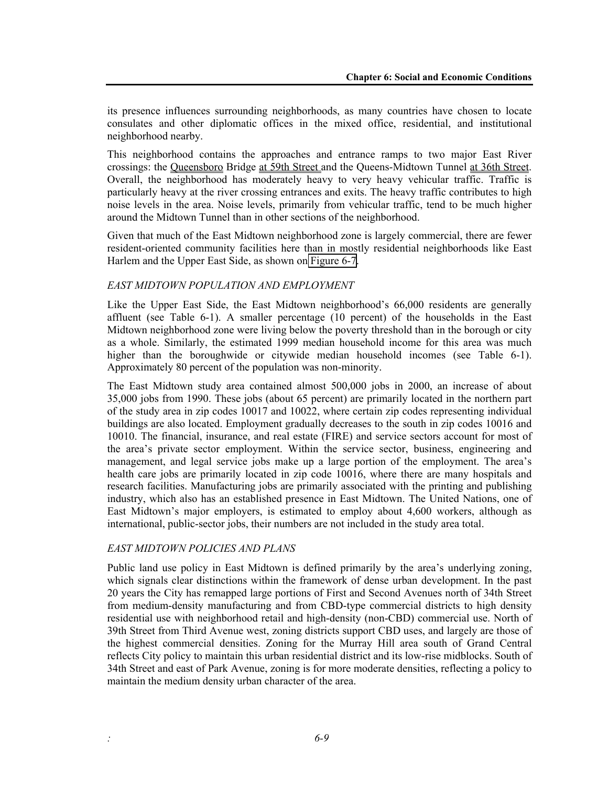its presence influences surrounding neighborhoods, as many countries have chosen to locate consulates and other diplomatic offices in the mixed office, residential, and institutional neighborhood nearby.

This neighborhood contains the approaches and entrance ramps to two major East River crossings: the Queensboro Bridge at 59th Street and the Queens-Midtown Tunnel at 36th Street. Overall, the neighborhood has moderately heavy to very heavy vehicular traffic. Traffic is particularly heavy at the river crossing entrances and exits. The heavy traffic contributes to high noise levels in the area. Noise levels, primarily from vehicular traffic, tend to be much higher around the Midtown Tunnel than in other sections of the neighborhood.

Given that much of the East Midtown neighborhood zone is largely commercial, there are fewer resident-oriented community facilities here than in mostly residential neighborhoods like East Harlem and the Upper East Side, as shown on Figure 6-7.

#### *EAST MIDTOWN POPULATION AND EMPLOYMENT*

Like the Upper East Side, the East Midtown neighborhood's 66,000 residents are generally affluent (see Table 6-1). A smaller percentage (10 percent) of the households in the East Midtown neighborhood zone were living below the poverty threshold than in the borough or city as a whole. Similarly, the estimated 1999 median household income for this area was much higher than the boroughwide or citywide median household incomes (see Table 6-1). Approximately 80 percent of the population was non-minority.

The East Midtown study area contained almost 500,000 jobs in 2000, an increase of about 35,000 jobs from 1990. These jobs (about 65 percent) are primarily located in the northern part of the study area in zip codes 10017 and 10022, where certain zip codes representing individual buildings are also located. Employment gradually decreases to the south in zip codes 10016 and 10010. The financial, insurance, and real estate (FIRE) and service sectors account for most of the area's private sector employment. Within the service sector, business, engineering and management, and legal service jobs make up a large portion of the employment. The area's health care jobs are primarily located in zip code 10016, where there are many hospitals and research facilities. Manufacturing jobs are primarily associated with the printing and publishing industry, which also has an established presence in East Midtown. The United Nations, one of East Midtown's major employers, is estimated to employ about 4,600 workers, although as international, public-sector jobs, their numbers are not included in the study area total.

#### *EAST MIDTOWN POLICIES AND PLANS*

Public land use policy in East Midtown is defined primarily by the area's underlying zoning, which signals clear distinctions within the framework of dense urban development. In the past 20 years the City has remapped large portions of First and Second Avenues north of 34th Street from medium-density manufacturing and from CBD-type commercial districts to high density residential use with neighborhood retail and high-density (non-CBD) commercial use. North of 39th Street from Third Avenue west, zoning districts support CBD uses, and largely are those of the highest commercial densities. Zoning for the Murray Hill area south of Grand Central reflects City policy to maintain this urban residential district and its low-rise midblocks. South of 34th Street and east of Park Avenue, zoning is for more moderate densities, reflecting a policy to maintain the medium density urban character of the area.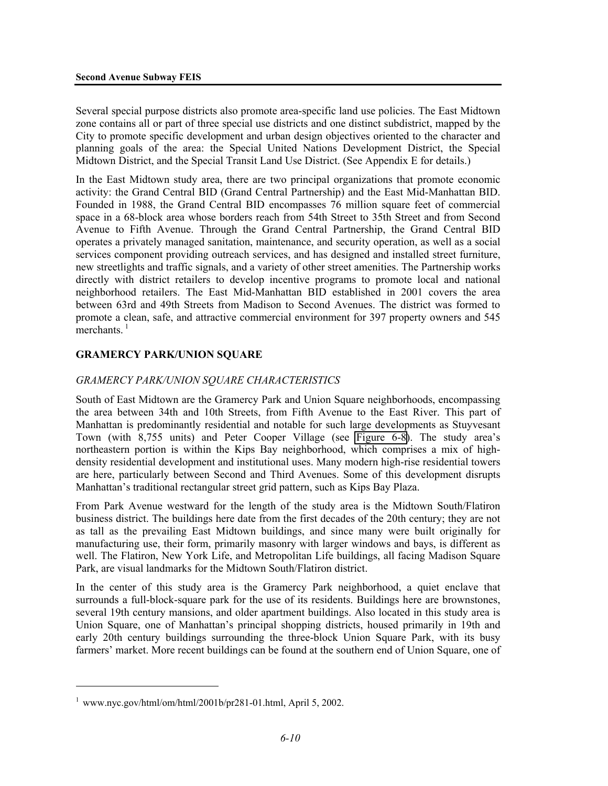Several special purpose districts also promote area-specific land use policies. The East Midtown zone contains all or part of three special use districts and one distinct subdistrict, mapped by the City to promote specific development and urban design objectives oriented to the character and planning goals of the area: the Special United Nations Development District, the Special Midtown District, and the Special Transit Land Use District. (See Appendix E for details.)

In the East Midtown study area, there are two principal organizations that promote economic activity: the Grand Central BID (Grand Central Partnership) and the East Mid-Manhattan BID. Founded in 1988, the Grand Central BID encompasses 76 million square feet of commercial space in a 68-block area whose borders reach from 54th Street to 35th Street and from Second Avenue to Fifth Avenue. Through the Grand Central Partnership, the Grand Central BID operates a privately managed sanitation, maintenance, and security operation, as well as a social services component providing outreach services, and has designed and installed street furniture, new streetlights and traffic signals, and a variety of other street amenities. The Partnership works directly with district retailers to develop incentive programs to promote local and national neighborhood retailers. The East Mid-Manhattan BID established in 2001 covers the area between 63rd and 49th Streets from Madison to Second Avenues. The district was formed to promote a clean, safe, and attractive commercial environment for 397 property owners and 545 merchants. $<sup>1</sup>$ </sup>

# **GRAMERCY PARK/UNION SQUARE**

### *GRAMERCY PARK/UNION SQUARE CHARACTERISTICS*

South of East Midtown are the Gramercy Park and Union Square neighborhoods, encompassing the area between 34th and 10th Streets, from Fifth Avenue to the East River. This part of Manhattan is predominantly residential and notable for such large developments as Stuyvesant Town (with 8,755 units) and Peter Cooper Village (see Figure 6-8). The study area's northeastern portion is within the Kips Bay neighborhood, which comprises a mix of highdensity residential development and institutional uses. Many modern high-rise residential towers are here, particularly between Second and Third Avenues. Some of this development disrupts Manhattan's traditional rectangular street grid pattern, such as Kips Bay Plaza.

From Park Avenue westward for the length of the study area is the Midtown South/Flatiron business district. The buildings here date from the first decades of the 20th century; they are not as tall as the prevailing East Midtown buildings, and since many were built originally for manufacturing use, their form, primarily masonry with larger windows and bays, is different as well. The Flatiron, New York Life, and Metropolitan Life buildings, all facing Madison Square Park, are visual landmarks for the Midtown South/Flatiron district.

In the center of this study area is the Gramercy Park neighborhood, a quiet enclave that surrounds a full-block-square park for the use of its residents. Buildings here are brownstones, several 19th century mansions, and older apartment buildings. Also located in this study area is Union Square, one of Manhattan's principal shopping districts, housed primarily in 19th and early 20th century buildings surrounding the three-block Union Square Park, with its busy farmers' market. More recent buildings can be found at the southern end of Union Square, one of

<u>.</u>

 $1$  www.nyc.gov/html/om/html/2001b/pr281-01.html, April 5, 2002.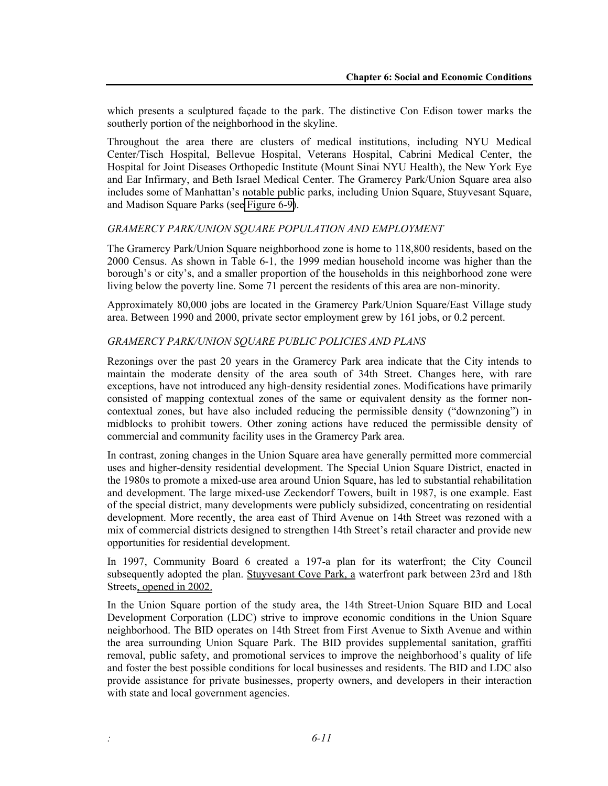which presents a sculptured façade to the park. The distinctive Con Edison tower marks the southerly portion of the neighborhood in the skyline.

Throughout the area there are clusters of medical institutions, including NYU Medical Center/Tisch Hospital, Bellevue Hospital, Veterans Hospital, Cabrini Medical Center, the Hospital for Joint Diseases Orthopedic Institute (Mount Sinai NYU Health), the New York Eye and Ear Infirmary, and Beth Israel Medical Center. The Gramercy Park/Union Square area also includes some of Manhattan's notable public parks, including Union Square, Stuyvesant Square, and Madison Square Parks (see Figure 6-9).

#### *GRAMERCY PARK/UNION SQUARE POPULATION AND EMPLOYMENT*

The Gramercy Park/Union Square neighborhood zone is home to 118,800 residents, based on the 2000 Census. As shown in Table 6-1, the 1999 median household income was higher than the borough's or city's, and a smaller proportion of the households in this neighborhood zone were living below the poverty line. Some 71 percent the residents of this area are non-minority.

Approximately 80,000 jobs are located in the Gramercy Park/Union Square/East Village study area. Between 1990 and 2000, private sector employment grew by 161 jobs, or 0.2 percent.

#### *GRAMERCY PARK/UNION SQUARE PUBLIC POLICIES AND PLANS*

Rezonings over the past 20 years in the Gramercy Park area indicate that the City intends to maintain the moderate density of the area south of 34th Street. Changes here, with rare exceptions, have not introduced any high-density residential zones. Modifications have primarily consisted of mapping contextual zones of the same or equivalent density as the former noncontextual zones, but have also included reducing the permissible density ("downzoning") in midblocks to prohibit towers. Other zoning actions have reduced the permissible density of commercial and community facility uses in the Gramercy Park area.

In contrast, zoning changes in the Union Square area have generally permitted more commercial uses and higher-density residential development. The Special Union Square District, enacted in the 1980s to promote a mixed-use area around Union Square, has led to substantial rehabilitation and development. The large mixed-use Zeckendorf Towers, built in 1987, is one example. East of the special district, many developments were publicly subsidized, concentrating on residential development. More recently, the area east of Third Avenue on 14th Street was rezoned with a mix of commercial districts designed to strengthen 14th Street's retail character and provide new opportunities for residential development.

In 1997, Community Board 6 created a 197-a plan for its waterfront; the City Council subsequently adopted the plan. Stuyvesant Cove Park, a waterfront park between 23rd and 18th Streets, opened in 2002.

In the Union Square portion of the study area, the 14th Street-Union Square BID and Local Development Corporation (LDC) strive to improve economic conditions in the Union Square neighborhood. The BID operates on 14th Street from First Avenue to Sixth Avenue and within the area surrounding Union Square Park. The BID provides supplemental sanitation, graffiti removal, public safety, and promotional services to improve the neighborhood's quality of life and foster the best possible conditions for local businesses and residents. The BID and LDC also provide assistance for private businesses, property owners, and developers in their interaction with state and local government agencies.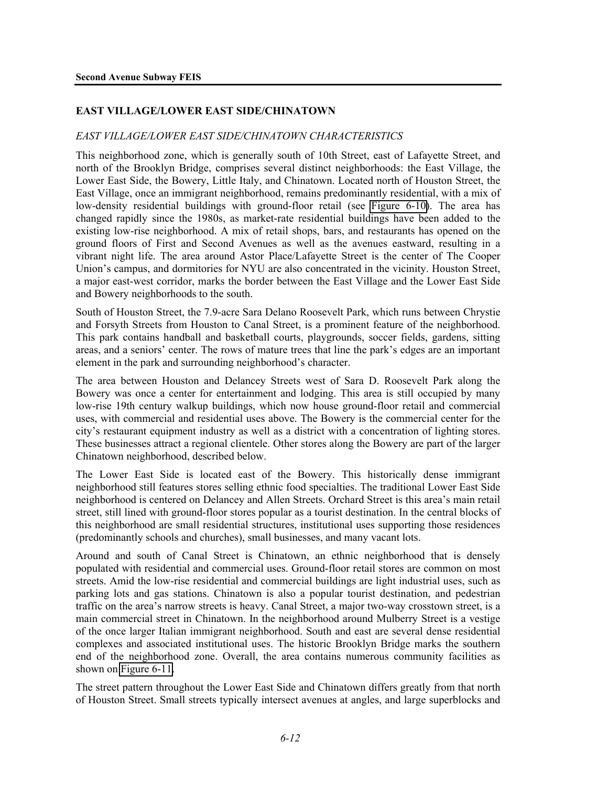#### **EAST VILLAGE/LOWER EAST SIDE/CHINATOWN**

#### *EAST VILLAGE/LOWER EAST SIDE/CHINATOWN CHARACTERISTICS*

This neighborhood zone, which is generally south of 10th Street, east of Lafayette Street, and north of the Brooklyn Bridge, comprises several distinct neighborhoods: the East Village, the Lower East Side, the Bowery, Little Italy, and Chinatown. Located north of Houston Street, the East Village, once an immigrant neighborhood, remains predominantly residential, with a mix of low-density residential buildings with ground-floor retail (see Figure 6-10). The area has changed rapidly since the 1980s, as market-rate residential buildings have been added to the existing low-rise neighborhood. A mix of retail shops, bars, and restaurants has opened on the ground floors of First and Second Avenues as well as the avenues eastward, resulting in a vibrant night life. The area around Astor Place/Lafayette Street is the center of The Cooper Union's campus, and dormitories for NYU are also concentrated in the vicinity. Houston Street, a major east-west corridor, marks the border between the East Village and the Lower East Side and Bowery neighborhoods to the south.

South of Houston Street, the 7.9-acre Sara Delano Roosevelt Park, which runs between Chrystie and Forsyth Streets from Houston to Canal Street, is a prominent feature of the neighborhood. This park contains handball and basketball courts, playgrounds, soccer fields, gardens, sitting areas, and a seniors' center. The rows of mature trees that line the park's edges are an important element in the park and surrounding neighborhood's character.

The area between Houston and Delancey Streets west of Sara D. Roosevelt Park along the Bowery was once a center for entertainment and lodging. This area is still occupied by many low-rise 19th century walkup buildings, which now house ground-floor retail and commercial uses, with commercial and residential uses above. The Bowery is the commercial center for the city's restaurant equipment industry as well as a district with a concentration of lighting stores. These businesses attract a regional clientele. Other stores along the Bowery are part of the larger Chinatown neighborhood, described below.

The Lower East Side is located east of the Bowery. This historically dense immigrant neighborhood still features stores selling ethnic food specialties. The traditional Lower East Side neighborhood is centered on Delancey and Allen Streets. Orchard Street is this area's main retail street, still lined with ground-floor stores popular as a tourist destination. In the central blocks of this neighborhood are small residential structures, institutional uses supporting those residences (predominantly schools and churches), small businesses, and many vacant lots.

Around and south of Canal Street is Chinatown, an ethnic neighborhood that is densely populated with residential and commercial uses. Ground-floor retail stores are common on most streets. Amid the low-rise residential and commercial buildings are light industrial uses, such as parking lots and gas stations. Chinatown is also a popular tourist destination, and pedestrian traffic on the area's narrow streets is heavy. Canal Street, a major two-way crosstown street, is a main commercial street in Chinatown. In the neighborhood around Mulberry Street is a vestige of the once larger Italian immigrant neighborhood. South and east are several dense residential complexes and associated institutional uses. The historic Brooklyn Bridge marks the southern end of the neighborhood zone. Overall, the area contains numerous community facilities as shown on Figure 6-11.

The street pattern throughout the Lower East Side and Chinatown differs greatly from that north of Houston Street. Small streets typically intersect avenues at angles, and large superblocks and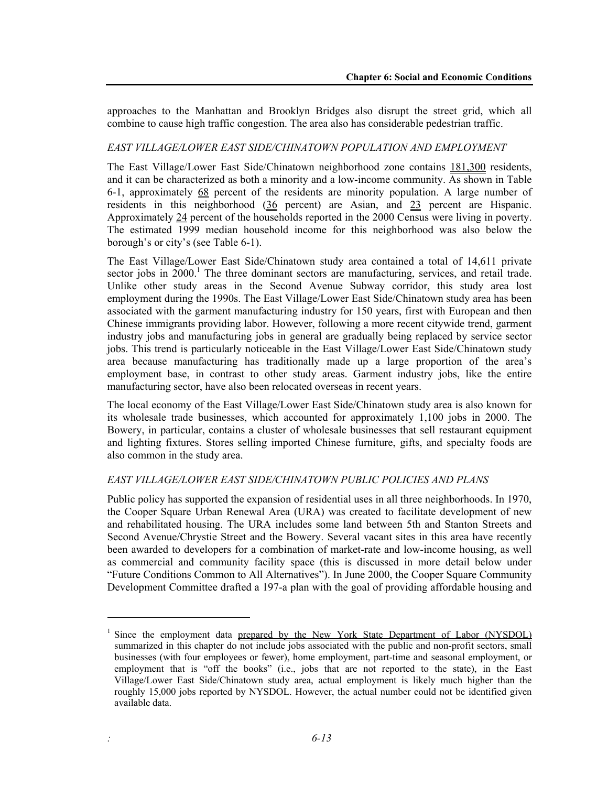approaches to the Manhattan and Brooklyn Bridges also disrupt the street grid, which all combine to cause high traffic congestion. The area also has considerable pedestrian traffic.

#### *EAST VILLAGE/LOWER EAST SIDE/CHINATOWN POPULATION AND EMPLOYMENT*

The East Village/Lower East Side/Chinatown neighborhood zone contains 181,300 residents, and it can be characterized as both a minority and a low-income community. As shown in Table 6-1, approximately 68 percent of the residents are minority population. A large number of residents in this neighborhood (36 percent) are Asian, and 23 percent are Hispanic. Approximately 24 percent of the households reported in the 2000 Census were living in poverty. The estimated 1999 median household income for this neighborhood was also below the borough's or city's (see Table 6-1).

The East Village/Lower East Side/Chinatown study area contained a total of 14,611 private sector jobs in 2000.<sup>1</sup> The three dominant sectors are manufacturing, services, and retail trade. Unlike other study areas in the Second Avenue Subway corridor, this study area lost employment during the 1990s. The East Village/Lower East Side/Chinatown study area has been associated with the garment manufacturing industry for 150 years, first with European and then Chinese immigrants providing labor. However, following a more recent citywide trend, garment industry jobs and manufacturing jobs in general are gradually being replaced by service sector jobs. This trend is particularly noticeable in the East Village/Lower East Side/Chinatown study area because manufacturing has traditionally made up a large proportion of the area's employment base, in contrast to other study areas. Garment industry jobs, like the entire manufacturing sector, have also been relocated overseas in recent years.

The local economy of the East Village/Lower East Side/Chinatown study area is also known for its wholesale trade businesses, which accounted for approximately 1,100 jobs in 2000. The Bowery, in particular, contains a cluster of wholesale businesses that sell restaurant equipment and lighting fixtures. Stores selling imported Chinese furniture, gifts, and specialty foods are also common in the study area.

#### *EAST VILLAGE/LOWER EAST SIDE/CHINATOWN PUBLIC POLICIES AND PLANS*

1

Public policy has supported the expansion of residential uses in all three neighborhoods. In 1970, the Cooper Square Urban Renewal Area (URA) was created to facilitate development of new and rehabilitated housing. The URA includes some land between 5th and Stanton Streets and Second Avenue/Chrystie Street and the Bowery. Several vacant sites in this area have recently been awarded to developers for a combination of market-rate and low-income housing, as well as commercial and community facility space (this is discussed in more detail below under "Future Conditions Common to All Alternatives"). In June 2000, the Cooper Square Community Development Committee drafted a 197-a plan with the goal of providing affordable housing and

<sup>&</sup>lt;sup>1</sup> Since the employment data prepared by the New York State Department of Labor (NYSDOL) summarized in this chapter do not include jobs associated with the public and non-profit sectors, small businesses (with four employees or fewer), home employment, part-time and seasonal employment, or employment that is "off the books" (i.e., jobs that are not reported to the state), in the East Village/Lower East Side/Chinatown study area, actual employment is likely much higher than the roughly 15,000 jobs reported by NYSDOL. However, the actual number could not be identified given available data.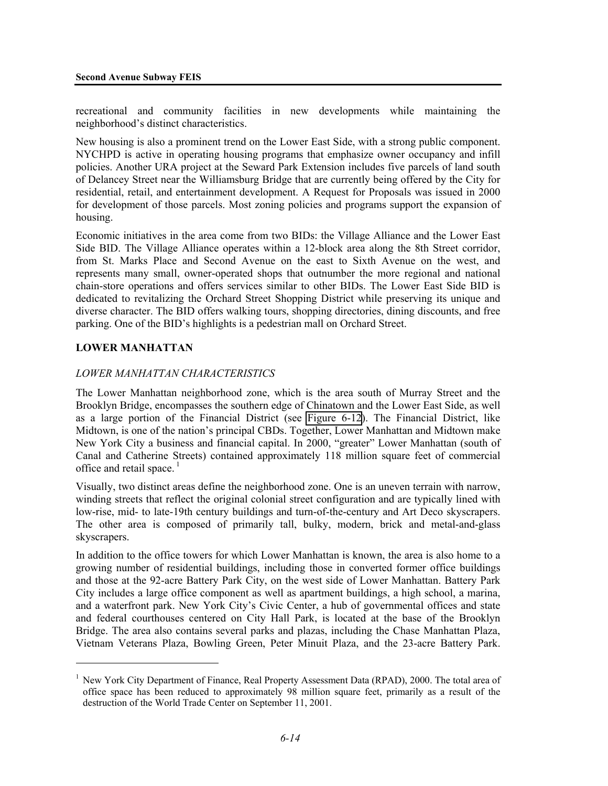recreational and community facilities in new developments while maintaining the neighborhood's distinct characteristics.

New housing is also a prominent trend on the Lower East Side, with a strong public component. NYCHPD is active in operating housing programs that emphasize owner occupancy and infill policies. Another URA project at the Seward Park Extension includes five parcels of land south of Delancey Street near the Williamsburg Bridge that are currently being offered by the City for residential, retail, and entertainment development. A Request for Proposals was issued in 2000 for development of those parcels. Most zoning policies and programs support the expansion of housing.

Economic initiatives in the area come from two BIDs: the Village Alliance and the Lower East Side BID. The Village Alliance operates within a 12-block area along the 8th Street corridor, from St. Marks Place and Second Avenue on the east to Sixth Avenue on the west, and represents many small, owner-operated shops that outnumber the more regional and national chain-store operations and offers services similar to other BIDs. The Lower East Side BID is dedicated to revitalizing the Orchard Street Shopping District while preserving its unique and diverse character. The BID offers walking tours, shopping directories, dining discounts, and free parking. One of the BID's highlights is a pedestrian mall on Orchard Street.

#### **LOWER MANHATTAN**

<u>.</u>

#### *LOWER MANHATTAN CHARACTERISTICS*

The Lower Manhattan neighborhood zone, which is the area south of Murray Street and the Brooklyn Bridge, encompasses the southern edge of Chinatown and the Lower East Side, as well as a large portion of the Financial District (see Figure 6-12). The Financial District, like Midtown, is one of the nation's principal CBDs. Together, Lower Manhattan and Midtown make New York City a business and financial capital. In 2000, "greater" Lower Manhattan (south of Canal and Catherine Streets) contained approximately 118 million square feet of commercial office and retail space. $<sup>1</sup>$ </sup>

Visually, two distinct areas define the neighborhood zone. One is an uneven terrain with narrow, winding streets that reflect the original colonial street configuration and are typically lined with low-rise, mid- to late-19th century buildings and turn-of-the-century and Art Deco skyscrapers. The other area is composed of primarily tall, bulky, modern, brick and metal-and-glass skyscrapers.

In addition to the office towers for which Lower Manhattan is known, the area is also home to a growing number of residential buildings, including those in converted former office buildings and those at the 92-acre Battery Park City, on the west side of Lower Manhattan. Battery Park City includes a large office component as well as apartment buildings, a high school, a marina, and a waterfront park. New York City's Civic Center, a hub of governmental offices and state and federal courthouses centered on City Hall Park, is located at the base of the Brooklyn Bridge. The area also contains several parks and plazas, including the Chase Manhattan Plaza, Vietnam Veterans Plaza, Bowling Green, Peter Minuit Plaza, and the 23-acre Battery Park.

<sup>&</sup>lt;sup>1</sup> New York City Department of Finance, Real Property Assessment Data (RPAD), 2000. The total area of office space has been reduced to approximately 98 million square feet, primarily as a result of the destruction of the World Trade Center on September 11, 2001.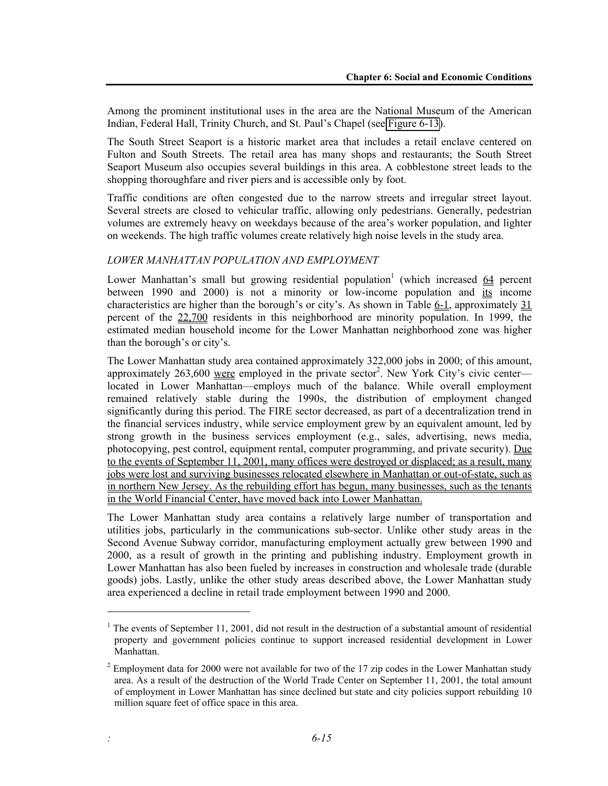Among the prominent institutional uses in the area are the National Museum of the American Indian, Federal Hall, Trinity Church, and St. Paul's Chapel (see Figure 6-13).

The South Street Seaport is a historic market area that includes a retail enclave centered on Fulton and South Streets. The retail area has many shops and restaurants; the South Street Seaport Museum also occupies several buildings in this area. A cobblestone street leads to the shopping thoroughfare and river piers and is accessible only by foot.

Traffic conditions are often congested due to the narrow streets and irregular street layout. Several streets are closed to vehicular traffic, allowing only pedestrians. Generally, pedestrian volumes are extremely heavy on weekdays because of the area's worker population, and lighter on weekends. The high traffic volumes create relatively high noise levels in the study area.

#### *LOWER MANHATTAN POPULATION AND EMPLOYMENT*

1

Lower Manhattan's small but growing residential population<sup>1</sup> (which increased  $64$  percent between 1990 and 2000) is not a minority or low-income population and its income characteristics are higher than the borough's or city's. As shown in Table  $6-1$ , approximately  $31$ percent of the 22,700 residents in this neighborhood are minority population. In 1999, the estimated median household income for the Lower Manhattan neighborhood zone was higher than the borough's or city's.

The Lower Manhattan study area contained approximately 322,000 jobs in 2000; of this amount, approximately  $263,600$  were employed in the private sector<sup>2</sup>. New York City's civic center located in Lower Manhattan—employs much of the balance. While overall employment remained relatively stable during the 1990s, the distribution of employment changed significantly during this period. The FIRE sector decreased, as part of a decentralization trend in the financial services industry, while service employment grew by an equivalent amount, led by strong growth in the business services employment (e.g., sales, advertising, news media, photocopying, pest control, equipment rental, computer programming, and private security). Due to the events of September 11, 2001, many offices were destroyed or displaced; as a result, many jobs were lost and surviving businesses relocated elsewhere in Manhattan or out-of-state, such as in northern New Jersey. As the rebuilding effort has begun, many businesses, such as the tenants in the World Financial Center, have moved back into Lower Manhattan.

The Lower Manhattan study area contains a relatively large number of transportation and utilities jobs, particularly in the communications sub-sector. Unlike other study areas in the Second Avenue Subway corridor, manufacturing employment actually grew between 1990 and 2000, as a result of growth in the printing and publishing industry. Employment growth in Lower Manhattan has also been fueled by increases in construction and wholesale trade (durable goods) jobs. Lastly, unlike the other study areas described above, the Lower Manhattan study area experienced a decline in retail trade employment between 1990 and 2000.

<sup>&</sup>lt;sup>1</sup> The events of September 11, 2001, did not result in the destruction of a substantial amount of residential property and government policies continue to support increased residential development in Lower Manhattan.

 $2^{2}$  Employment data for 2000 were not available for two of the 17 zip codes in the Lower Manhattan study area. As a result of the destruction of the World Trade Center on September 11, 2001, the total amount of employment in Lower Manhattan has since declined but state and city policies support rebuilding 10 million square feet of office space in this area.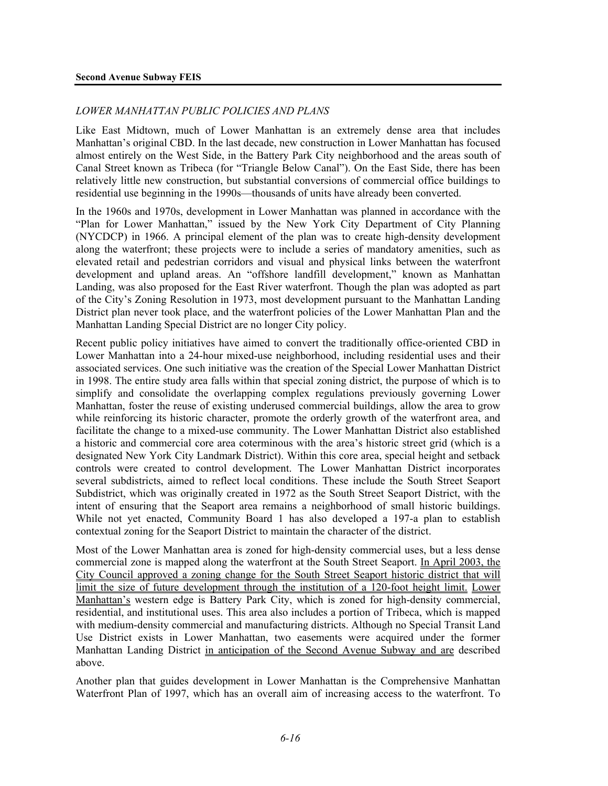#### *LOWER MANHATTAN PUBLIC POLICIES AND PLANS*

Like East Midtown, much of Lower Manhattan is an extremely dense area that includes Manhattan's original CBD. In the last decade, new construction in Lower Manhattan has focused almost entirely on the West Side, in the Battery Park City neighborhood and the areas south of Canal Street known as Tribeca (for "Triangle Below Canal"). On the East Side, there has been relatively little new construction, but substantial conversions of commercial office buildings to residential use beginning in the 1990s—thousands of units have already been converted.

In the 1960s and 1970s, development in Lower Manhattan was planned in accordance with the "Plan for Lower Manhattan," issued by the New York City Department of City Planning (NYCDCP) in 1966. A principal element of the plan was to create high-density development along the waterfront; these projects were to include a series of mandatory amenities, such as elevated retail and pedestrian corridors and visual and physical links between the waterfront development and upland areas. An "offshore landfill development," known as Manhattan Landing, was also proposed for the East River waterfront. Though the plan was adopted as part of the City's Zoning Resolution in 1973, most development pursuant to the Manhattan Landing District plan never took place, and the waterfront policies of the Lower Manhattan Plan and the Manhattan Landing Special District are no longer City policy.

Recent public policy initiatives have aimed to convert the traditionally office-oriented CBD in Lower Manhattan into a 24-hour mixed-use neighborhood, including residential uses and their associated services. One such initiative was the creation of the Special Lower Manhattan District in 1998. The entire study area falls within that special zoning district, the purpose of which is to simplify and consolidate the overlapping complex regulations previously governing Lower Manhattan, foster the reuse of existing underused commercial buildings, allow the area to grow while reinforcing its historic character, promote the orderly growth of the waterfront area, and facilitate the change to a mixed-use community. The Lower Manhattan District also established a historic and commercial core area coterminous with the area's historic street grid (which is a designated New York City Landmark District). Within this core area, special height and setback controls were created to control development. The Lower Manhattan District incorporates several subdistricts, aimed to reflect local conditions. These include the South Street Seaport Subdistrict, which was originally created in 1972 as the South Street Seaport District, with the intent of ensuring that the Seaport area remains a neighborhood of small historic buildings. While not yet enacted, Community Board 1 has also developed a 197-a plan to establish contextual zoning for the Seaport District to maintain the character of the district.

Most of the Lower Manhattan area is zoned for high-density commercial uses, but a less dense commercial zone is mapped along the waterfront at the South Street Seaport. In April 2003, the City Council approved a zoning change for the South Street Seaport historic district that will limit the size of future development through the institution of a 120-foot height limit. Lower Manhattan's western edge is Battery Park City, which is zoned for high-density commercial, residential, and institutional uses. This area also includes a portion of Tribeca, which is mapped with medium-density commercial and manufacturing districts. Although no Special Transit Land Use District exists in Lower Manhattan, two easements were acquired under the former Manhattan Landing District in anticipation of the Second Avenue Subway and are described above.

Another plan that guides development in Lower Manhattan is the Comprehensive Manhattan Waterfront Plan of 1997, which has an overall aim of increasing access to the waterfront. To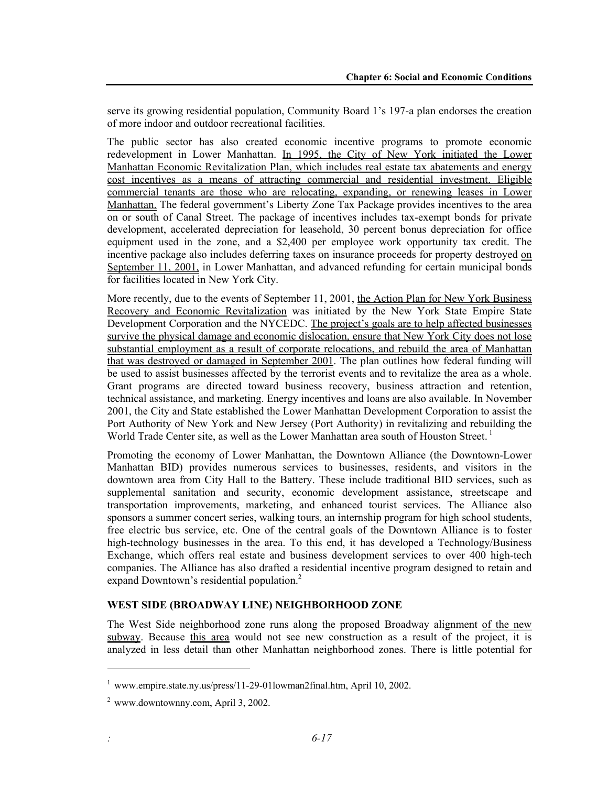serve its growing residential population, Community Board 1's 197-a plan endorses the creation of more indoor and outdoor recreational facilities.

The public sector has also created economic incentive programs to promote economic redevelopment in Lower Manhattan. In 1995, the City of New York initiated the Lower Manhattan Economic Revitalization Plan, which includes real estate tax abatements and energy cost incentives as a means of attracting commercial and residential investment. Eligible commercial tenants are those who are relocating, expanding, or renewing leases in Lower Manhattan. The federal government's Liberty Zone Tax Package provides incentives to the area on or south of Canal Street. The package of incentives includes tax-exempt bonds for private development, accelerated depreciation for leasehold, 30 percent bonus depreciation for office equipment used in the zone, and a \$2,400 per employee work opportunity tax credit. The incentive package also includes deferring taxes on insurance proceeds for property destroyed on September 11, 2001, in Lower Manhattan, and advanced refunding for certain municipal bonds for facilities located in New York City.

More recently, due to the events of September 11, 2001, the Action Plan for New York Business Recovery and Economic Revitalization was initiated by the New York State Empire State Development Corporation and the NYCEDC. The project's goals are to help affected businesses survive the physical damage and economic dislocation, ensure that New York City does not lose substantial employment as a result of corporate relocations, and rebuild the area of Manhattan that was destroyed or damaged in September 2001. The plan outlines how federal funding will be used to assist businesses affected by the terrorist events and to revitalize the area as a whole. Grant programs are directed toward business recovery, business attraction and retention, technical assistance, and marketing. Energy incentives and loans are also available. In November 2001, the City and State established the Lower Manhattan Development Corporation to assist the Port Authority of New York and New Jersey (Port Authority) in revitalizing and rebuilding the World Trade Center site, as well as the Lower Manhattan area south of Houston Street.<sup>1</sup>

Promoting the economy of Lower Manhattan, the Downtown Alliance (the Downtown-Lower Manhattan BID) provides numerous services to businesses, residents, and visitors in the downtown area from City Hall to the Battery. These include traditional BID services, such as supplemental sanitation and security, economic development assistance, streetscape and transportation improvements, marketing, and enhanced tourist services. The Alliance also sponsors a summer concert series, walking tours, an internship program for high school students, free electric bus service, etc. One of the central goals of the Downtown Alliance is to foster high-technology businesses in the area. To this end, it has developed a Technology/Business Exchange, which offers real estate and business development services to over 400 high-tech companies. The Alliance has also drafted a residential incentive program designed to retain and expand Downtown's residential population.<sup>2</sup>

### **WEST SIDE (BROADWAY LINE) NEIGHBORHOOD ZONE**

The West Side neighborhood zone runs along the proposed Broadway alignment of the new subway. Because this area would not see new construction as a result of the project, it is analyzed in less detail than other Manhattan neighborhood zones. There is little potential for

1

<sup>1</sup> www.empire.state.ny.us/press/11-29-01lowman2final.htm, April 10, 2002.

 $2$  www.downtownny.com, April 3, 2002.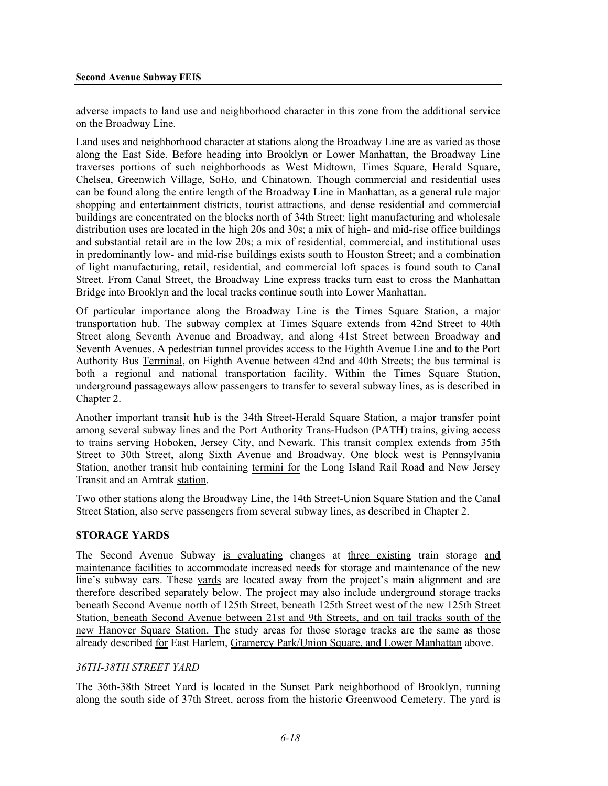adverse impacts to land use and neighborhood character in this zone from the additional service on the Broadway Line.

Land uses and neighborhood character at stations along the Broadway Line are as varied as those along the East Side. Before heading into Brooklyn or Lower Manhattan, the Broadway Line traverses portions of such neighborhoods as West Midtown, Times Square, Herald Square, Chelsea, Greenwich Village, SoHo, and Chinatown. Though commercial and residential uses can be found along the entire length of the Broadway Line in Manhattan, as a general rule major shopping and entertainment districts, tourist attractions, and dense residential and commercial buildings are concentrated on the blocks north of 34th Street; light manufacturing and wholesale distribution uses are located in the high 20s and 30s; a mix of high- and mid-rise office buildings and substantial retail are in the low 20s; a mix of residential, commercial, and institutional uses in predominantly low- and mid-rise buildings exists south to Houston Street; and a combination of light manufacturing, retail, residential, and commercial loft spaces is found south to Canal Street. From Canal Street, the Broadway Line express tracks turn east to cross the Manhattan Bridge into Brooklyn and the local tracks continue south into Lower Manhattan.

Of particular importance along the Broadway Line is the Times Square Station, a major transportation hub. The subway complex at Times Square extends from 42nd Street to 40th Street along Seventh Avenue and Broadway, and along 41st Street between Broadway and Seventh Avenues. A pedestrian tunnel provides access to the Eighth Avenue Line and to the Port Authority Bus Terminal, on Eighth Avenue between 42nd and 40th Streets; the bus terminal is both a regional and national transportation facility. Within the Times Square Station, underground passageways allow passengers to transfer to several subway lines, as is described in Chapter 2.

Another important transit hub is the 34th Street-Herald Square Station, a major transfer point among several subway lines and the Port Authority Trans-Hudson (PATH) trains, giving access to trains serving Hoboken, Jersey City, and Newark. This transit complex extends from 35th Street to 30th Street, along Sixth Avenue and Broadway. One block west is Pennsylvania Station, another transit hub containing termini for the Long Island Rail Road and New Jersey Transit and an Amtrak station.

Two other stations along the Broadway Line, the 14th Street-Union Square Station and the Canal Street Station, also serve passengers from several subway lines, as described in Chapter 2.

#### **STORAGE YARDS**

The Second Avenue Subway is evaluating changes at three existing train storage and maintenance facilities to accommodate increased needs for storage and maintenance of the new line's subway cars. These yards are located away from the project's main alignment and are therefore described separately below. The project may also include underground storage tracks beneath Second Avenue north of 125th Street, beneath 125th Street west of the new 125th Street Station, beneath Second Avenue between 21st and 9th Streets, and on tail tracks south of the new Hanover Square Station. The study areas for those storage tracks are the same as those already described for East Harlem, Gramercy Park/Union Square, and Lower Manhattan above.

#### *36TH-38TH STREET YARD*

The 36th-38th Street Yard is located in the Sunset Park neighborhood of Brooklyn, running along the south side of 37th Street, across from the historic Greenwood Cemetery. The yard is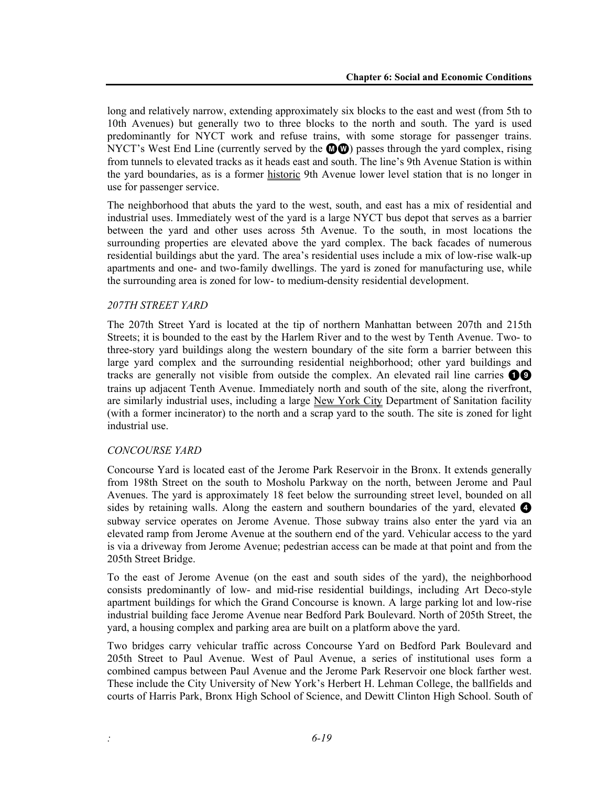long and relatively narrow, extending approximately six blocks to the east and west (from 5th to 10th Avenues) but generally two to three blocks to the north and south. The yard is used predominantly for NYCT work and refuse trains, with some storage for passenger trains. NYCT's West End Line (currently served by the  $\mathbf{Q}(\mathbf{Q})$ ) passes through the yard complex, rising from tunnels to elevated tracks as it heads east and south. The line's 9th Avenue Station is within the yard boundaries, as is a former historic 9th Avenue lower level station that is no longer in use for passenger service.

The neighborhood that abuts the yard to the west, south, and east has a mix of residential and industrial uses. Immediately west of the yard is a large NYCT bus depot that serves as a barrier between the yard and other uses across 5th Avenue. To the south, in most locations the surrounding properties are elevated above the yard complex. The back facades of numerous residential buildings abut the yard. The area's residential uses include a mix of low-rise walk-up apartments and one- and two-family dwellings. The yard is zoned for manufacturing use, while the surrounding area is zoned for low- to medium-density residential development.

#### *207TH STREET YARD*

The 207th Street Yard is located at the tip of northern Manhattan between 207th and 215th Streets; it is bounded to the east by the Harlem River and to the west by Tenth Avenue. Two- to three-story yard buildings along the western boundary of the site form a barrier between this large yard complex and the surrounding residential neighborhood; other yard buildings and tracks are generally not visible from outside the complex. An elevated rail line carries  $\bullet\bullet$ trains up adjacent Tenth Avenue. Immediately north and south of the site, along the riverfront, are similarly industrial uses, including a large New York City Department of Sanitation facility (with a former incinerator) to the north and a scrap yard to the south. The site is zoned for light industrial use.

#### *CONCOURSE YARD*

Concourse Yard is located east of the Jerome Park Reservoir in the Bronx. It extends generally from 198th Street on the south to Mosholu Parkway on the north, between Jerome and Paul Avenues. The yard is approximately 18 feet below the surrounding street level, bounded on all sides by retaining walls. Along the eastern and southern boundaries of the yard, elevated  $\bullet$ subway service operates on Jerome Avenue. Those subway trains also enter the yard via an elevated ramp from Jerome Avenue at the southern end of the yard. Vehicular access to the yard is via a driveway from Jerome Avenue; pedestrian access can be made at that point and from the 205th Street Bridge.

To the east of Jerome Avenue (on the east and south sides of the yard), the neighborhood consists predominantly of low- and mid-rise residential buildings, including Art Deco-style apartment buildings for which the Grand Concourse is known. A large parking lot and low-rise industrial building face Jerome Avenue near Bedford Park Boulevard. North of 205th Street, the yard, a housing complex and parking area are built on a platform above the yard.

Two bridges carry vehicular traffic across Concourse Yard on Bedford Park Boulevard and 205th Street to Paul Avenue. West of Paul Avenue, a series of institutional uses form a combined campus between Paul Avenue and the Jerome Park Reservoir one block farther west. These include the City University of New York's Herbert H. Lehman College, the ballfields and courts of Harris Park, Bronx High School of Science, and Dewitt Clinton High School. South of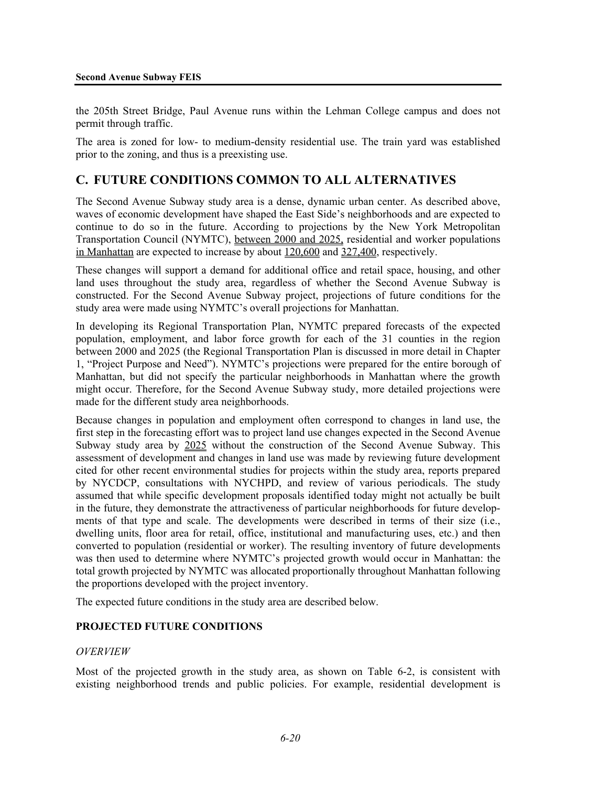the 205th Street Bridge, Paul Avenue runs within the Lehman College campus and does not permit through traffic.

The area is zoned for low- to medium-density residential use. The train yard was established prior to the zoning, and thus is a preexisting use.

# **C. FUTURE CONDITIONS COMMON TO ALL ALTERNATIVES**

The Second Avenue Subway study area is a dense, dynamic urban center. As described above, waves of economic development have shaped the East Side's neighborhoods and are expected to continue to do so in the future. According to projections by the New York Metropolitan Transportation Council (NYMTC), between 2000 and 2025, residential and worker populations in Manhattan are expected to increase by about 120,600 and 327,400, respectively.

These changes will support a demand for additional office and retail space, housing, and other land uses throughout the study area, regardless of whether the Second Avenue Subway is constructed. For the Second Avenue Subway project, projections of future conditions for the study area were made using NYMTC's overall projections for Manhattan.

In developing its Regional Transportation Plan, NYMTC prepared forecasts of the expected population, employment, and labor force growth for each of the 31 counties in the region between 2000 and 2025 (the Regional Transportation Plan is discussed in more detail in Chapter 1, "Project Purpose and Need"). NYMTC's projections were prepared for the entire borough of Manhattan, but did not specify the particular neighborhoods in Manhattan where the growth might occur. Therefore, for the Second Avenue Subway study, more detailed projections were made for the different study area neighborhoods.

Because changes in population and employment often correspond to changes in land use, the first step in the forecasting effort was to project land use changes expected in the Second Avenue Subway study area by 2025 without the construction of the Second Avenue Subway. This assessment of development and changes in land use was made by reviewing future development cited for other recent environmental studies for projects within the study area, reports prepared by NYCDCP, consultations with NYCHPD, and review of various periodicals. The study assumed that while specific development proposals identified today might not actually be built in the future, they demonstrate the attractiveness of particular neighborhoods for future developments of that type and scale. The developments were described in terms of their size (i.e., dwelling units, floor area for retail, office, institutional and manufacturing uses, etc.) and then converted to population (residential or worker). The resulting inventory of future developments was then used to determine where NYMTC's projected growth would occur in Manhattan: the total growth projected by NYMTC was allocated proportionally throughout Manhattan following the proportions developed with the project inventory.

The expected future conditions in the study area are described below.

#### **PROJECTED FUTURE CONDITIONS**

#### *OVERVIEW*

Most of the projected growth in the study area, as shown on Table 6-2, is consistent with existing neighborhood trends and public policies. For example, residential development is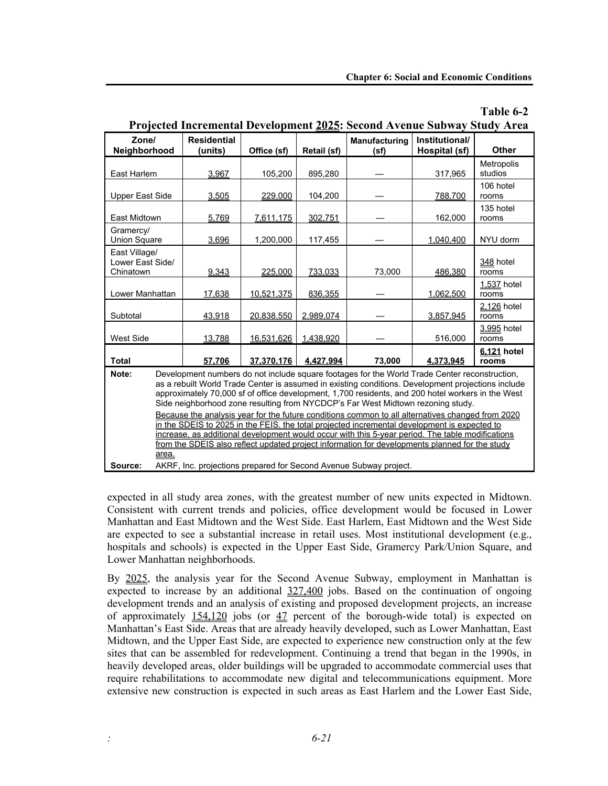**Table 6-2**

| Zone/                  |                                                                                                                                                                                      | <b>Residential</b> |             |             | Manufacturing | Institutional/ |                      |  |  |  |
|------------------------|--------------------------------------------------------------------------------------------------------------------------------------------------------------------------------------|--------------------|-------------|-------------|---------------|----------------|----------------------|--|--|--|
| Neighborhood           |                                                                                                                                                                                      | (units)            | Office (sf) | Retail (sf) | (sf)          | Hospital (sf)  | <b>Other</b>         |  |  |  |
|                        |                                                                                                                                                                                      |                    |             |             |               |                | Metropolis           |  |  |  |
| East Harlem            |                                                                                                                                                                                      | 3.967              | 105,200     | 895,280     |               | 317,965        | studios              |  |  |  |
|                        |                                                                                                                                                                                      |                    |             |             |               |                | 106 hotel            |  |  |  |
| <b>Upper East Side</b> |                                                                                                                                                                                      | 3,505              | 229.000     | 104,200     |               | 788.700        | rooms                |  |  |  |
| East Midtown           |                                                                                                                                                                                      | 5,769              | 7,611,175   | 302,751     |               | 162,000        | 135 hotel<br>rooms   |  |  |  |
| Gramercy/              |                                                                                                                                                                                      |                    |             |             |               |                |                      |  |  |  |
| <b>Union Square</b>    |                                                                                                                                                                                      | 3.696              | 1,200,000   | 117,455     |               | 1.040.400      | NYU dorm             |  |  |  |
| East Village/          |                                                                                                                                                                                      |                    |             |             |               |                |                      |  |  |  |
| Lower East Side/       |                                                                                                                                                                                      |                    |             |             |               |                | 348 hotel            |  |  |  |
| Chinatown              |                                                                                                                                                                                      | 9,343              | 225,000     | 733,033     | 73,000        | 486,380        | rooms                |  |  |  |
| Lower Manhattan        |                                                                                                                                                                                      | 17,638             | 10,521,375  | 836,355     |               | 1,062,500      | 1,537 hotel<br>rooms |  |  |  |
|                        |                                                                                                                                                                                      |                    |             |             |               |                | 2,126 hotel          |  |  |  |
| Subtotal               |                                                                                                                                                                                      | 43,918             | 20,838,550  | 2,989,074   |               | 3,857,945      | rooms                |  |  |  |
|                        |                                                                                                                                                                                      |                    |             |             |               |                | 3,995 hotel          |  |  |  |
| <b>West Side</b>       |                                                                                                                                                                                      | 13,788             | 16.531.626  | 1,438,920   |               | 516,000        | rooms                |  |  |  |
|                        |                                                                                                                                                                                      |                    |             |             |               |                | 6,121 hotel          |  |  |  |
| <b>Total</b>           |                                                                                                                                                                                      | 57.706             | 37.370.176  | 4.427.994   | 73,000        | 4.373.945      | rooms                |  |  |  |
| Note:                  | Development numbers do not include square footages for the World Trade Center reconstruction,                                                                                        |                    |             |             |               |                |                      |  |  |  |
|                        | as a rebuilt World Trade Center is assumed in existing conditions. Development projections include                                                                                   |                    |             |             |               |                |                      |  |  |  |
|                        | approximately 70,000 sf of office development, 1,700 residents, and 200 hotel workers in the West<br>Side neighborhood zone resulting from NYCDCP's Far West Midtown rezoning study. |                    |             |             |               |                |                      |  |  |  |
|                        | Because the analysis year for the future conditions common to all alternatives changed from 2020                                                                                     |                    |             |             |               |                |                      |  |  |  |
|                        | in the SDEIS to 2025 in the FEIS, the total projected incremental development is expected to                                                                                         |                    |             |             |               |                |                      |  |  |  |
|                        | increase, as additional development would occur with this 5-year period. The table modifications                                                                                     |                    |             |             |               |                |                      |  |  |  |
|                        | from the SDEIS also reflect updated project information for developments planned for the study                                                                                       |                    |             |             |               |                |                      |  |  |  |
|                        | area.                                                                                                                                                                                |                    |             |             |               |                |                      |  |  |  |
| Source:                | AKRF, Inc. projections prepared for Second Avenue Subway project.                                                                                                                    |                    |             |             |               |                |                      |  |  |  |

# **Projected Incremental Development 2025: Second Avenue Subway Study Area**

expected in all study area zones, with the greatest number of new units expected in Midtown. Consistent with current trends and policies, office development would be focused in Lower Manhattan and East Midtown and the West Side. East Harlem, East Midtown and the West Side are expected to see a substantial increase in retail uses. Most institutional development (e.g., hospitals and schools) is expected in the Upper East Side, Gramercy Park/Union Square, and Lower Manhattan neighborhoods.

By 2025, the analysis year for the Second Avenue Subway, employment in Manhattan is expected to increase by an additional  $327,400$  jobs. Based on the continuation of ongoing development trends and an analysis of existing and proposed development projects, an increase of approximately  $154,120$  jobs (or 47 percent of the borough-wide total) is expected on Manhattan's East Side. Areas that are already heavily developed, such as Lower Manhattan, East Midtown, and the Upper East Side, are expected to experience new construction only at the few sites that can be assembled for redevelopment. Continuing a trend that began in the 1990s, in heavily developed areas, older buildings will be upgraded to accommodate commercial uses that require rehabilitations to accommodate new digital and telecommunications equipment. More extensive new construction is expected in such areas as East Harlem and the Lower East Side,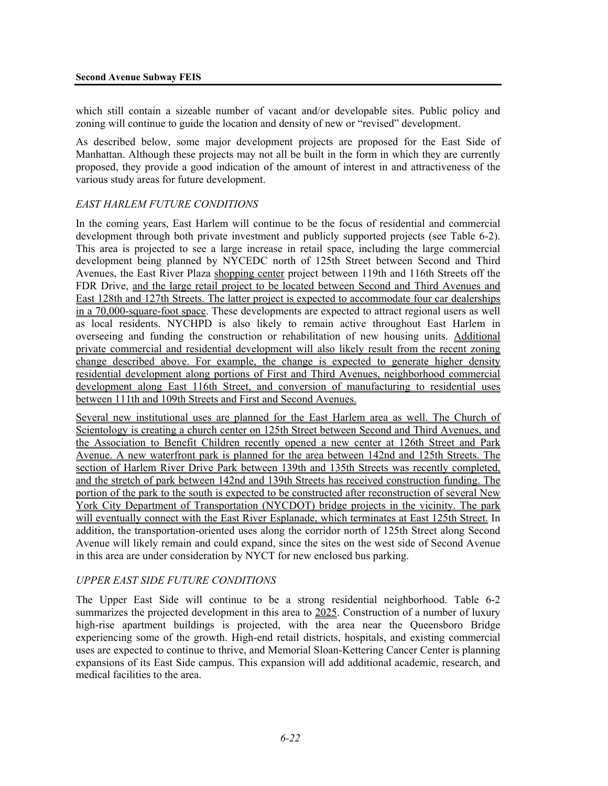which still contain a sizeable number of vacant and/or developable sites. Public policy and zoning will continue to guide the location and density of new or "revised" development.

As described below, some major development projects are proposed for the East Side of Manhattan. Although these projects may not all be built in the form in which they are currently proposed, they provide a good indication of the amount of interest in and attractiveness of the various study areas for future development.

#### *EAST HARLEM FUTURE CONDITIONS*

In the coming years, East Harlem will continue to be the focus of residential and commercial development through both private investment and publicly supported projects (see Table 6-2). This area is projected to see a large increase in retail space, including the large commercial development being planned by NYCEDC north of 125th Street between Second and Third Avenues, the East River Plaza shopping center project between 119th and 116th Streets off the FDR Drive, and the large retail project to be located between Second and Third Avenues and East 128th and 127th Streets. The latter project is expected to accommodate four car dealerships in a 70,000-square-foot space. These developments are expected to attract regional users as well as local residents. NYCHPD is also likely to remain active throughout East Harlem in overseeing and funding the construction or rehabilitation of new housing units. Additional private commercial and residential development will also likely result from the recent zoning change described above. For example, the change is expected to generate higher density residential development along portions of First and Third Avenues, neighborhood commercial development along East 116th Street, and conversion of manufacturing to residential uses between 111th and 109th Streets and First and Second Avenues.

Several new institutional uses are planned for the East Harlem area as well. The Church of Scientology is creating a church center on 125th Street between Second and Third Avenues, and the Association to Benefit Children recently opened a new center at 126th Street and Park Avenue. A new waterfront park is planned for the area between 142nd and 125th Streets. The section of Harlem River Drive Park between 139th and 135th Streets was recently completed, and the stretch of park between 142nd and 139th Streets has received construction funding. The portion of the park to the south is expected to be constructed after reconstruction of several New York City Department of Transportation (NYCDOT) bridge projects in the vicinity. The park will eventually connect with the East River Esplanade, which terminates at East 125th Street. In addition, the transportation-oriented uses along the corridor north of 125th Street along Second Avenue will likely remain and could expand, since the sites on the west side of Second Avenue in this area are under consideration by NYCT for new enclosed bus parking.

#### *UPPER EAST SIDE FUTURE CONDITIONS*

The Upper East Side will continue to be a strong residential neighborhood. Table 6-2 summarizes the projected development in this area to 2025. Construction of a number of luxury high-rise apartment buildings is projected, with the area near the Queensboro Bridge experiencing some of the growth. High-end retail districts, hospitals, and existing commercial uses are expected to continue to thrive, and Memorial Sloan-Kettering Cancer Center is planning expansions of its East Side campus. This expansion will add additional academic, research, and medical facilities to the area.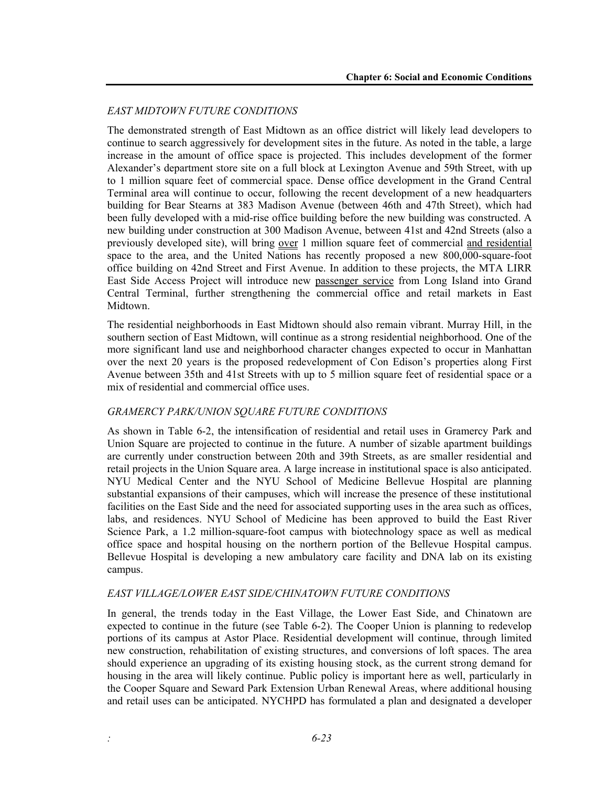#### *EAST MIDTOWN FUTURE CONDITIONS*

The demonstrated strength of East Midtown as an office district will likely lead developers to continue to search aggressively for development sites in the future. As noted in the table, a large increase in the amount of office space is projected. This includes development of the former Alexander's department store site on a full block at Lexington Avenue and 59th Street, with up to 1 million square feet of commercial space. Dense office development in the Grand Central Terminal area will continue to occur, following the recent development of a new headquarters building for Bear Stearns at 383 Madison Avenue (between 46th and 47th Street), which had been fully developed with a mid-rise office building before the new building was constructed. A new building under construction at 300 Madison Avenue, between 41st and 42nd Streets (also a previously developed site), will bring over 1 million square feet of commercial and residential space to the area, and the United Nations has recently proposed a new 800,000-square-foot office building on 42nd Street and First Avenue. In addition to these projects, the MTA LIRR East Side Access Project will introduce new passenger service from Long Island into Grand Central Terminal, further strengthening the commercial office and retail markets in East Midtown.

The residential neighborhoods in East Midtown should also remain vibrant. Murray Hill, in the southern section of East Midtown, will continue as a strong residential neighborhood. One of the more significant land use and neighborhood character changes expected to occur in Manhattan over the next 20 years is the proposed redevelopment of Con Edison's properties along First Avenue between 35th and 41st Streets with up to 5 million square feet of residential space or a mix of residential and commercial office uses.

#### *GRAMERCY PARK/UNION SQUARE FUTURE CONDITIONS*

As shown in Table 6-2, the intensification of residential and retail uses in Gramercy Park and Union Square are projected to continue in the future. A number of sizable apartment buildings are currently under construction between 20th and 39th Streets, as are smaller residential and retail projects in the Union Square area. A large increase in institutional space is also anticipated. NYU Medical Center and the NYU School of Medicine Bellevue Hospital are planning substantial expansions of their campuses, which will increase the presence of these institutional facilities on the East Side and the need for associated supporting uses in the area such as offices, labs, and residences. NYU School of Medicine has been approved to build the East River Science Park, a 1.2 million-square-foot campus with biotechnology space as well as medical office space and hospital housing on the northern portion of the Bellevue Hospital campus. Bellevue Hospital is developing a new ambulatory care facility and DNA lab on its existing campus.

#### *EAST VILLAGE/LOWER EAST SIDE/CHINATOWN FUTURE CONDITIONS*

In general, the trends today in the East Village, the Lower East Side, and Chinatown are expected to continue in the future (see Table 6-2). The Cooper Union is planning to redevelop portions of its campus at Astor Place. Residential development will continue, through limited new construction, rehabilitation of existing structures, and conversions of loft spaces. The area should experience an upgrading of its existing housing stock, as the current strong demand for housing in the area will likely continue. Public policy is important here as well, particularly in the Cooper Square and Seward Park Extension Urban Renewal Areas, where additional housing and retail uses can be anticipated. NYCHPD has formulated a plan and designated a developer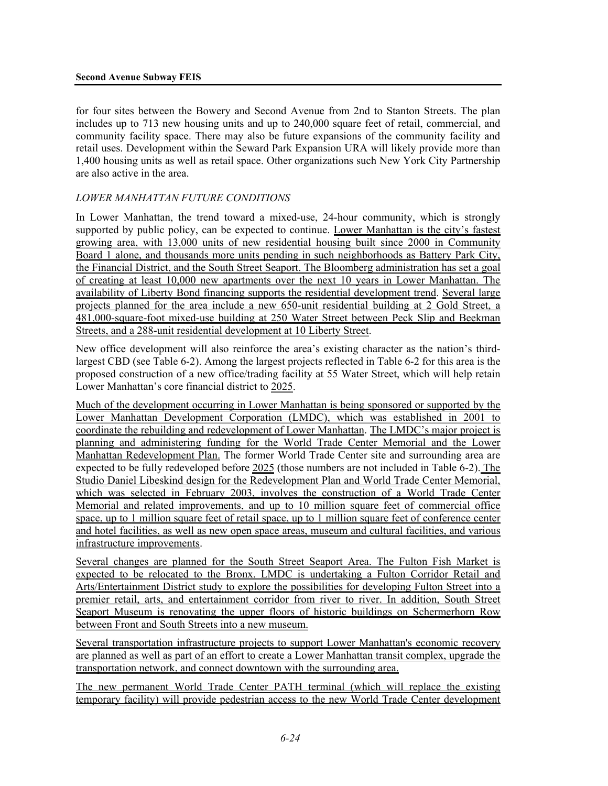for four sites between the Bowery and Second Avenue from 2nd to Stanton Streets. The plan includes up to 713 new housing units and up to 240,000 square feet of retail, commercial, and community facility space. There may also be future expansions of the community facility and retail uses. Development within the Seward Park Expansion URA will likely provide more than 1,400 housing units as well as retail space. Other organizations such New York City Partnership are also active in the area.

#### *LOWER MANHATTAN FUTURE CONDITIONS*

In Lower Manhattan, the trend toward a mixed-use, 24-hour community, which is strongly supported by public policy, can be expected to continue. Lower Manhattan is the city's fastest growing area, with 13,000 units of new residential housing built since 2000 in Community Board 1 alone, and thousands more units pending in such neighborhoods as Battery Park City, the Financial District, and the South Street Seaport. The Bloomberg administration has set a goal of creating at least 10,000 new apartments over the next 10 years in Lower Manhattan. The availability of Liberty Bond financing supports the residential development trend. Several large projects planned for the area include a new 650-unit residential building at 2 Gold Street, a 481,000-square-foot mixed-use building at 250 Water Street between Peck Slip and Beekman Streets, and a 288-unit residential development at 10 Liberty Street.

New office development will also reinforce the area's existing character as the nation's thirdlargest CBD (see Table 6-2). Among the largest projects reflected in Table 6-2 for this area is the proposed construction of a new office/trading facility at 55 Water Street, which will help retain Lower Manhattan's core financial district to 2025.

Much of the development occurring in Lower Manhattan is being sponsored or supported by the Lower Manhattan Development Corporation (LMDC), which was established in 2001 to coordinate the rebuilding and redevelopment of Lower Manhattan. The LMDC's major project is planning and administering funding for the World Trade Center Memorial and the Lower Manhattan Redevelopment Plan. The former World Trade Center site and surrounding area are expected to be fully redeveloped before 2025 (those numbers are not included in Table 6-2). The Studio Daniel Libeskind design for the Redevelopment Plan and World Trade Center Memorial, which was selected in February 2003, involves the construction of a World Trade Center Memorial and related improvements, and up to 10 million square feet of commercial office space, up to 1 million square feet of retail space, up to 1 million square feet of conference center and hotel facilities, as well as new open space areas, museum and cultural facilities, and various infrastructure improvements.

Several changes are planned for the South Street Seaport Area. The Fulton Fish Market is expected to be relocated to the Bronx. LMDC is undertaking a Fulton Corridor Retail and Arts/Entertainment District study to explore the possibilities for developing Fulton Street into a premier retail, arts, and entertainment corridor from river to river. In addition, South Street Seaport Museum is renovating the upper floors of historic buildings on Schermerhorn Row between Front and South Streets into a new museum.

Several transportation infrastructure projects to support Lower Manhattan's economic recovery are planned as well as part of an effort to create a Lower Manhattan transit complex, upgrade the transportation network, and connect downtown with the surrounding area.

The new permanent World Trade Center PATH terminal (which will replace the existing temporary facility) will provide pedestrian access to the new World Trade Center development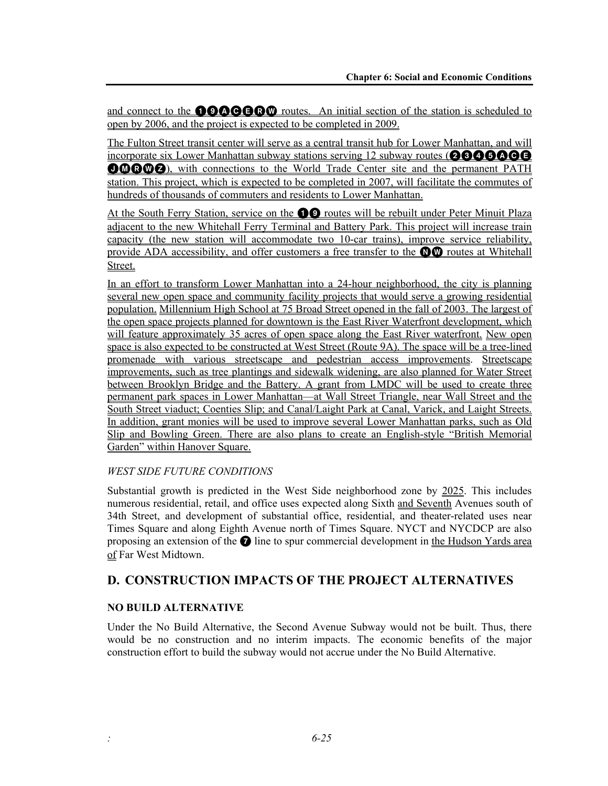and connect to the **000000** routes. An initial section of the station is scheduled to open by 2006, and the project is expected to be completed in 2009.

The Fulton Street transit center will serve as a central transit hub for Lower Manhattan, and will incorporate six Lower Manhattan subway stations serving 12 subway routes ( $\boldsymbol{20000}$ **OMRWZ**), with connections to the World Trade Center site and the permanent PATH station. This project, which is expected to be completed in 2007, will facilitate the commutes of hundreds of thousands of commuters and residents to Lower Manhattan.

At the South Ferry Station, service on the **19 C** routes will be rebuilt under Peter Minuit Plaza adjacent to the new Whitehall Ferry Terminal and Battery Park. This project will increase train capacity (the new station will accommodate two 10-car trains), improve service reliability, provide ADA accessibility, and offer customers a free transfer to the  $\mathbf{0}\mathbf{0}$  routes at Whitehall Street.

In an effort to transform Lower Manhattan into a 24-hour neighborhood, the city is planning several new open space and community facility projects that would serve a growing residential population. Millennium High School at 75 Broad Street opened in the fall of 2003. The largest of the open space projects planned for downtown is the East River Waterfront development, which will feature approximately 35 acres of open space along the East River waterfront. New open space is also expected to be constructed at West Street (Route 9A). The space will be a tree-lined promenade with various streetscape and pedestrian access improvements. Streetscape improvements, such as tree plantings and sidewalk widening, are also planned for Water Street between Brooklyn Bridge and the Battery. A grant from LMDC will be used to create three permanent park spaces in Lower Manhattan—at Wall Street Triangle, near Wall Street and the South Street viaduct; Coenties Slip; and Canal/Laight Park at Canal, Varick, and Laight Streets. In addition, grant monies will be used to improve several Lower Manhattan parks, such as Old Slip and Bowling Green. There are also plans to create an English-style "British Memorial Garden" within Hanover Square.

#### *WEST SIDE FUTURE CONDITIONS*

Substantial growth is predicted in the West Side neighborhood zone by 2025. This includes numerous residential, retail, and office uses expected along Sixth and Seventh Avenues south of 34th Street, and development of substantial office, residential, and theater-related uses near Times Square and along Eighth Avenue north of Times Square. NYCT and NYCDCP are also proposing an extension of the  $\bullet$  line to spur commercial development in the Hudson Yards area of Far West Midtown.

# **D. CONSTRUCTION IMPACTS OF THE PROJECT ALTERNATIVES**

#### **NO BUILD ALTERNATIVE**

Under the No Build Alternative, the Second Avenue Subway would not be built. Thus, there would be no construction and no interim impacts. The economic benefits of the major construction effort to build the subway would not accrue under the No Build Alternative.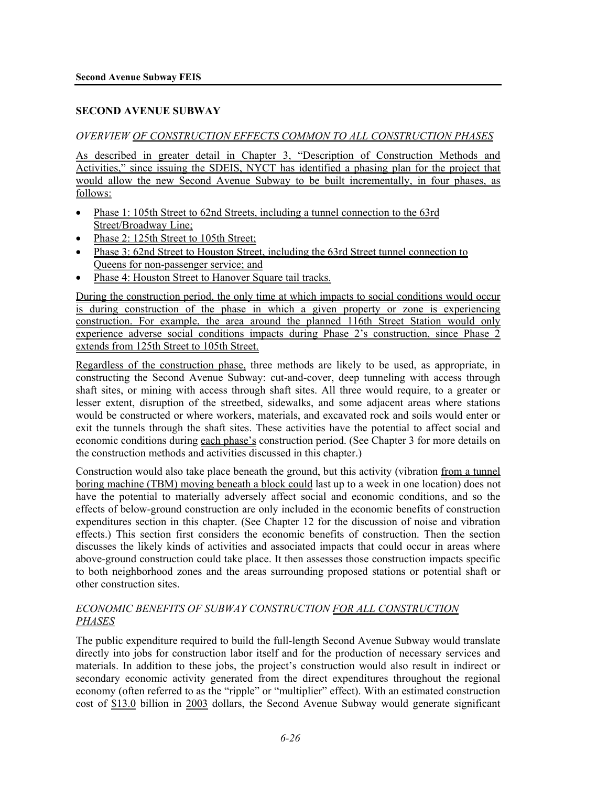#### **SECOND AVENUE SUBWAY**

#### *OVERVIEW OF CONSTRUCTION EFFECTS COMMON TO ALL CONSTRUCTION PHASES*

As described in greater detail in Chapter 3, "Description of Construction Methods and Activities," since issuing the SDEIS, NYCT has identified a phasing plan for the project that would allow the new Second Avenue Subway to be built incrementally, in four phases, as follows:

- Phase 1: 105th Street to 62nd Streets, including a tunnel connection to the 63rd Street/Broadway Line;
- Phase 2: 125th Street to 105th Street;
- Phase 3: 62nd Street to Houston Street, including the 63rd Street tunnel connection to Queens for non-passenger service; and
- Phase 4: Houston Street to Hanover Square tail tracks.

During the construction period, the only time at which impacts to social conditions would occur is during construction of the phase in which a given property or zone is experiencing construction. For example, the area around the planned 116th Street Station would only experience adverse social conditions impacts during Phase 2's construction, since Phase 2 extends from 125th Street to 105th Street.

Regardless of the construction phase, three methods are likely to be used, as appropriate, in constructing the Second Avenue Subway: cut-and-cover, deep tunneling with access through shaft sites, or mining with access through shaft sites. All three would require, to a greater or lesser extent, disruption of the streetbed, sidewalks, and some adjacent areas where stations would be constructed or where workers, materials, and excavated rock and soils would enter or exit the tunnels through the shaft sites. These activities have the potential to affect social and economic conditions during each phase's construction period. (See Chapter 3 for more details on the construction methods and activities discussed in this chapter.)

Construction would also take place beneath the ground, but this activity (vibration from a tunnel boring machine (TBM) moving beneath a block could last up to a week in one location) does not have the potential to materially adversely affect social and economic conditions, and so the effects of below-ground construction are only included in the economic benefits of construction expenditures section in this chapter. (See Chapter 12 for the discussion of noise and vibration effects.) This section first considers the economic benefits of construction. Then the section discusses the likely kinds of activities and associated impacts that could occur in areas where above-ground construction could take place. It then assesses those construction impacts specific to both neighborhood zones and the areas surrounding proposed stations or potential shaft or other construction sites.

#### *ECONOMIC BENEFITS OF SUBWAY CONSTRUCTION FOR ALL CONSTRUCTION PHASES*

The public expenditure required to build the full-length Second Avenue Subway would translate directly into jobs for construction labor itself and for the production of necessary services and materials. In addition to these jobs, the project's construction would also result in indirect or secondary economic activity generated from the direct expenditures throughout the regional economy (often referred to as the "ripple" or "multiplier" effect). With an estimated construction cost of \$13.0 billion in 2003 dollars, the Second Avenue Subway would generate significant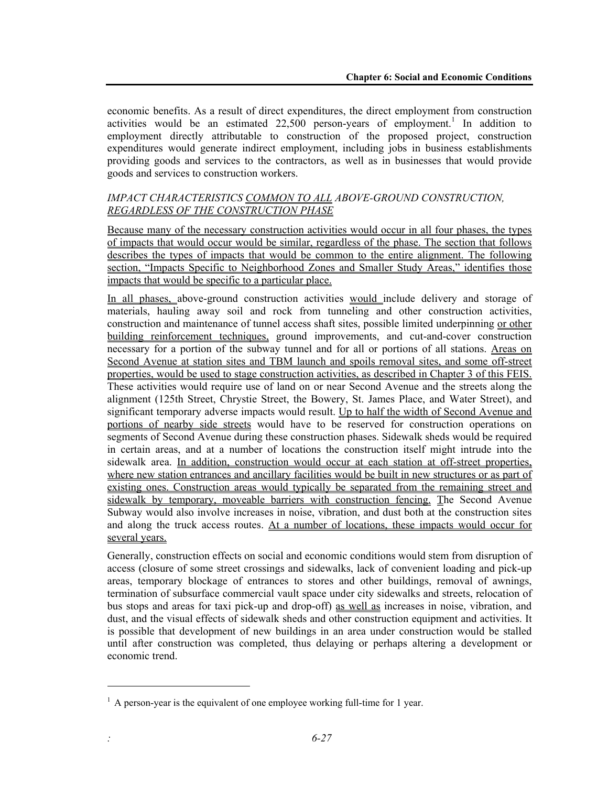economic benefits. As a result of direct expenditures, the direct employment from construction activities would be an estimated  $22,500$  person-years of employment.<sup>1</sup> In addition to employment directly attributable to construction of the proposed project, construction expenditures would generate indirect employment, including jobs in business establishments providing goods and services to the contractors, as well as in businesses that would provide goods and services to construction workers.

#### *IMPACT CHARACTERISTICS COMMON TO ALL ABOVE-GROUND CONSTRUCTION, REGARDLESS OF THE CONSTRUCTION PHASE*

Because many of the necessary construction activities would occur in all four phases, the types of impacts that would occur would be similar, regardless of the phase. The section that follows describes the types of impacts that would be common to the entire alignment. The following section, "Impacts Specific to Neighborhood Zones and Smaller Study Areas," identifies those impacts that would be specific to a particular place.

In all phases, above-ground construction activities would include delivery and storage of materials, hauling away soil and rock from tunneling and other construction activities, construction and maintenance of tunnel access shaft sites, possible limited underpinning or other building reinforcement techniques, ground improvements, and cut-and-cover construction necessary for a portion of the subway tunnel and for all or portions of all stations. Areas on Second Avenue at station sites and TBM launch and spoils removal sites, and some off-street properties, would be used to stage construction activities, as described in Chapter 3 of this FEIS. These activities would require use of land on or near Second Avenue and the streets along the alignment (125th Street, Chrystie Street, the Bowery, St. James Place, and Water Street), and significant temporary adverse impacts would result. Up to half the width of Second Avenue and portions of nearby side streets would have to be reserved for construction operations on segments of Second Avenue during these construction phases. Sidewalk sheds would be required in certain areas, and at a number of locations the construction itself might intrude into the sidewalk area. In addition, construction would occur at each station at off-street properties, where new station entrances and ancillary facilities would be built in new structures or as part of existing ones. Construction areas would typically be separated from the remaining street and sidewalk by temporary, moveable barriers with construction fencing. The Second Avenue Subway would also involve increases in noise, vibration, and dust both at the construction sites and along the truck access routes. At a number of locations, these impacts would occur for several years.

Generally, construction effects on social and economic conditions would stem from disruption of access (closure of some street crossings and sidewalks, lack of convenient loading and pick-up areas, temporary blockage of entrances to stores and other buildings, removal of awnings, termination of subsurface commercial vault space under city sidewalks and streets, relocation of bus stops and areas for taxi pick-up and drop-off) as well as increases in noise, vibration, and dust, and the visual effects of sidewalk sheds and other construction equipment and activities. It is possible that development of new buildings in an area under construction would be stalled until after construction was completed, thus delaying or perhaps altering a development or economic trend.

l

 $<sup>1</sup>$  A person-year is the equivalent of one employee working full-time for 1 year.</sup>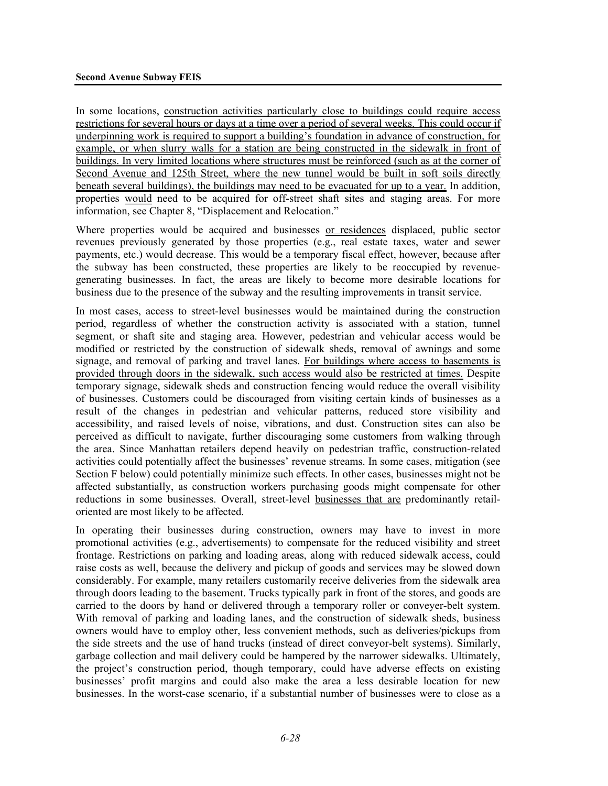In some locations, construction activities particularly close to buildings could require access restrictions for several hours or days at a time over a period of several weeks. This could occur if underpinning work is required to support a building's foundation in advance of construction, for example, or when slurry walls for a station are being constructed in the sidewalk in front of buildings. In very limited locations where structures must be reinforced (such as at the corner of Second Avenue and 125th Street, where the new tunnel would be built in soft soils directly beneath several buildings), the buildings may need to be evacuated for up to a year. In addition, properties would need to be acquired for off-street shaft sites and staging areas. For more information, see Chapter 8, "Displacement and Relocation."

Where properties would be acquired and businesses or residences displaced, public sector revenues previously generated by those properties (e.g., real estate taxes, water and sewer payments, etc.) would decrease. This would be a temporary fiscal effect, however, because after the subway has been constructed, these properties are likely to be reoccupied by revenuegenerating businesses. In fact, the areas are likely to become more desirable locations for business due to the presence of the subway and the resulting improvements in transit service.

In most cases, access to street-level businesses would be maintained during the construction period, regardless of whether the construction activity is associated with a station, tunnel segment, or shaft site and staging area. However, pedestrian and vehicular access would be modified or restricted by the construction of sidewalk sheds, removal of awnings and some signage, and removal of parking and travel lanes. For buildings where access to basements is provided through doors in the sidewalk, such access would also be restricted at times. Despite temporary signage, sidewalk sheds and construction fencing would reduce the overall visibility of businesses. Customers could be discouraged from visiting certain kinds of businesses as a result of the changes in pedestrian and vehicular patterns, reduced store visibility and accessibility, and raised levels of noise, vibrations, and dust. Construction sites can also be perceived as difficult to navigate, further discouraging some customers from walking through the area. Since Manhattan retailers depend heavily on pedestrian traffic, construction-related activities could potentially affect the businesses' revenue streams. In some cases, mitigation (see Section F below) could potentially minimize such effects. In other cases, businesses might not be affected substantially, as construction workers purchasing goods might compensate for other reductions in some businesses. Overall, street-level businesses that are predominantly retailoriented are most likely to be affected.

In operating their businesses during construction, owners may have to invest in more promotional activities (e.g., advertisements) to compensate for the reduced visibility and street frontage. Restrictions on parking and loading areas, along with reduced sidewalk access, could raise costs as well, because the delivery and pickup of goods and services may be slowed down considerably. For example, many retailers customarily receive deliveries from the sidewalk area through doors leading to the basement. Trucks typically park in front of the stores, and goods are carried to the doors by hand or delivered through a temporary roller or conveyer-belt system. With removal of parking and loading lanes, and the construction of sidewalk sheds, business owners would have to employ other, less convenient methods, such as deliveries/pickups from the side streets and the use of hand trucks (instead of direct conveyor-belt systems). Similarly, garbage collection and mail delivery could be hampered by the narrower sidewalks. Ultimately, the project's construction period, though temporary, could have adverse effects on existing businesses' profit margins and could also make the area a less desirable location for new businesses. In the worst-case scenario, if a substantial number of businesses were to close as a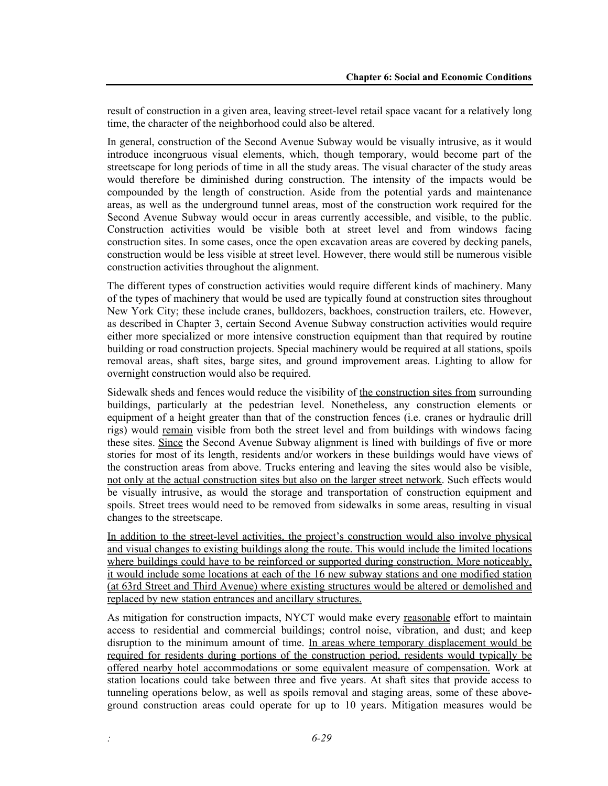result of construction in a given area, leaving street-level retail space vacant for a relatively long time, the character of the neighborhood could also be altered.

In general, construction of the Second Avenue Subway would be visually intrusive, as it would introduce incongruous visual elements, which, though temporary, would become part of the streetscape for long periods of time in all the study areas. The visual character of the study areas would therefore be diminished during construction. The intensity of the impacts would be compounded by the length of construction. Aside from the potential yards and maintenance areas, as well as the underground tunnel areas, most of the construction work required for the Second Avenue Subway would occur in areas currently accessible, and visible, to the public. Construction activities would be visible both at street level and from windows facing construction sites. In some cases, once the open excavation areas are covered by decking panels, construction would be less visible at street level. However, there would still be numerous visible construction activities throughout the alignment.

The different types of construction activities would require different kinds of machinery. Many of the types of machinery that would be used are typically found at construction sites throughout New York City; these include cranes, bulldozers, backhoes, construction trailers, etc. However, as described in Chapter 3, certain Second Avenue Subway construction activities would require either more specialized or more intensive construction equipment than that required by routine building or road construction projects. Special machinery would be required at all stations, spoils removal areas, shaft sites, barge sites, and ground improvement areas. Lighting to allow for overnight construction would also be required.

Sidewalk sheds and fences would reduce the visibility of the construction sites from surrounding buildings, particularly at the pedestrian level. Nonetheless, any construction elements or equipment of a height greater than that of the construction fences (i.e. cranes or hydraulic drill rigs) would remain visible from both the street level and from buildings with windows facing these sites. Since the Second Avenue Subway alignment is lined with buildings of five or more stories for most of its length, residents and/or workers in these buildings would have views of the construction areas from above. Trucks entering and leaving the sites would also be visible, not only at the actual construction sites but also on the larger street network. Such effects would be visually intrusive, as would the storage and transportation of construction equipment and spoils. Street trees would need to be removed from sidewalks in some areas, resulting in visual changes to the streetscape.

In addition to the street-level activities, the project's construction would also involve physical and visual changes to existing buildings along the route. This would include the limited locations where buildings could have to be reinforced or supported during construction. More noticeably, it would include some locations at each of the 16 new subway stations and one modified station (at 63rd Street and Third Avenue) where existing structures would be altered or demolished and replaced by new station entrances and ancillary structures.

As mitigation for construction impacts, NYCT would make every reasonable effort to maintain access to residential and commercial buildings; control noise, vibration, and dust; and keep disruption to the minimum amount of time. In areas where temporary displacement would be required for residents during portions of the construction period, residents would typically be offered nearby hotel accommodations or some equivalent measure of compensation. Work at station locations could take between three and five years. At shaft sites that provide access to tunneling operations below, as well as spoils removal and staging areas, some of these aboveground construction areas could operate for up to 10 years. Mitigation measures would be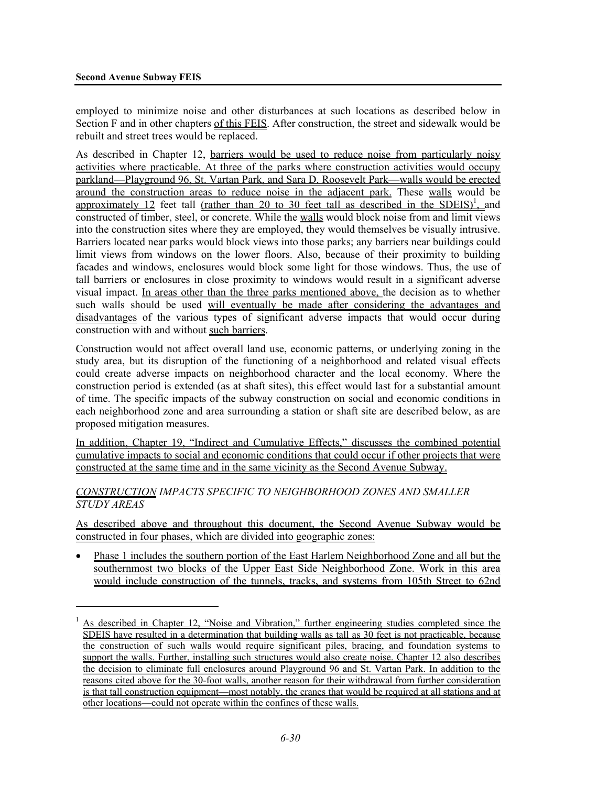<u>.</u>

employed to minimize noise and other disturbances at such locations as described below in Section F and in other chapters of this FEIS. After construction, the street and sidewalk would be rebuilt and street trees would be replaced.

As described in Chapter 12, barriers would be used to reduce noise from particularly noisy activities where practicable. At three of the parks where construction activities would occupy parkland—Playground 96, St. Vartan Park, and Sara D. Roosevelt Park—walls would be erected around the construction areas to reduce noise in the adjacent park. These walls would be approximately 12 feet tall (rather than 20 to 30 feet tall as described in the SDEIS)<sup>1</sup>, and constructed of timber, steel, or concrete. While the walls would block noise from and limit views into the construction sites where they are employed, they would themselves be visually intrusive. Barriers located near parks would block views into those parks; any barriers near buildings could limit views from windows on the lower floors. Also, because of their proximity to building facades and windows, enclosures would block some light for those windows. Thus, the use of tall barriers or enclosures in close proximity to windows would result in a significant adverse visual impact. In areas other than the three parks mentioned above, the decision as to whether such walls should be used will eventually be made after considering the advantages and disadvantages of the various types of significant adverse impacts that would occur during construction with and without such barriers.

Construction would not affect overall land use, economic patterns, or underlying zoning in the study area, but its disruption of the functioning of a neighborhood and related visual effects could create adverse impacts on neighborhood character and the local economy. Where the construction period is extended (as at shaft sites), this effect would last for a substantial amount of time. The specific impacts of the subway construction on social and economic conditions in each neighborhood zone and area surrounding a station or shaft site are described below, as are proposed mitigation measures.

In addition, Chapter 19, "Indirect and Cumulative Effects," discusses the combined potential cumulative impacts to social and economic conditions that could occur if other projects that were constructed at the same time and in the same vicinity as the Second Avenue Subway.

#### *CONSTRUCTION IMPACTS SPECIFIC TO NEIGHBORHOOD ZONES AND SMALLER STUDY AREAS*

As described above and throughout this document, the Second Avenue Subway would be constructed in four phases, which are divided into geographic zones:

• Phase 1 includes the southern portion of the East Harlem Neighborhood Zone and all but the southernmost two blocks of the Upper East Side Neighborhood Zone. Work in this area would include construction of the tunnels, tracks, and systems from 105th Street to 62nd

<sup>1</sup> As described in Chapter 12, "Noise and Vibration," further engineering studies completed since the SDEIS have resulted in a determination that building walls as tall as 30 feet is not practicable, because the construction of such walls would require significant piles, bracing, and foundation systems to support the walls. Further, installing such structures would also create noise. Chapter 12 also describes the decision to eliminate full enclosures around Playground 96 and St. Vartan Park. In addition to the reasons cited above for the 30-foot walls, another reason for their withdrawal from further consideration is that tall construction equipment—most notably, the cranes that would be required at all stations and at other locations—could not operate within the confines of these walls.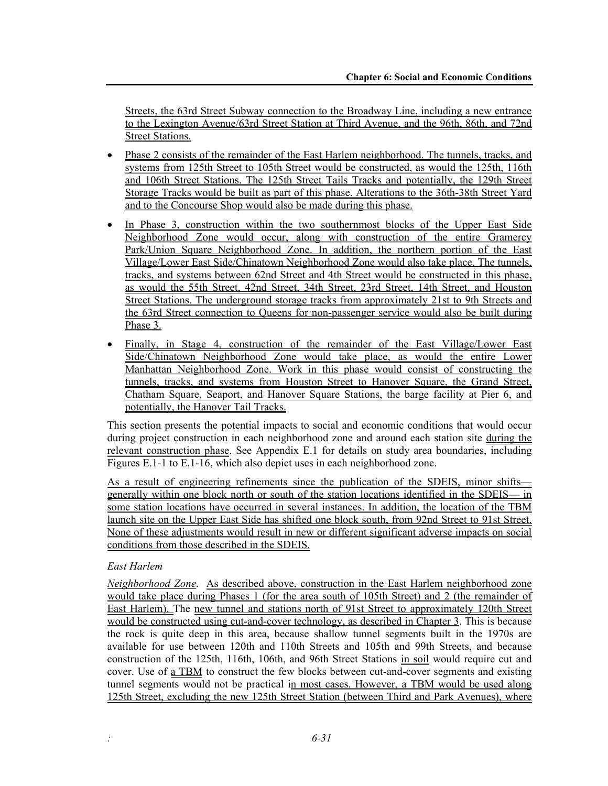Streets, the 63rd Street Subway connection to the Broadway Line, including a new entrance to the Lexington Avenue/63rd Street Station at Third Avenue, and the 96th, 86th, and 72nd **Street Stations.** 

- Phase 2 consists of the remainder of the East Harlem neighborhood. The tunnels, tracks, and systems from 125th Street to 105th Street would be constructed, as would the 125th, 116th and 106th Street Stations. The 125th Street Tails Tracks and potentially, the 129th Street Storage Tracks would be built as part of this phase. Alterations to the 36th-38th Street Yard and to the Concourse Shop would also be made during this phase.
- In Phase 3, construction within the two southernmost blocks of the Upper East Side Neighborhood Zone would occur, along with construction of the entire Gramercy Park/Union Square Neighborhood Zone. In addition, the northern portion of the East Village/Lower East Side/Chinatown Neighborhood Zone would also take place. The tunnels, tracks, and systems between 62nd Street and 4th Street would be constructed in this phase, as would the 55th Street, 42nd Street, 34th Street, 23rd Street, 14th Street, and Houston Street Stations. The underground storage tracks from approximately 21st to 9th Streets and the 63rd Street connection to Queens for non-passenger service would also be built during Phase 3.
- Finally, in Stage 4, construction of the remainder of the East Village/Lower East Side/Chinatown Neighborhood Zone would take place, as would the entire Lower Manhattan Neighborhood Zone. Work in this phase would consist of constructing the tunnels, tracks, and systems from Houston Street to Hanover Square, the Grand Street, Chatham Square, Seaport, and Hanover Square Stations, the barge facility at Pier 6, and potentially, the Hanover Tail Tracks.

This section presents the potential impacts to social and economic conditions that would occur during project construction in each neighborhood zone and around each station site during the relevant construction phase. See Appendix E.1 for details on study area boundaries, including Figures E.1-1 to E.1-16, which also depict uses in each neighborhood zone.

As a result of engineering refinements since the publication of the SDEIS, minor shifts generally within one block north or south of the station locations identified in the SDEIS— in some station locations have occurred in several instances. In addition, the location of the TBM launch site on the Upper East Side has shifted one block south, from 92nd Street to 91st Street. None of these adjustments would result in new or different significant adverse impacts on social conditions from those described in the SDEIS.

#### *East Harlem*

*Neighborhood Zone*. As described above, construction in the East Harlem neighborhood zone would take place during Phases 1 (for the area south of 105th Street) and 2 (the remainder of East Harlem). The new tunnel and stations north of 91st Street to approximately 120th Street would be constructed using cut-and-cover technology, as described in Chapter 3. This is because the rock is quite deep in this area, because shallow tunnel segments built in the 1970s are available for use between 120th and 110th Streets and 105th and 99th Streets, and because construction of the 125th, 116th, 106th, and 96th Street Stations in soil would require cut and cover. Use of a TBM to construct the few blocks between cut-and-cover segments and existing tunnel segments would not be practical in most cases. However, a TBM would be used along 125th Street, excluding the new 125th Street Station (between Third and Park Avenues), where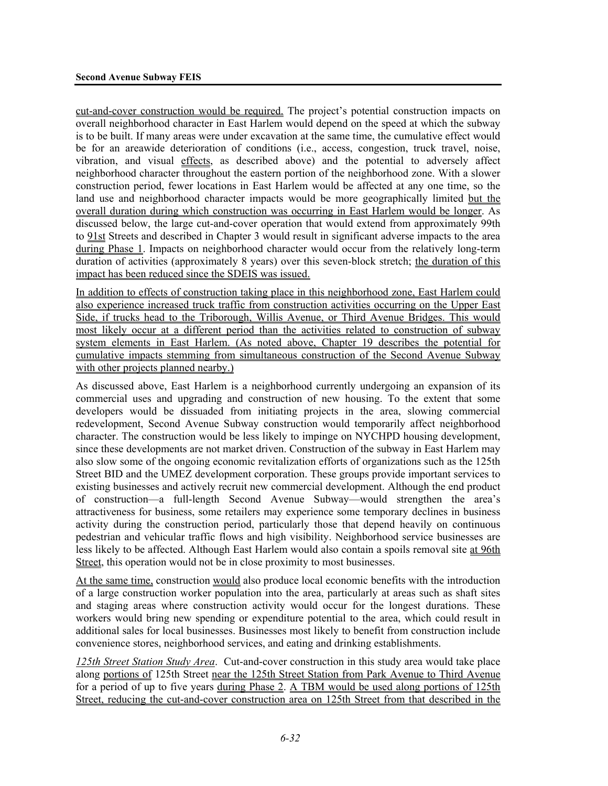cut-and-cover construction would be required. The project's potential construction impacts on overall neighborhood character in East Harlem would depend on the speed at which the subway is to be built. If many areas were under excavation at the same time, the cumulative effect would be for an areawide deterioration of conditions (i.e., access, congestion, truck travel, noise, vibration, and visual effects, as described above) and the potential to adversely affect neighborhood character throughout the eastern portion of the neighborhood zone. With a slower construction period, fewer locations in East Harlem would be affected at any one time, so the land use and neighborhood character impacts would be more geographically limited but the overall duration during which construction was occurring in East Harlem would be longer. As discussed below, the large cut-and-cover operation that would extend from approximately 99th to 91st Streets and described in Chapter 3 would result in significant adverse impacts to the area during Phase 1. Impacts on neighborhood character would occur from the relatively long-term duration of activities (approximately 8 years) over this seven-block stretch; the duration of this impact has been reduced since the SDEIS was issued.

In addition to effects of construction taking place in this neighborhood zone, East Harlem could also experience increased truck traffic from construction activities occurring on the Upper East Side, if trucks head to the Triborough, Willis Avenue, or Third Avenue Bridges. This would most likely occur at a different period than the activities related to construction of subway system elements in East Harlem. (As noted above, Chapter 19 describes the potential for cumulative impacts stemming from simultaneous construction of the Second Avenue Subway with other projects planned nearby.)

As discussed above, East Harlem is a neighborhood currently undergoing an expansion of its commercial uses and upgrading and construction of new housing. To the extent that some developers would be dissuaded from initiating projects in the area, slowing commercial redevelopment, Second Avenue Subway construction would temporarily affect neighborhood character. The construction would be less likely to impinge on NYCHPD housing development, since these developments are not market driven. Construction of the subway in East Harlem may also slow some of the ongoing economic revitalization efforts of organizations such as the 125th Street BID and the UMEZ development corporation. These groups provide important services to existing businesses and actively recruit new commercial development. Although the end product of construction—a full-length Second Avenue Subway—would strengthen the area's attractiveness for business, some retailers may experience some temporary declines in business activity during the construction period, particularly those that depend heavily on continuous pedestrian and vehicular traffic flows and high visibility. Neighborhood service businesses are less likely to be affected. Although East Harlem would also contain a spoils removal site at 96th Street, this operation would not be in close proximity to most businesses.

At the same time, construction would also produce local economic benefits with the introduction of a large construction worker population into the area, particularly at areas such as shaft sites and staging areas where construction activity would occur for the longest durations. These workers would bring new spending or expenditure potential to the area, which could result in additional sales for local businesses. Businesses most likely to benefit from construction include convenience stores, neighborhood services, and eating and drinking establishments.

*125th Street Station Study Area*. Cut-and-cover construction in this study area would take place along portions of 125th Street near the 125th Street Station from Park Avenue to Third Avenue for a period of up to five years during Phase 2. A TBM would be used along portions of 125th Street, reducing the cut-and-cover construction area on 125th Street from that described in the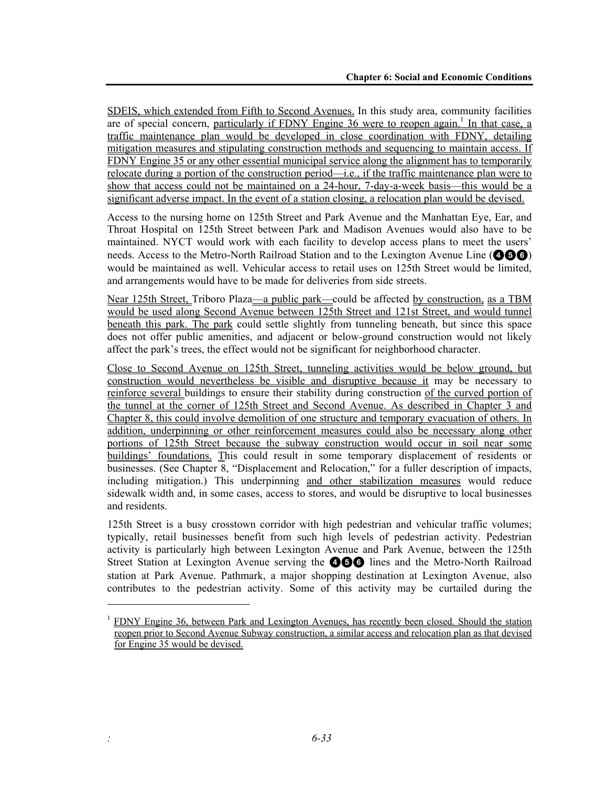SDEIS, which extended from Fifth to Second Avenues. In this study area, community facilities are of special concern, particularly if  $FDNY$  Engine  $36$  were to reopen again.<sup>1</sup> In that case, a traffic maintenance plan would be developed in close coordination with FDNY, detailing mitigation measures and stipulating construction methods and sequencing to maintain access. If FDNY Engine 35 or any other essential municipal service along the alignment has to temporarily relocate during a portion of the construction period—i.e., if the traffic maintenance plan were to show that access could not be maintained on a 24-hour, 7-day-a-week basis—this would be a significant adverse impact. In the event of a station closing, a relocation plan would be devised.

Access to the nursing home on 125th Street and Park Avenue and the Manhattan Eye, Ear, and Throat Hospital on 125th Street between Park and Madison Avenues would also have to be maintained. NYCT would work with each facility to develop access plans to meet the users' needs. Access to the Metro-North Railroad Station and to the Lexington Avenue Line (**456**) would be maintained as well. Vehicular access to retail uses on 125th Street would be limited, and arrangements would have to be made for deliveries from side streets.

Near 125th Street, Triboro Plaza—a public park—could be affected by construction, as a TBM would be used along Second Avenue between 125th Street and 121st Street, and would tunnel beneath this park. The park could settle slightly from tunneling beneath, but since this space does not offer public amenities, and adjacent or below-ground construction would not likely affect the park's trees, the effect would not be significant for neighborhood character.

Close to Second Avenue on 125th Street, tunneling activities would be below ground, but construction would nevertheless be visible and disruptive because it may be necessary to reinforce several buildings to ensure their stability during construction of the curved portion of the tunnel at the corner of 125th Street and Second Avenue. As described in Chapter 3 and Chapter 8, this could involve demolition of one structure and temporary evacuation of others. In addition, underpinning or other reinforcement measures could also be necessary along other portions of 125th Street because the subway construction would occur in soil near some buildings' foundations. This could result in some temporary displacement of residents or businesses. (See Chapter 8, "Displacement and Relocation," for a fuller description of impacts, including mitigation.) This underpinning and other stabilization measures would reduce sidewalk width and, in some cases, access to stores, and would be disruptive to local businesses and residents.

125th Street is a busy crosstown corridor with high pedestrian and vehicular traffic volumes; typically, retail businesses benefit from such high levels of pedestrian activity. Pedestrian activity is particularly high between Lexington Avenue and Park Avenue, between the 125th Street Station at Lexington Avenue serving the **466** lines and the Metro-North Railroad station at Park Avenue. Pathmark, a major shopping destination at Lexington Avenue, also contributes to the pedestrian activity. Some of this activity may be curtailed during the

-

<sup>&</sup>lt;sup>1</sup> FDNY Engine 36, between Park and Lexington Avenues, has recently been closed. Should the station reopen prior to Second Avenue Subway construction, a similar access and relocation plan as that devised for Engine 35 would be devised.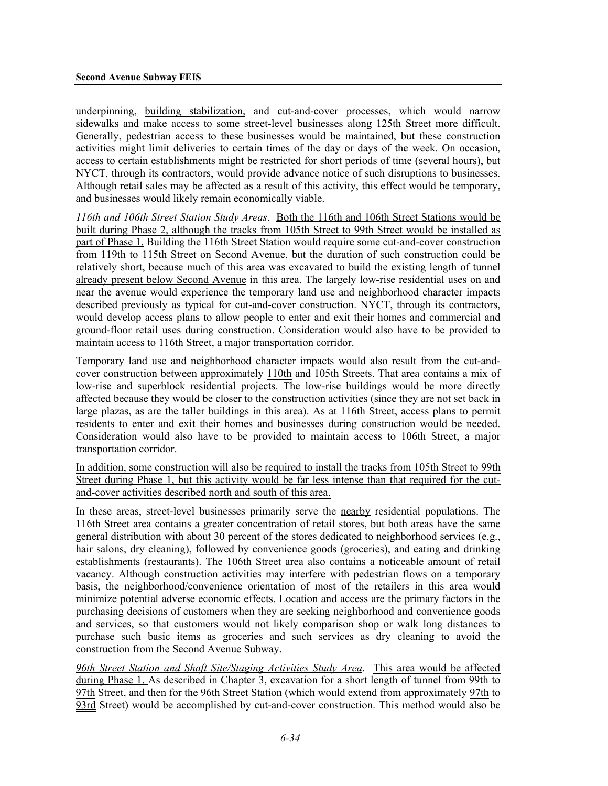underpinning, building stabilization, and cut-and-cover processes, which would narrow sidewalks and make access to some street-level businesses along 125th Street more difficult. Generally, pedestrian access to these businesses would be maintained, but these construction activities might limit deliveries to certain times of the day or days of the week. On occasion, access to certain establishments might be restricted for short periods of time (several hours), but NYCT, through its contractors, would provide advance notice of such disruptions to businesses. Although retail sales may be affected as a result of this activity, this effect would be temporary, and businesses would likely remain economically viable.

*116th and 106th Street Station Study Areas*. Both the 116th and 106th Street Stations would be built during Phase 2, although the tracks from 105th Street to 99th Street would be installed as part of Phase 1. Building the 116th Street Station would require some cut-and-cover construction from 119th to 115th Street on Second Avenue, but the duration of such construction could be relatively short, because much of this area was excavated to build the existing length of tunnel already present below Second Avenue in this area. The largely low-rise residential uses on and near the avenue would experience the temporary land use and neighborhood character impacts described previously as typical for cut-and-cover construction. NYCT, through its contractors, would develop access plans to allow people to enter and exit their homes and commercial and ground-floor retail uses during construction. Consideration would also have to be provided to maintain access to 116th Street, a major transportation corridor.

Temporary land use and neighborhood character impacts would also result from the cut-andcover construction between approximately 110th and 105th Streets. That area contains a mix of low-rise and superblock residential projects. The low-rise buildings would be more directly affected because they would be closer to the construction activities (since they are not set back in large plazas, as are the taller buildings in this area). As at 116th Street, access plans to permit residents to enter and exit their homes and businesses during construction would be needed. Consideration would also have to be provided to maintain access to 106th Street, a major transportation corridor.

In addition, some construction will also be required to install the tracks from 105th Street to 99th Street during Phase 1, but this activity would be far less intense than that required for the cutand-cover activities described north and south of this area.

In these areas, street-level businesses primarily serve the nearby residential populations. The 116th Street area contains a greater concentration of retail stores, but both areas have the same general distribution with about 30 percent of the stores dedicated to neighborhood services (e.g., hair salons, dry cleaning), followed by convenience goods (groceries), and eating and drinking establishments (restaurants). The 106th Street area also contains a noticeable amount of retail vacancy. Although construction activities may interfere with pedestrian flows on a temporary basis, the neighborhood/convenience orientation of most of the retailers in this area would minimize potential adverse economic effects. Location and access are the primary factors in the purchasing decisions of customers when they are seeking neighborhood and convenience goods and services, so that customers would not likely comparison shop or walk long distances to purchase such basic items as groceries and such services as dry cleaning to avoid the construction from the Second Avenue Subway.

*96th Street Station and Shaft Site/Staging Activities Study Area*. This area would be affected during Phase 1. As described in Chapter 3, excavation for a short length of tunnel from 99th to 97th Street, and then for the 96th Street Station (which would extend from approximately 97th to 93rd Street) would be accomplished by cut-and-cover construction. This method would also be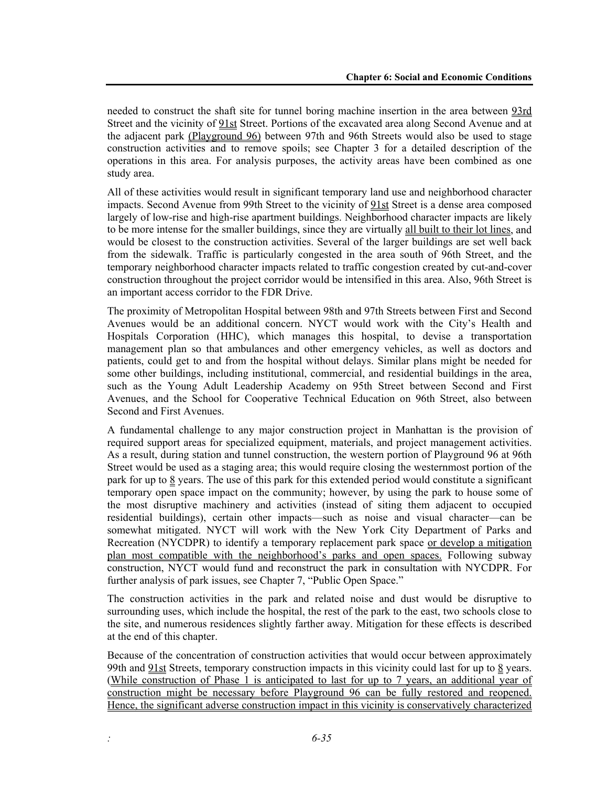needed to construct the shaft site for tunnel boring machine insertion in the area between 93rd Street and the vicinity of 91st Street. Portions of the excavated area along Second Avenue and at the adjacent park (Playground 96) between 97th and 96th Streets would also be used to stage construction activities and to remove spoils; see Chapter 3 for a detailed description of the operations in this area. For analysis purposes, the activity areas have been combined as one study area.

All of these activities would result in significant temporary land use and neighborhood character impacts. Second Avenue from 99th Street to the vicinity of 91st Street is a dense area composed largely of low-rise and high-rise apartment buildings. Neighborhood character impacts are likely to be more intense for the smaller buildings, since they are virtually all built to their lot lines, and would be closest to the construction activities. Several of the larger buildings are set well back from the sidewalk. Traffic is particularly congested in the area south of 96th Street, and the temporary neighborhood character impacts related to traffic congestion created by cut-and-cover construction throughout the project corridor would be intensified in this area. Also, 96th Street is an important access corridor to the FDR Drive.

The proximity of Metropolitan Hospital between 98th and 97th Streets between First and Second Avenues would be an additional concern. NYCT would work with the City's Health and Hospitals Corporation (HHC), which manages this hospital, to devise a transportation management plan so that ambulances and other emergency vehicles, as well as doctors and patients, could get to and from the hospital without delays. Similar plans might be needed for some other buildings, including institutional, commercial, and residential buildings in the area, such as the Young Adult Leadership Academy on 95th Street between Second and First Avenues, and the School for Cooperative Technical Education on 96th Street, also between Second and First Avenues.

A fundamental challenge to any major construction project in Manhattan is the provision of required support areas for specialized equipment, materials, and project management activities. As a result, during station and tunnel construction, the western portion of Playground 96 at 96th Street would be used as a staging area; this would require closing the westernmost portion of the park for up to 8 years. The use of this park for this extended period would constitute a significant temporary open space impact on the community; however, by using the park to house some of the most disruptive machinery and activities (instead of siting them adjacent to occupied residential buildings), certain other impacts—such as noise and visual character—can be somewhat mitigated. NYCT will work with the New York City Department of Parks and Recreation (NYCDPR) to identify a temporary replacement park space or develop a mitigation plan most compatible with the neighborhood's parks and open spaces. Following subway construction, NYCT would fund and reconstruct the park in consultation with NYCDPR. For further analysis of park issues, see Chapter 7, "Public Open Space."

The construction activities in the park and related noise and dust would be disruptive to surrounding uses, which include the hospital, the rest of the park to the east, two schools close to the site, and numerous residences slightly farther away. Mitigation for these effects is described at the end of this chapter.

Because of the concentration of construction activities that would occur between approximately 99th and <u>91st</u> Streets, temporary construction impacts in this vicinity could last for up to 8 years. (While construction of Phase 1 is anticipated to last for up to 7 years, an additional year of construction might be necessary before Playground 96 can be fully restored and reopened. Hence, the significant adverse construction impact in this vicinity is conservatively characterized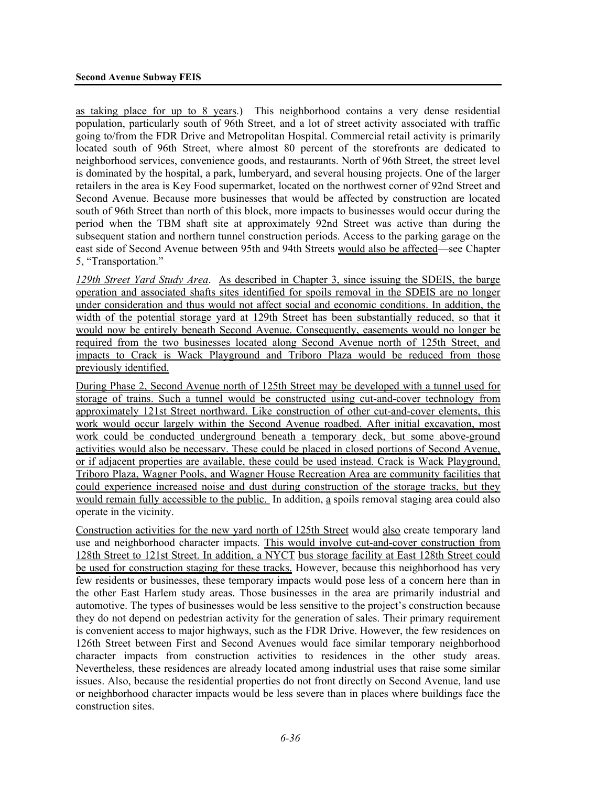as taking place for up to 8 years.)This neighborhood contains a very dense residential population, particularly south of 96th Street, and a lot of street activity associated with traffic going to/from the FDR Drive and Metropolitan Hospital. Commercial retail activity is primarily located south of 96th Street, where almost 80 percent of the storefronts are dedicated to neighborhood services, convenience goods, and restaurants. North of 96th Street, the street level is dominated by the hospital, a park, lumberyard, and several housing projects. One of the larger retailers in the area is Key Food supermarket, located on the northwest corner of 92nd Street and Second Avenue. Because more businesses that would be affected by construction are located south of 96th Street than north of this block, more impacts to businesses would occur during the period when the TBM shaft site at approximately 92nd Street was active than during the subsequent station and northern tunnel construction periods. Access to the parking garage on the east side of Second Avenue between 95th and 94th Streets would also be affected—see Chapter 5, "Transportation."

*129th Street Yard Study Area*. As described in Chapter 3, since issuing the SDEIS, the barge operation and associated shafts sites identified for spoils removal in the SDEIS are no longer under consideration and thus would not affect social and economic conditions. In addition, the width of the potential storage yard at 129th Street has been substantially reduced, so that it would now be entirely beneath Second Avenue. Consequently, easements would no longer be required from the two businesses located along Second Avenue north of 125th Street, and impacts to Crack is Wack Playground and Triboro Plaza would be reduced from those previously identified.

During Phase 2, Second Avenue north of 125th Street may be developed with a tunnel used for storage of trains. Such a tunnel would be constructed using cut-and-cover technology from approximately 121st Street northward. Like construction of other cut-and-cover elements, this work would occur largely within the Second Avenue roadbed. After initial excavation, most work could be conducted underground beneath a temporary deck, but some above-ground activities would also be necessary. These could be placed in closed portions of Second Avenue, or if adjacent properties are available, these could be used instead. Crack is Wack Playground, Triboro Plaza, Wagner Pools, and Wagner House Recreation Area are community facilities that could experience increased noise and dust during construction of the storage tracks, but they would remain fully accessible to the public. In addition, a spoils removal staging area could also operate in the vicinity.

Construction activities for the new yard north of 125th Street would also create temporary land use and neighborhood character impacts. This would involve cut-and-cover construction from 128th Street to 121st Street. In addition, a NYCT bus storage facility at East 128th Street could be used for construction staging for these tracks. However, because this neighborhood has very few residents or businesses, these temporary impacts would pose less of a concern here than in the other East Harlem study areas. Those businesses in the area are primarily industrial and automotive. The types of businesses would be less sensitive to the project's construction because they do not depend on pedestrian activity for the generation of sales. Their primary requirement is convenient access to major highways, such as the FDR Drive. However, the few residences on 126th Street between First and Second Avenues would face similar temporary neighborhood character impacts from construction activities to residences in the other study areas. Nevertheless, these residences are already located among industrial uses that raise some similar issues. Also, because the residential properties do not front directly on Second Avenue, land use or neighborhood character impacts would be less severe than in places where buildings face the construction sites.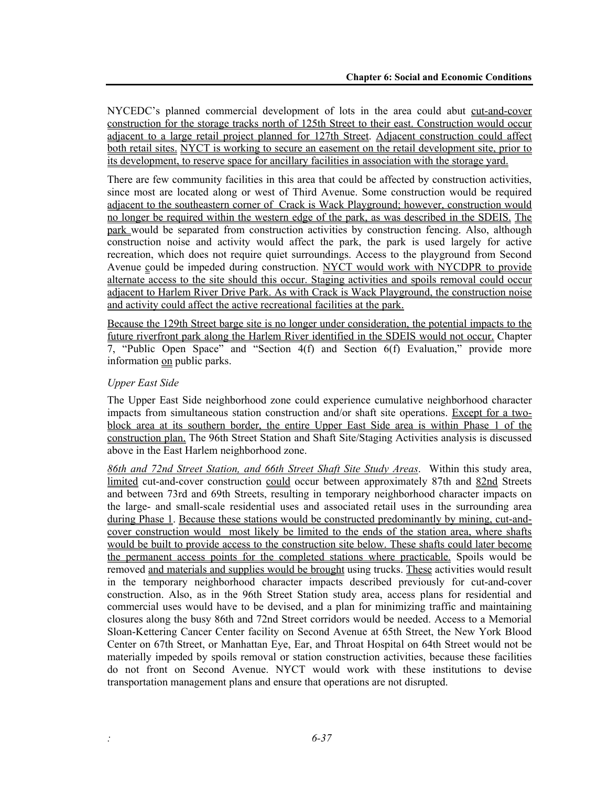NYCEDC's planned commercial development of lots in the area could abut cut-and-cover construction for the storage tracks north of 125th Street to their east. Construction would occur adjacent to a large retail project planned for 127th Street. Adjacent construction could affect both retail sites. NYCT is working to secure an easement on the retail development site, prior to its development, to reserve space for ancillary facilities in association with the storage yard.

There are few community facilities in this area that could be affected by construction activities, since most are located along or west of Third Avenue. Some construction would be required adjacent to the southeastern corner of Crack is Wack Playground; however, construction would no longer be required within the western edge of the park, as was described in the SDEIS. The park would be separated from construction activities by construction fencing. Also, although construction noise and activity would affect the park, the park is used largely for active recreation, which does not require quiet surroundings. Access to the playground from Second Avenue could be impeded during construction. NYCT would work with NYCDPR to provide alternate access to the site should this occur. Staging activities and spoils removal could occur adjacent to Harlem River Drive Park. As with Crack is Wack Playground, the construction noise and activity could affect the active recreational facilities at the park.

Because the 129th Street barge site is no longer under consideration, the potential impacts to the future riverfront park along the Harlem River identified in the SDEIS would not occur. Chapter 7, "Public Open Space" and "Section 4(f) and Section 6(f) Evaluation," provide more information on public parks.

### *Upper East Side*

The Upper East Side neighborhood zone could experience cumulative neighborhood character impacts from simultaneous station construction and/or shaft site operations. Except for a twoblock area at its southern border, the entire Upper East Side area is within Phase 1 of the construction plan. The 96th Street Station and Shaft Site/Staging Activities analysis is discussed above in the East Harlem neighborhood zone.

*86th and 72nd Street Station, and 66th Street Shaft Site Study Areas*. Within this study area, limited cut-and-cover construction could occur between approximately 87th and 82nd Streets and between 73rd and 69th Streets, resulting in temporary neighborhood character impacts on the large- and small-scale residential uses and associated retail uses in the surrounding area during Phase 1. Because these stations would be constructed predominantly by mining, cut-andcover construction would most likely be limited to the ends of the station area, where shafts would be built to provide access to the construction site below. These shafts could later become the permanent access points for the completed stations where practicable. Spoils would be removed and materials and supplies would be brought using trucks. These activities would result in the temporary neighborhood character impacts described previously for cut-and-cover construction. Also, as in the 96th Street Station study area, access plans for residential and commercial uses would have to be devised, and a plan for minimizing traffic and maintaining closures along the busy 86th and 72nd Street corridors would be needed. Access to a Memorial Sloan-Kettering Cancer Center facility on Second Avenue at 65th Street, the New York Blood Center on 67th Street, or Manhattan Eye, Ear, and Throat Hospital on 64th Street would not be materially impeded by spoils removal or station construction activities, because these facilities do not front on Second Avenue. NYCT would work with these institutions to devise transportation management plans and ensure that operations are not disrupted.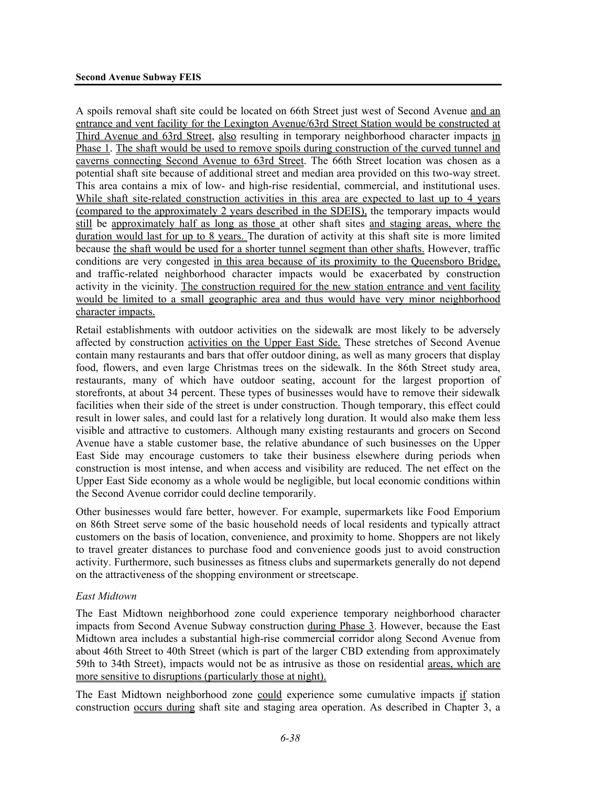A spoils removal shaft site could be located on 66th Street just west of Second Avenue and an entrance and vent facility for the Lexington Avenue/63rd Street Station would be constructed at Third Avenue and 63rd Street, also resulting in temporary neighborhood character impacts in Phase 1. The shaft would be used to remove spoils during construction of the curved tunnel and caverns connecting Second Avenue to 63rd Street. The 66th Street location was chosen as a potential shaft site because of additional street and median area provided on this two-way street. This area contains a mix of low- and high-rise residential, commercial, and institutional uses. While shaft site-related construction activities in this area are expected to last up to 4 years (compared to the approximately 2 years described in the SDEIS), the temporary impacts would still be approximately half as long as those at other shaft sites and staging areas, where the duration would last for up to 8 years. The duration of activity at this shaft site is more limited because the shaft would be used for a shorter tunnel segment than other shafts. However, traffic conditions are very congested in this area because of its proximity to the Queensboro Bridge, and traffic-related neighborhood character impacts would be exacerbated by construction activity in the vicinity. The construction required for the new station entrance and vent facility would be limited to a small geographic area and thus would have very minor neighborhood character impacts.

Retail establishments with outdoor activities on the sidewalk are most likely to be adversely affected by construction activities on the Upper East Side. These stretches of Second Avenue contain many restaurants and bars that offer outdoor dining, as well as many grocers that display food, flowers, and even large Christmas trees on the sidewalk. In the 86th Street study area, restaurants, many of which have outdoor seating, account for the largest proportion of storefronts, at about 34 percent. These types of businesses would have to remove their sidewalk facilities when their side of the street is under construction. Though temporary, this effect could result in lower sales, and could last for a relatively long duration. It would also make them less visible and attractive to customers. Although many existing restaurants and grocers on Second Avenue have a stable customer base, the relative abundance of such businesses on the Upper East Side may encourage customers to take their business elsewhere during periods when construction is most intense, and when access and visibility are reduced. The net effect on the Upper East Side economy as a whole would be negligible, but local economic conditions within the Second Avenue corridor could decline temporarily.

Other businesses would fare better, however. For example, supermarkets like Food Emporium on 86th Street serve some of the basic household needs of local residents and typically attract customers on the basis of location, convenience, and proximity to home. Shoppers are not likely to travel greater distances to purchase food and convenience goods just to avoid construction activity. Furthermore, such businesses as fitness clubs and supermarkets generally do not depend on the attractiveness of the shopping environment or streetscape.

#### *East Midtown*

The East Midtown neighborhood zone could experience temporary neighborhood character impacts from Second Avenue Subway construction during Phase 3. However, because the East Midtown area includes a substantial high-rise commercial corridor along Second Avenue from about 46th Street to 40th Street (which is part of the larger CBD extending from approximately 59th to 34th Street), impacts would not be as intrusive as those on residential areas, which are more sensitive to disruptions (particularly those at night).

The East Midtown neighborhood zone could experience some cumulative impacts if station construction occurs during shaft site and staging area operation. As described in Chapter 3, a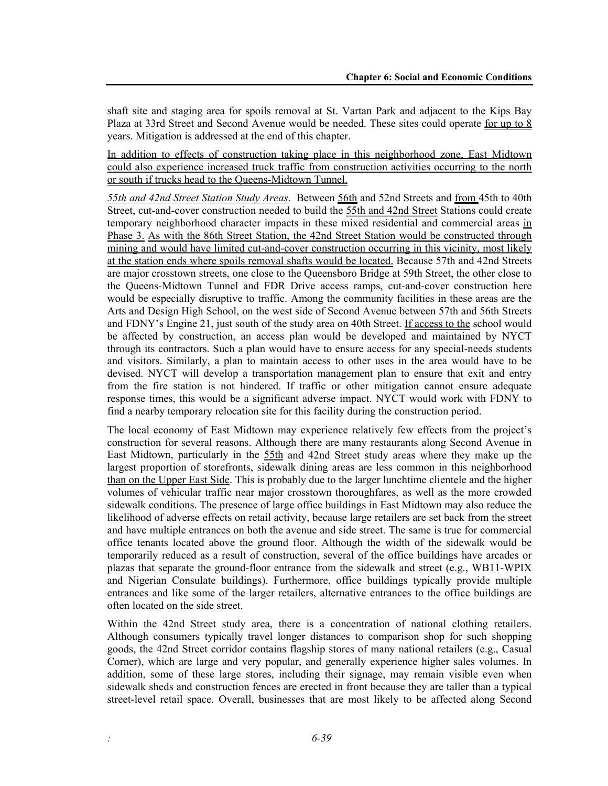shaft site and staging area for spoils removal at St. Vartan Park and adjacent to the Kips Bay Plaza at 33rd Street and Second Avenue would be needed. These sites could operate for up to 8 years. Mitigation is addressed at the end of this chapter.

In addition to effects of construction taking place in this neighborhood zone, East Midtown could also experience increased truck traffic from construction activities occurring to the north or south if trucks head to the Queens-Midtown Tunnel.

*55th and 42nd Street Station Study Areas*. Between 56th and 52nd Streets and from 45th to 40th Street, cut-and-cover construction needed to build the 55th and 42nd Street Stations could create temporary neighborhood character impacts in these mixed residential and commercial areas in Phase 3. As with the 86th Street Station, the 42nd Street Station would be constructed through mining and would have limited cut-and-cover construction occurring in this vicinity, most likely at the station ends where spoils removal shafts would be located. Because 57th and 42nd Streets are major crosstown streets, one close to the Queensboro Bridge at 59th Street, the other close to the Queens-Midtown Tunnel and FDR Drive access ramps, cut-and-cover construction here would be especially disruptive to traffic. Among the community facilities in these areas are the Arts and Design High School, on the west side of Second Avenue between 57th and 56th Streets and FDNY's Engine 21, just south of the study area on 40th Street. If access to the school would be affected by construction, an access plan would be developed and maintained by NYCT through its contractors. Such a plan would have to ensure access for any special-needs students and visitors. Similarly, a plan to maintain access to other uses in the area would have to be devised. NYCT will develop a transportation management plan to ensure that exit and entry from the fire station is not hindered. If traffic or other mitigation cannot ensure adequate response times, this would be a significant adverse impact. NYCT would work with FDNY to find a nearby temporary relocation site for this facility during the construction period.

The local economy of East Midtown may experience relatively few effects from the project's construction for several reasons. Although there are many restaurants along Second Avenue in East Midtown, particularly in the 55th and 42nd Street study areas where they make up the largest proportion of storefronts, sidewalk dining areas are less common in this neighborhood than on the Upper East Side. This is probably due to the larger lunchtime clientele and the higher volumes of vehicular traffic near major crosstown thoroughfares, as well as the more crowded sidewalk conditions. The presence of large office buildings in East Midtown may also reduce the likelihood of adverse effects on retail activity, because large retailers are set back from the street and have multiple entrances on both the avenue and side street. The same is true for commercial office tenants located above the ground floor. Although the width of the sidewalk would be temporarily reduced as a result of construction, several of the office buildings have arcades or plazas that separate the ground-floor entrance from the sidewalk and street (e.g., WB11-WPIX and Nigerian Consulate buildings). Furthermore, office buildings typically provide multiple entrances and like some of the larger retailers, alternative entrances to the office buildings are often located on the side street.

Within the 42nd Street study area, there is a concentration of national clothing retailers. Although consumers typically travel longer distances to comparison shop for such shopping goods, the 42nd Street corridor contains flagship stores of many national retailers (e.g., Casual Corner), which are large and very popular, and generally experience higher sales volumes. In addition, some of these large stores, including their signage, may remain visible even when sidewalk sheds and construction fences are erected in front because they are taller than a typical street-level retail space. Overall, businesses that are most likely to be affected along Second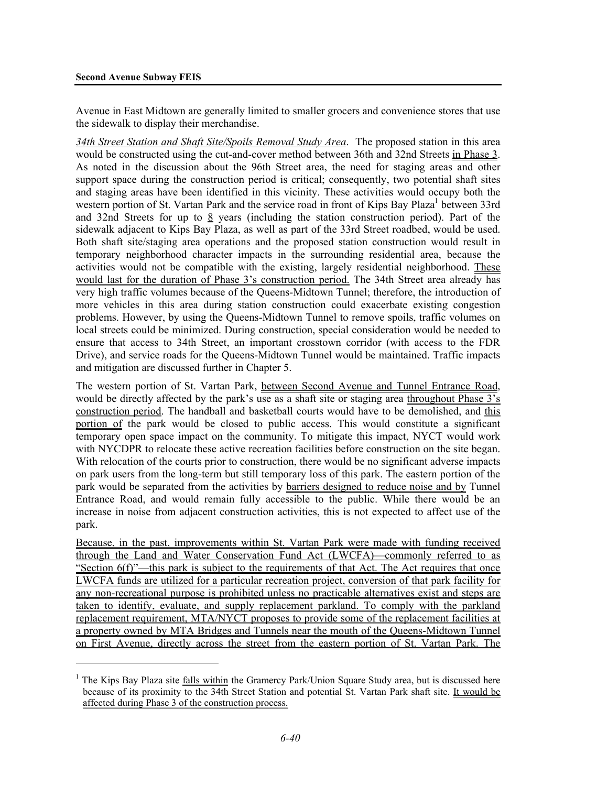#### **Second Avenue Subway FEIS**

<u>.</u>

Avenue in East Midtown are generally limited to smaller grocers and convenience stores that use the sidewalk to display their merchandise.

*34th Street Station and Shaft Site/Spoils Removal Study Area*. The proposed station in this area would be constructed using the cut-and-cover method between 36th and 32nd Streets in Phase 3. As noted in the discussion about the 96th Street area, the need for staging areas and other support space during the construction period is critical; consequently, two potential shaft sites and staging areas have been identified in this vicinity. These activities would occupy both the western portion of St. Vartan Park and the service road in front of Kips Bay Plaza<sup>1</sup> between 33rd and 32nd Streets for up to 8 years (including the station construction period). Part of the sidewalk adjacent to Kips Bay Plaza, as well as part of the 33rd Street roadbed, would be used. Both shaft site/staging area operations and the proposed station construction would result in temporary neighborhood character impacts in the surrounding residential area, because the activities would not be compatible with the existing, largely residential neighborhood. These would last for the duration of Phase 3's construction period. The 34th Street area already has very high traffic volumes because of the Queens-Midtown Tunnel; therefore, the introduction of more vehicles in this area during station construction could exacerbate existing congestion problems. However, by using the Queens-Midtown Tunnel to remove spoils, traffic volumes on local streets could be minimized. During construction, special consideration would be needed to ensure that access to 34th Street, an important crosstown corridor (with access to the FDR Drive), and service roads for the Queens-Midtown Tunnel would be maintained. Traffic impacts and mitigation are discussed further in Chapter 5.

The western portion of St. Vartan Park, between Second Avenue and Tunnel Entrance Road, would be directly affected by the park's use as a shaft site or staging area throughout Phase 3's construction period. The handball and basketball courts would have to be demolished, and this portion of the park would be closed to public access. This would constitute a significant temporary open space impact on the community. To mitigate this impact, NYCT would work with NYCDPR to relocate these active recreation facilities before construction on the site began. With relocation of the courts prior to construction, there would be no significant adverse impacts on park users from the long-term but still temporary loss of this park. The eastern portion of the park would be separated from the activities by barriers designed to reduce noise and by Tunnel Entrance Road, and would remain fully accessible to the public. While there would be an increase in noise from adjacent construction activities, this is not expected to affect use of the park.

Because, in the past, improvements within St. Vartan Park were made with funding received through the Land and Water Conservation Fund Act (LWCFA)—commonly referred to as "Section 6(f)"—this park is subject to the requirements of that Act. The Act requires that once LWCFA funds are utilized for a particular recreation project, conversion of that park facility for any non-recreational purpose is prohibited unless no practicable alternatives exist and steps are taken to identify, evaluate, and supply replacement parkland. To comply with the parkland replacement requirement, MTA/NYCT proposes to provide some of the replacement facilities at a property owned by MTA Bridges and Tunnels near the mouth of the Queens-Midtown Tunnel on First Avenue, directly across the street from the eastern portion of St. Vartan Park. The

<sup>&</sup>lt;sup>1</sup> The Kips Bay Plaza site falls within the Gramercy Park/Union Square Study area, but is discussed here because of its proximity to the 34th Street Station and potential St. Vartan Park shaft site. It would be affected during Phase 3 of the construction process.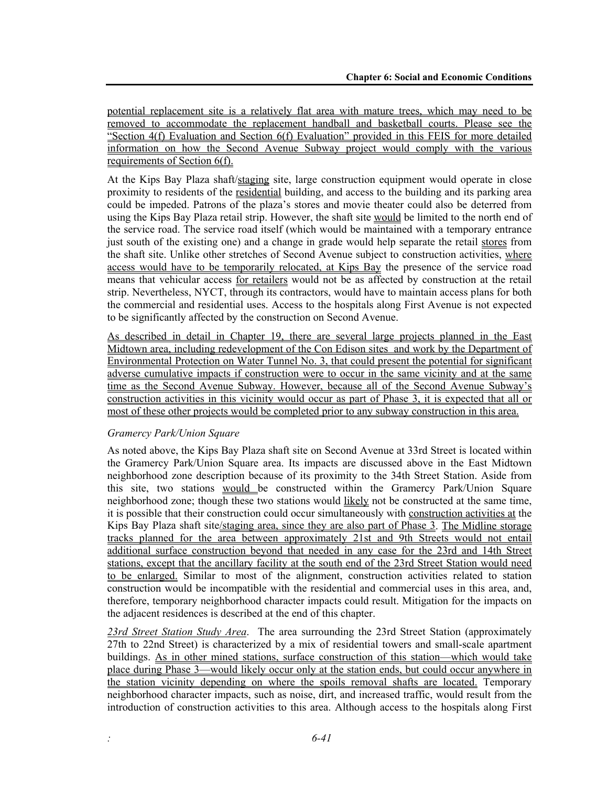potential replacement site is a relatively flat area with mature trees, which may need to be removed to accommodate the replacement handball and basketball courts. Please see the "Section 4(f) Evaluation and Section 6(f) Evaluation" provided in this FEIS for more detailed information on how the Second Avenue Subway project would comply with the various requirements of Section 6(f).

At the Kips Bay Plaza shaft/staging site, large construction equipment would operate in close proximity to residents of the residential building, and access to the building and its parking area could be impeded. Patrons of the plaza's stores and movie theater could also be deterred from using the Kips Bay Plaza retail strip. However, the shaft site would be limited to the north end of the service road. The service road itself (which would be maintained with a temporary entrance just south of the existing one) and a change in grade would help separate the retail stores from the shaft site. Unlike other stretches of Second Avenue subject to construction activities, where access would have to be temporarily relocated, at Kips Bay the presence of the service road means that vehicular access for retailers would not be as affected by construction at the retail strip. Nevertheless, NYCT, through its contractors, would have to maintain access plans for both the commercial and residential uses. Access to the hospitals along First Avenue is not expected to be significantly affected by the construction on Second Avenue.

As described in detail in Chapter 19, there are several large projects planned in the East Midtown area, including redevelopment of the Con Edison sites and work by the Department of Environmental Protection on Water Tunnel No. 3, that could present the potential for significant adverse cumulative impacts if construction were to occur in the same vicinity and at the same time as the Second Avenue Subway. However, because all of the Second Avenue Subway's construction activities in this vicinity would occur as part of Phase 3, it is expected that all or most of these other projects would be completed prior to any subway construction in this area.

#### *Gramercy Park/Union Square*

As noted above, the Kips Bay Plaza shaft site on Second Avenue at 33rd Street is located within the Gramercy Park/Union Square area. Its impacts are discussed above in the East Midtown neighborhood zone description because of its proximity to the 34th Street Station. Aside from this site, two stations would be constructed within the Gramercy Park/Union Square neighborhood zone; though these two stations would likely not be constructed at the same time, it is possible that their construction could occur simultaneously with construction activities at the Kips Bay Plaza shaft site/staging area, since they are also part of Phase 3. The Midline storage tracks planned for the area between approximately 21st and 9th Streets would not entail additional surface construction beyond that needed in any case for the 23rd and 14th Street stations, except that the ancillary facility at the south end of the 23rd Street Station would need to be enlarged. Similar to most of the alignment, construction activities related to station construction would be incompatible with the residential and commercial uses in this area, and, therefore, temporary neighborhood character impacts could result. Mitigation for the impacts on the adjacent residences is described at the end of this chapter.

*23rd Street Station Study Area*. The area surrounding the 23rd Street Station (approximately 27th to 22nd Street) is characterized by a mix of residential towers and small-scale apartment buildings. As in other mined stations, surface construction of this station—which would take place during Phase 3—would likely occur only at the station ends, but could occur anywhere in the station vicinity depending on where the spoils removal shafts are located. Temporary neighborhood character impacts, such as noise, dirt, and increased traffic, would result from the introduction of construction activities to this area. Although access to the hospitals along First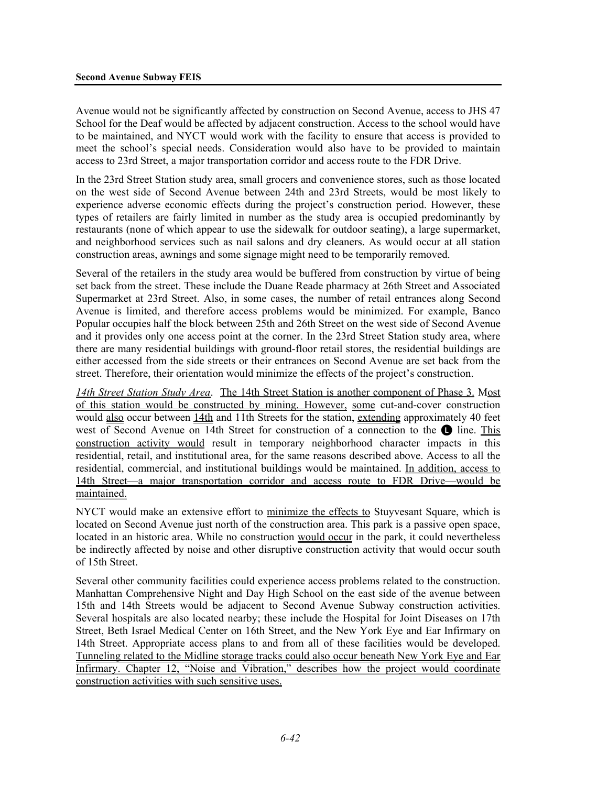Avenue would not be significantly affected by construction on Second Avenue, access to JHS 47 School for the Deaf would be affected by adjacent construction. Access to the school would have to be maintained, and NYCT would work with the facility to ensure that access is provided to meet the school's special needs. Consideration would also have to be provided to maintain access to 23rd Street, a major transportation corridor and access route to the FDR Drive.

In the 23rd Street Station study area, small grocers and convenience stores, such as those located on the west side of Second Avenue between 24th and 23rd Streets, would be most likely to experience adverse economic effects during the project's construction period. However, these types of retailers are fairly limited in number as the study area is occupied predominantly by restaurants (none of which appear to use the sidewalk for outdoor seating), a large supermarket, and neighborhood services such as nail salons and dry cleaners. As would occur at all station construction areas, awnings and some signage might need to be temporarily removed.

Several of the retailers in the study area would be buffered from construction by virtue of being set back from the street. These include the Duane Reade pharmacy at 26th Street and Associated Supermarket at 23rd Street. Also, in some cases, the number of retail entrances along Second Avenue is limited, and therefore access problems would be minimized. For example, Banco Popular occupies half the block between 25th and 26th Street on the west side of Second Avenue and it provides only one access point at the corner. In the 23rd Street Station study area, where there are many residential buildings with ground-floor retail stores, the residential buildings are either accessed from the side streets or their entrances on Second Avenue are set back from the street. Therefore, their orientation would minimize the effects of the project's construction.

*14th Street Station Study Area*. The 14th Street Station is another component of Phase 3. Most of this station would be constructed by mining. However, some cut-and-cover construction would also occur between 14th and 11th Streets for the station, extending approximately 40 feet west of Second Avenue on 14th Street for construction of a connection to the  $\bullet$  line. This construction activity would result in temporary neighborhood character impacts in this residential, retail, and institutional area, for the same reasons described above. Access to all the residential, commercial, and institutional buildings would be maintained. In addition, access to 14th Street—a major transportation corridor and access route to FDR Drive—would be maintained.

NYCT would make an extensive effort to minimize the effects to Stuyvesant Square, which is located on Second Avenue just north of the construction area. This park is a passive open space, located in an historic area. While no construction would occur in the park, it could nevertheless be indirectly affected by noise and other disruptive construction activity that would occur south of 15th Street.

Several other community facilities could experience access problems related to the construction. Manhattan Comprehensive Night and Day High School on the east side of the avenue between 15th and 14th Streets would be adjacent to Second Avenue Subway construction activities. Several hospitals are also located nearby; these include the Hospital for Joint Diseases on 17th Street, Beth Israel Medical Center on 16th Street, and the New York Eye and Ear Infirmary on 14th Street. Appropriate access plans to and from all of these facilities would be developed. Tunneling related to the Midline storage tracks could also occur beneath New York Eye and Ear Infirmary. Chapter 12, "Noise and Vibration," describes how the project would coordinate construction activities with such sensitive uses.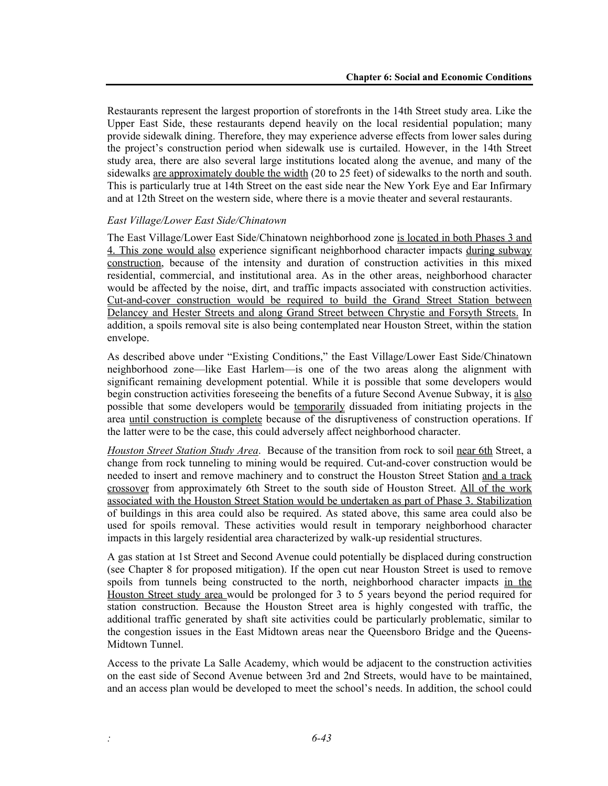Restaurants represent the largest proportion of storefronts in the 14th Street study area. Like the Upper East Side, these restaurants depend heavily on the local residential population; many provide sidewalk dining. Therefore, they may experience adverse effects from lower sales during the project's construction period when sidewalk use is curtailed. However, in the 14th Street study area, there are also several large institutions located along the avenue, and many of the sidewalks are approximately double the width (20 to 25 feet) of sidewalks to the north and south. This is particularly true at 14th Street on the east side near the New York Eye and Ear Infirmary and at 12th Street on the western side, where there is a movie theater and several restaurants.

#### *East Village/Lower East Side/Chinatown*

The East Village/Lower East Side/Chinatown neighborhood zone is located in both Phases 3 and 4. This zone would also experience significant neighborhood character impacts during subway construction, because of the intensity and duration of construction activities in this mixed residential, commercial, and institutional area. As in the other areas, neighborhood character would be affected by the noise, dirt, and traffic impacts associated with construction activities. Cut-and-cover construction would be required to build the Grand Street Station between Delancey and Hester Streets and along Grand Street between Chrystie and Forsyth Streets. In addition, a spoils removal site is also being contemplated near Houston Street, within the station envelope.

As described above under "Existing Conditions," the East Village/Lower East Side/Chinatown neighborhood zone—like East Harlem—is one of the two areas along the alignment with significant remaining development potential. While it is possible that some developers would begin construction activities foreseeing the benefits of a future Second Avenue Subway, it is also possible that some developers would be temporarily dissuaded from initiating projects in the area until construction is complete because of the disruptiveness of construction operations. If the latter were to be the case, this could adversely affect neighborhood character.

*Houston Street Station Study Area*. Because of the transition from rock to soil near 6th Street, a change from rock tunneling to mining would be required. Cut-and-cover construction would be needed to insert and remove machinery and to construct the Houston Street Station and a track crossover from approximately 6th Street to the south side of Houston Street. All of the work associated with the Houston Street Station would be undertaken as part of Phase 3. Stabilization of buildings in this area could also be required. As stated above, this same area could also be used for spoils removal. These activities would result in temporary neighborhood character impacts in this largely residential area characterized by walk-up residential structures.

A gas station at 1st Street and Second Avenue could potentially be displaced during construction (see Chapter 8 for proposed mitigation). If the open cut near Houston Street is used to remove spoils from tunnels being constructed to the north, neighborhood character impacts in the Houston Street study area would be prolonged for 3 to 5 years beyond the period required for station construction. Because the Houston Street area is highly congested with traffic, the additional traffic generated by shaft site activities could be particularly problematic, similar to the congestion issues in the East Midtown areas near the Queensboro Bridge and the Queens-Midtown Tunnel.

Access to the private La Salle Academy, which would be adjacent to the construction activities on the east side of Second Avenue between 3rd and 2nd Streets, would have to be maintained, and an access plan would be developed to meet the school's needs. In addition, the school could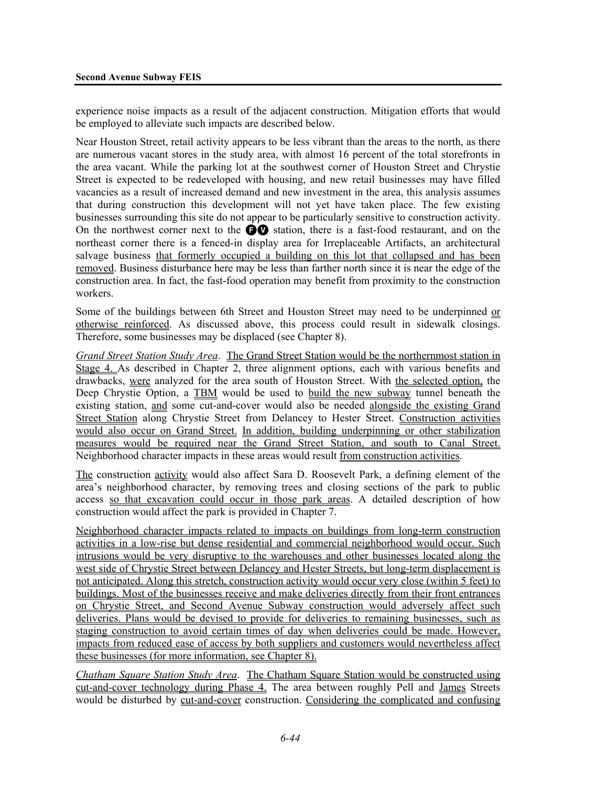experience noise impacts as a result of the adjacent construction. Mitigation efforts that would be employed to alleviate such impacts are described below.

Near Houston Street, retail activity appears to be less vibrant than the areas to the north, as there are numerous vacant stores in the study area, with almost 16 percent of the total storefronts in the area vacant. While the parking lot at the southwest corner of Houston Street and Chrystie Street is expected to be redeveloped with housing, and new retail businesses may have filled vacancies as a result of increased demand and new investment in the area, this analysis assumes that during construction this development will not yet have taken place. The few existing businesses surrounding this site do not appear to be particularly sensitive to construction activity. On the northwest corner next to the  $\bigcirc$  station, there is a fast-food restaurant, and on the northeast corner there is a fenced-in display area for Irreplaceable Artifacts, an architectural salvage business that formerly occupied a building on this lot that collapsed and has been removed. Business disturbance here may be less than farther north since it is near the edge of the construction area. In fact, the fast-food operation may benefit from proximity to the construction workers.

Some of the buildings between 6th Street and Houston Street may need to be underpinned or otherwise reinforced. As discussed above, this process could result in sidewalk closings. Therefore, some businesses may be displaced (see Chapter 8).

*Grand Street Station Study Area*. The Grand Street Station would be the northernmost station in Stage 4. As described in Chapter 2, three alignment options, each with various benefits and drawbacks, were analyzed for the area south of Houston Street. With the selected option, the Deep Chrystie Option, a TBM would be used to build the new subway tunnel beneath the existing station, and some cut-and-cover would also be needed alongside the existing Grand Street Station along Chrystie Street from Delancey to Hester Street. Construction activities would also occur on Grand Street. In addition, building underpinning or other stabilization measures would be required near the Grand Street Station, and south to Canal Street. Neighborhood character impacts in these areas would result from construction activities.

The construction activity would also affect Sara D. Roosevelt Park, a defining element of the area's neighborhood character, by removing trees and closing sections of the park to public access so that excavation could occur in those park areas. A detailed description of how construction would affect the park is provided in Chapter 7.

Neighborhood character impacts related to impacts on buildings from long-term construction activities in a low-rise but dense residential and commercial neighborhood would occur. Such intrusions would be very disruptive to the warehouses and other businesses located along the west side of Chrystie Street between Delancey and Hester Streets, but long-term displacement is not anticipated. Along this stretch, construction activity would occur very close (within 5 feet) to buildings. Most of the businesses receive and make deliveries directly from their front entrances on Chrystie Street, and Second Avenue Subway construction would adversely affect such deliveries. Plans would be devised to provide for deliveries to remaining businesses, such as staging construction to avoid certain times of day when deliveries could be made. However, impacts from reduced ease of access by both suppliers and customers would nevertheless affect these businesses (for more information, see Chapter 8).

*Chatham Square Station Study Area*. The Chatham Square Station would be constructed using cut-and-cover technology during Phase 4. The area between roughly Pell and James Streets would be disturbed by cut-and-cover construction. Considering the complicated and confusing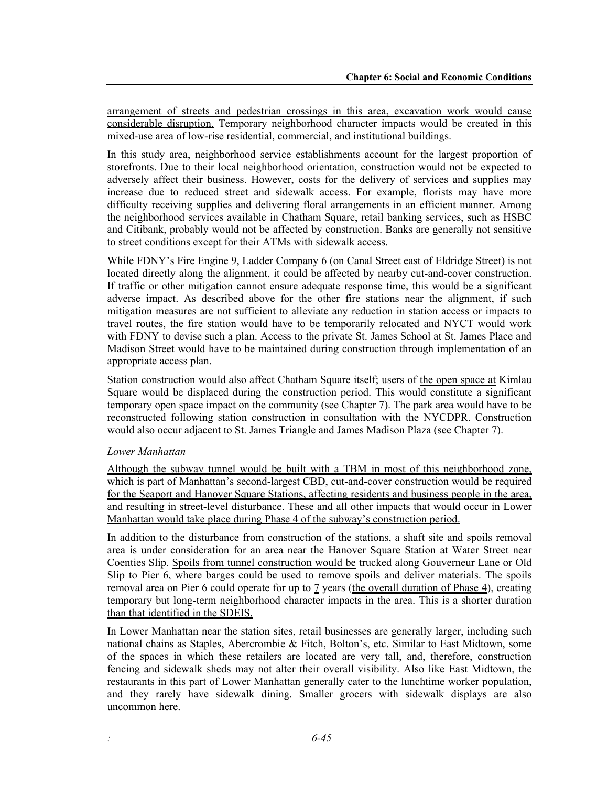arrangement of streets and pedestrian crossings in this area, excavation work would cause considerable disruption. Temporary neighborhood character impacts would be created in this mixed-use area of low-rise residential, commercial, and institutional buildings.

In this study area, neighborhood service establishments account for the largest proportion of storefronts. Due to their local neighborhood orientation, construction would not be expected to adversely affect their business. However, costs for the delivery of services and supplies may increase due to reduced street and sidewalk access. For example, florists may have more difficulty receiving supplies and delivering floral arrangements in an efficient manner. Among the neighborhood services available in Chatham Square, retail banking services, such as HSBC and Citibank, probably would not be affected by construction. Banks are generally not sensitive to street conditions except for their ATMs with sidewalk access.

While FDNY's Fire Engine 9, Ladder Company 6 (on Canal Street east of Eldridge Street) is not located directly along the alignment, it could be affected by nearby cut-and-cover construction. If traffic or other mitigation cannot ensure adequate response time, this would be a significant adverse impact. As described above for the other fire stations near the alignment, if such mitigation measures are not sufficient to alleviate any reduction in station access or impacts to travel routes, the fire station would have to be temporarily relocated and NYCT would work with FDNY to devise such a plan. Access to the private St. James School at St. James Place and Madison Street would have to be maintained during construction through implementation of an appropriate access plan.

Station construction would also affect Chatham Square itself; users of the open space at Kimlau Square would be displaced during the construction period. This would constitute a significant temporary open space impact on the community (see Chapter 7). The park area would have to be reconstructed following station construction in consultation with the NYCDPR. Construction would also occur adjacent to St. James Triangle and James Madison Plaza (see Chapter 7).

#### *Lower Manhattan*

Although the subway tunnel would be built with a TBM in most of this neighborhood zone, which is part of Manhattan's second-largest CBD, cut-and-cover construction would be required for the Seaport and Hanover Square Stations, affecting residents and business people in the area, and resulting in street-level disturbance. These and all other impacts that would occur in Lower Manhattan would take place during Phase 4 of the subway's construction period.

In addition to the disturbance from construction of the stations, a shaft site and spoils removal area is under consideration for an area near the Hanover Square Station at Water Street near Coenties Slip. Spoils from tunnel construction would be trucked along Gouverneur Lane or Old Slip to Pier 6, where barges could be used to remove spoils and deliver materials. The spoils removal area on Pier 6 could operate for up to 7 years (the overall duration of Phase 4), creating temporary but long-term neighborhood character impacts in the area. This is a shorter duration than that identified in the SDEIS.

In Lower Manhattan near the station sites, retail businesses are generally larger, including such national chains as Staples, Abercrombie & Fitch, Bolton's, etc. Similar to East Midtown, some of the spaces in which these retailers are located are very tall, and, therefore, construction fencing and sidewalk sheds may not alter their overall visibility. Also like East Midtown, the restaurants in this part of Lower Manhattan generally cater to the lunchtime worker population, and they rarely have sidewalk dining. Smaller grocers with sidewalk displays are also uncommon here.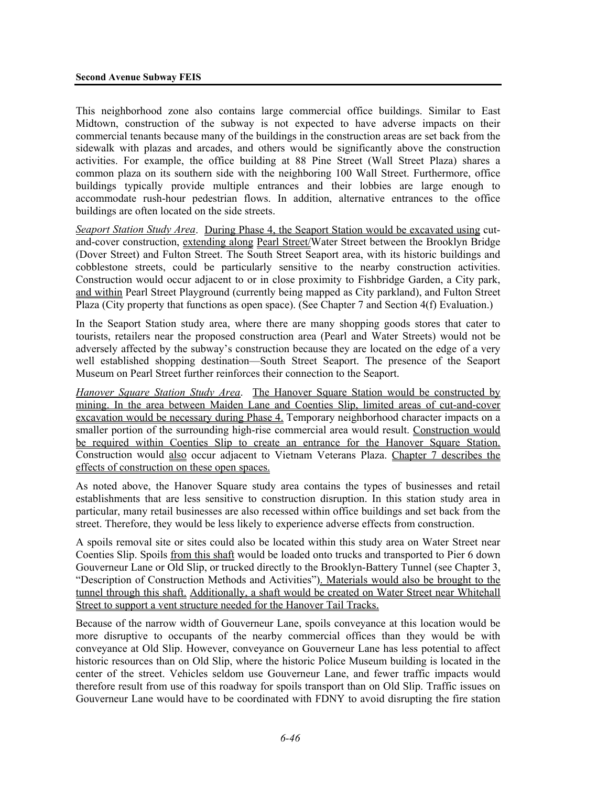This neighborhood zone also contains large commercial office buildings. Similar to East Midtown, construction of the subway is not expected to have adverse impacts on their commercial tenants because many of the buildings in the construction areas are set back from the sidewalk with plazas and arcades, and others would be significantly above the construction activities. For example, the office building at 88 Pine Street (Wall Street Plaza) shares a common plaza on its southern side with the neighboring 100 Wall Street. Furthermore, office buildings typically provide multiple entrances and their lobbies are large enough to accommodate rush-hour pedestrian flows. In addition, alternative entrances to the office buildings are often located on the side streets.

*Seaport Station Study Area*. During Phase 4, the Seaport Station would be excavated using cutand-cover construction, extending along Pearl Street/Water Street between the Brooklyn Bridge (Dover Street) and Fulton Street. The South Street Seaport area, with its historic buildings and cobblestone streets, could be particularly sensitive to the nearby construction activities. Construction would occur adjacent to or in close proximity to Fishbridge Garden, a City park, and within Pearl Street Playground (currently being mapped as City parkland), and Fulton Street Plaza (City property that functions as open space). (See Chapter 7 and Section 4(f) Evaluation.)

In the Seaport Station study area, where there are many shopping goods stores that cater to tourists, retailers near the proposed construction area (Pearl and Water Streets) would not be adversely affected by the subway's construction because they are located on the edge of a very well established shopping destination—South Street Seaport. The presence of the Seaport Museum on Pearl Street further reinforces their connection to the Seaport.

*Hanover Square Station Study Area*. The Hanover Square Station would be constructed by mining. In the area between Maiden Lane and Coenties Slip, limited areas of cut-and-cover excavation would be necessary during Phase 4. Temporary neighborhood character impacts on a smaller portion of the surrounding high-rise commercial area would result. Construction would be required within Coenties Slip to create an entrance for the Hanover Square Station. Construction would also occur adjacent to Vietnam Veterans Plaza. Chapter 7 describes the effects of construction on these open spaces.

As noted above, the Hanover Square study area contains the types of businesses and retail establishments that are less sensitive to construction disruption. In this station study area in particular, many retail businesses are also recessed within office buildings and set back from the street. Therefore, they would be less likely to experience adverse effects from construction.

A spoils removal site or sites could also be located within this study area on Water Street near Coenties Slip. Spoils from this shaft would be loaded onto trucks and transported to Pier 6 down Gouverneur Lane or Old Slip, or trucked directly to the Brooklyn-Battery Tunnel (see Chapter 3, "Description of Construction Methods and Activities"). Materials would also be brought to the tunnel through this shaft. Additionally, a shaft would be created on Water Street near Whitehall Street to support a vent structure needed for the Hanover Tail Tracks.

Because of the narrow width of Gouverneur Lane, spoils conveyance at this location would be more disruptive to occupants of the nearby commercial offices than they would be with conveyance at Old Slip. However, conveyance on Gouverneur Lane has less potential to affect historic resources than on Old Slip, where the historic Police Museum building is located in the center of the street. Vehicles seldom use Gouverneur Lane, and fewer traffic impacts would therefore result from use of this roadway for spoils transport than on Old Slip. Traffic issues on Gouverneur Lane would have to be coordinated with FDNY to avoid disrupting the fire station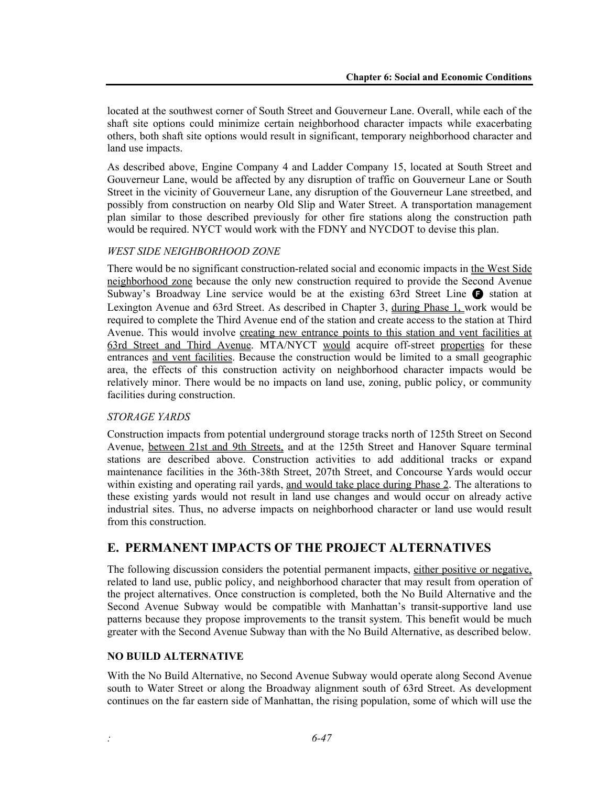located at the southwest corner of South Street and Gouverneur Lane. Overall, while each of the shaft site options could minimize certain neighborhood character impacts while exacerbating others, both shaft site options would result in significant, temporary neighborhood character and land use impacts.

As described above, Engine Company 4 and Ladder Company 15, located at South Street and Gouverneur Lane, would be affected by any disruption of traffic on Gouverneur Lane or South Street in the vicinity of Gouverneur Lane, any disruption of the Gouverneur Lane streetbed, and possibly from construction on nearby Old Slip and Water Street. A transportation management plan similar to those described previously for other fire stations along the construction path would be required. NYCT would work with the FDNY and NYCDOT to devise this plan.

#### *WEST SIDE NEIGHBORHOOD ZONE*

There would be no significant construction-related social and economic impacts in the West Side neighborhood zone because the only new construction required to provide the Second Avenue Subway's Broadway Line service would be at the existing 63rd Street Line  $\bigoplus$  station at Lexington Avenue and 63rd Street. As described in Chapter 3, during Phase 1, work would be required to complete the Third Avenue end of the station and create access to the station at Third Avenue. This would involve creating new entrance points to this station and vent facilities at 63rd Street and Third Avenue. MTA/NYCT would acquire off-street properties for these entrances and vent facilities. Because the construction would be limited to a small geographic area, the effects of this construction activity on neighborhood character impacts would be relatively minor. There would be no impacts on land use, zoning, public policy, or community facilities during construction.

#### *STORAGE YARDS*

Construction impacts from potential underground storage tracks north of 125th Street on Second Avenue, between 21st and 9th Streets, and at the 125th Street and Hanover Square terminal stations are described above. Construction activities to add additional tracks or expand maintenance facilities in the 36th-38th Street, 207th Street, and Concourse Yards would occur within existing and operating rail yards, and would take place during Phase 2. The alterations to these existing yards would not result in land use changes and would occur on already active industrial sites. Thus, no adverse impacts on neighborhood character or land use would result from this construction.

# **E. PERMANENT IMPACTS OF THE PROJECT ALTERNATIVES**

The following discussion considers the potential permanent impacts, either positive or negative, related to land use, public policy, and neighborhood character that may result from operation of the project alternatives. Once construction is completed, both the No Build Alternative and the Second Avenue Subway would be compatible with Manhattan's transit-supportive land use patterns because they propose improvements to the transit system. This benefit would be much greater with the Second Avenue Subway than with the No Build Alternative, as described below.

#### **NO BUILD ALTERNATIVE**

With the No Build Alternative, no Second Avenue Subway would operate along Second Avenue south to Water Street or along the Broadway alignment south of 63rd Street. As development continues on the far eastern side of Manhattan, the rising population, some of which will use the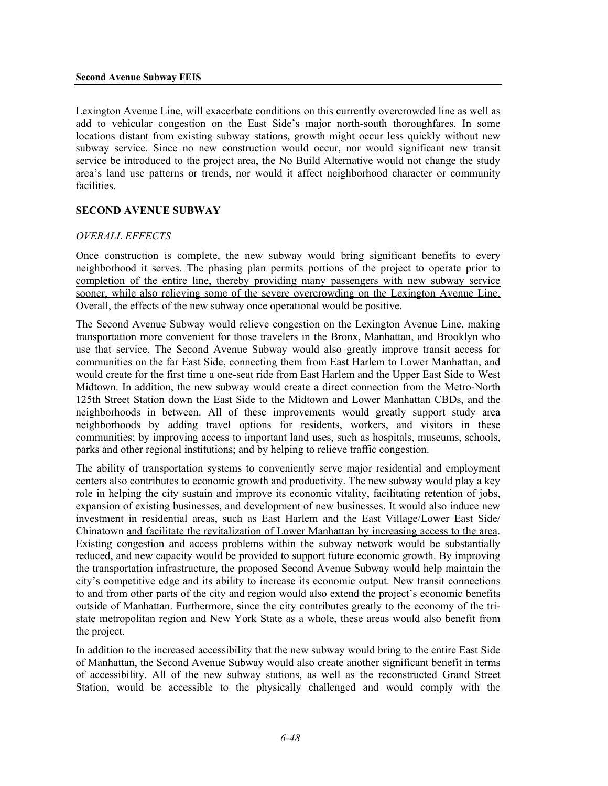Lexington Avenue Line, will exacerbate conditions on this currently overcrowded line as well as add to vehicular congestion on the East Side's major north-south thoroughfares. In some locations distant from existing subway stations, growth might occur less quickly without new subway service. Since no new construction would occur, nor would significant new transit service be introduced to the project area, the No Build Alternative would not change the study area's land use patterns or trends, nor would it affect neighborhood character or community facilities.

#### **SECOND AVENUE SUBWAY**

#### *OVERALL EFFECTS*

Once construction is complete, the new subway would bring significant benefits to every neighborhood it serves. The phasing plan permits portions of the project to operate prior to completion of the entire line, thereby providing many passengers with new subway service sooner, while also relieving some of the severe overcrowding on the Lexington Avenue Line. Overall, the effects of the new subway once operational would be positive.

The Second Avenue Subway would relieve congestion on the Lexington Avenue Line, making transportation more convenient for those travelers in the Bronx, Manhattan, and Brooklyn who use that service. The Second Avenue Subway would also greatly improve transit access for communities on the far East Side, connecting them from East Harlem to Lower Manhattan, and would create for the first time a one-seat ride from East Harlem and the Upper East Side to West Midtown. In addition, the new subway would create a direct connection from the Metro-North 125th Street Station down the East Side to the Midtown and Lower Manhattan CBDs, and the neighborhoods in between. All of these improvements would greatly support study area neighborhoods by adding travel options for residents, workers, and visitors in these communities; by improving access to important land uses, such as hospitals, museums, schools, parks and other regional institutions; and by helping to relieve traffic congestion.

The ability of transportation systems to conveniently serve major residential and employment centers also contributes to economic growth and productivity. The new subway would play a key role in helping the city sustain and improve its economic vitality, facilitating retention of jobs, expansion of existing businesses, and development of new businesses. It would also induce new investment in residential areas, such as East Harlem and the East Village/Lower East Side/ Chinatown and facilitate the revitalization of Lower Manhattan by increasing access to the area. Existing congestion and access problems within the subway network would be substantially reduced, and new capacity would be provided to support future economic growth. By improving the transportation infrastructure, the proposed Second Avenue Subway would help maintain the city's competitive edge and its ability to increase its economic output. New transit connections to and from other parts of the city and region would also extend the project's economic benefits outside of Manhattan. Furthermore, since the city contributes greatly to the economy of the tristate metropolitan region and New York State as a whole, these areas would also benefit from the project.

In addition to the increased accessibility that the new subway would bring to the entire East Side of Manhattan, the Second Avenue Subway would also create another significant benefit in terms of accessibility. All of the new subway stations, as well as the reconstructed Grand Street Station, would be accessible to the physically challenged and would comply with the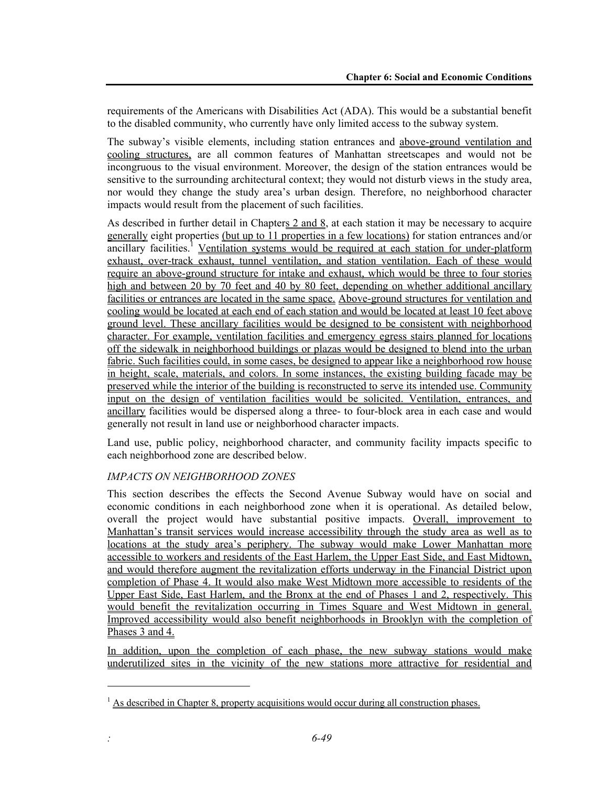requirements of the Americans with Disabilities Act (ADA). This would be a substantial benefit to the disabled community, who currently have only limited access to the subway system.

The subway's visible elements, including station entrances and above-ground ventilation and cooling structures, are all common features of Manhattan streetscapes and would not be incongruous to the visual environment. Moreover, the design of the station entrances would be sensitive to the surrounding architectural context; they would not disturb views in the study area, nor would they change the study area's urban design. Therefore, no neighborhood character impacts would result from the placement of such facilities.

As described in further detail in Chapters  $2$  and  $8$ , at each station it may be necessary to acquire generally eight properties (but up to 11 properties in a few locations) for station entrances and/or ancillary facilities.<sup>1</sup> Ventilation systems would be required at each station for under-platform exhaust, over-track exhaust, tunnel ventilation, and station ventilation. Each of these would require an above-ground structure for intake and exhaust, which would be three to four stories high and between 20 by 70 feet and 40 by 80 feet, depending on whether additional ancillary facilities or entrances are located in the same space. Above-ground structures for ventilation and cooling would be located at each end of each station and would be located at least 10 feet above ground level. These ancillary facilities would be designed to be consistent with neighborhood character. For example, ventilation facilities and emergency egress stairs planned for locations off the sidewalk in neighborhood buildings or plazas would be designed to blend into the urban fabric. Such facilities could, in some cases, be designed to appear like a neighborhood row house in height, scale, materials, and colors. In some instances, the existing building facade may be preserved while the interior of the building is reconstructed to serve its intended use. Community input on the design of ventilation facilities would be solicited. Ventilation, entrances, and ancillary facilities would be dispersed along a three- to four-block area in each case and would generally not result in land use or neighborhood character impacts.

Land use, public policy, neighborhood character, and community facility impacts specific to each neighborhood zone are described below.

#### *IMPACTS ON NEIGHBORHOOD ZONES*

l

This section describes the effects the Second Avenue Subway would have on social and economic conditions in each neighborhood zone when it is operational. As detailed below, overall the project would have substantial positive impacts. Overall, improvement to Manhattan's transit services would increase accessibility through the study area as well as to locations at the study area's periphery. The subway would make Lower Manhattan more accessible to workers and residents of the East Harlem, the Upper East Side, and East Midtown, and would therefore augment the revitalization efforts underway in the Financial District upon completion of Phase 4. It would also make West Midtown more accessible to residents of the Upper East Side, East Harlem, and the Bronx at the end of Phases 1 and 2, respectively. This would benefit the revitalization occurring in Times Square and West Midtown in general. Improved accessibility would also benefit neighborhoods in Brooklyn with the completion of Phases 3 and 4.

In addition, upon the completion of each phase, the new subway stations would make underutilized sites in the vicinity of the new stations more attractive for residential and

 $<sup>1</sup>$  As described in Chapter 8, property acquisitions would occur during all construction phases.</sup>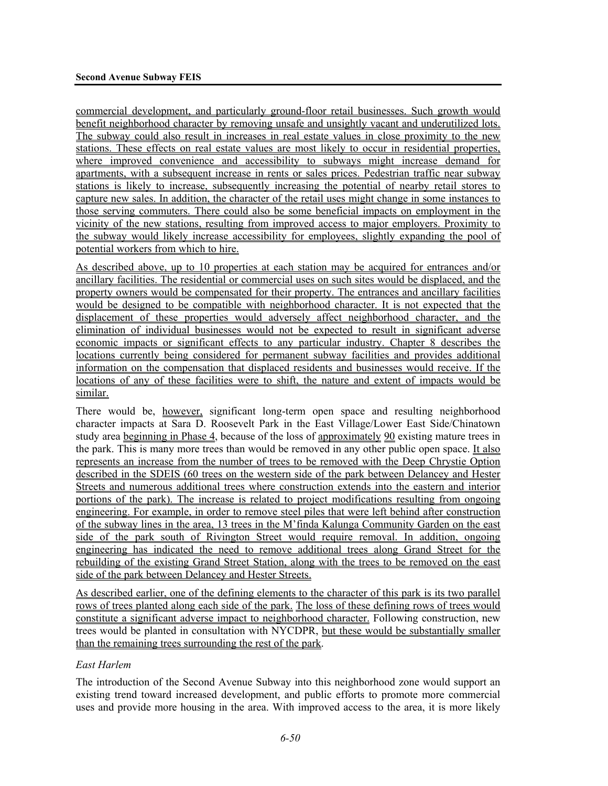commercial development, and particularly ground-floor retail businesses. Such growth would benefit neighborhood character by removing unsafe and unsightly vacant and underutilized lots. The subway could also result in increases in real estate values in close proximity to the new stations. These effects on real estate values are most likely to occur in residential properties, where improved convenience and accessibility to subways might increase demand for apartments, with a subsequent increase in rents or sales prices. Pedestrian traffic near subway stations is likely to increase, subsequently increasing the potential of nearby retail stores to capture new sales. In addition, the character of the retail uses might change in some instances to those serving commuters. There could also be some beneficial impacts on employment in the vicinity of the new stations, resulting from improved access to major employers. Proximity to the subway would likely increase accessibility for employees, slightly expanding the pool of potential workers from which to hire.

As described above, up to 10 properties at each station may be acquired for entrances and/or ancillary facilities. The residential or commercial uses on such sites would be displaced, and the property owners would be compensated for their property. The entrances and ancillary facilities would be designed to be compatible with neighborhood character. It is not expected that the displacement of these properties would adversely affect neighborhood character, and the elimination of individual businesses would not be expected to result in significant adverse economic impacts or significant effects to any particular industry. Chapter 8 describes the locations currently being considered for permanent subway facilities and provides additional information on the compensation that displaced residents and businesses would receive. If the locations of any of these facilities were to shift, the nature and extent of impacts would be similar.

There would be, however, significant long-term open space and resulting neighborhood character impacts at Sara D. Roosevelt Park in the East Village/Lower East Side/Chinatown study area beginning in Phase 4, because of the loss of approximately 90 existing mature trees in the park. This is many more trees than would be removed in any other public open space. It also represents an increase from the number of trees to be removed with the Deep Chrystie Option described in the SDEIS (60 trees on the western side of the park between Delancey and Hester Streets and numerous additional trees where construction extends into the eastern and interior portions of the park). The increase is related to project modifications resulting from ongoing engineering. For example, in order to remove steel piles that were left behind after construction of the subway lines in the area, 13 trees in the M'finda Kalunga Community Garden on the east side of the park south of Rivington Street would require removal. In addition, ongoing engineering has indicated the need to remove additional trees along Grand Street for the rebuilding of the existing Grand Street Station, along with the trees to be removed on the east side of the park between Delancey and Hester Streets.

As described earlier, one of the defining elements to the character of this park is its two parallel rows of trees planted along each side of the park. The loss of these defining rows of trees would constitute a significant adverse impact to neighborhood character. Following construction, new trees would be planted in consultation with NYCDPR, but these would be substantially smaller than the remaining trees surrounding the rest of the park.

#### *East Harlem*

The introduction of the Second Avenue Subway into this neighborhood zone would support an existing trend toward increased development, and public efforts to promote more commercial uses and provide more housing in the area. With improved access to the area, it is more likely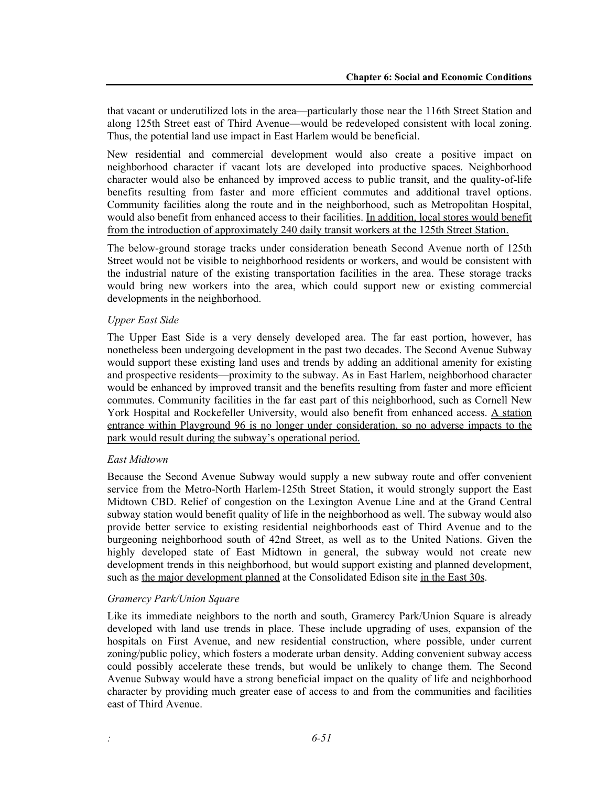that vacant or underutilized lots in the area—particularly those near the 116th Street Station and along 125th Street east of Third Avenue—would be redeveloped consistent with local zoning. Thus, the potential land use impact in East Harlem would be beneficial.

New residential and commercial development would also create a positive impact on neighborhood character if vacant lots are developed into productive spaces. Neighborhood character would also be enhanced by improved access to public transit, and the quality-of-life benefits resulting from faster and more efficient commutes and additional travel options. Community facilities along the route and in the neighborhood, such as Metropolitan Hospital, would also benefit from enhanced access to their facilities. In addition, local stores would benefit from the introduction of approximately 240 daily transit workers at the 125th Street Station.

The below-ground storage tracks under consideration beneath Second Avenue north of 125th Street would not be visible to neighborhood residents or workers, and would be consistent with the industrial nature of the existing transportation facilities in the area. These storage tracks would bring new workers into the area, which could support new or existing commercial developments in the neighborhood.

#### *Upper East Side*

The Upper East Side is a very densely developed area. The far east portion, however, has nonetheless been undergoing development in the past two decades. The Second Avenue Subway would support these existing land uses and trends by adding an additional amenity for existing and prospective residents—proximity to the subway. As in East Harlem, neighborhood character would be enhanced by improved transit and the benefits resulting from faster and more efficient commutes. Community facilities in the far east part of this neighborhood, such as Cornell New York Hospital and Rockefeller University, would also benefit from enhanced access. A station entrance within Playground 96 is no longer under consideration, so no adverse impacts to the park would result during the subway's operational period.

#### *East Midtown*

Because the Second Avenue Subway would supply a new subway route and offer convenient service from the Metro-North Harlem-125th Street Station, it would strongly support the East Midtown CBD. Relief of congestion on the Lexington Avenue Line and at the Grand Central subway station would benefit quality of life in the neighborhood as well. The subway would also provide better service to existing residential neighborhoods east of Third Avenue and to the burgeoning neighborhood south of 42nd Street, as well as to the United Nations. Given the highly developed state of East Midtown in general, the subway would not create new development trends in this neighborhood, but would support existing and planned development, such as the major development planned at the Consolidated Edison site in the East 30s.

#### *Gramercy Park/Union Square*

Like its immediate neighbors to the north and south, Gramercy Park/Union Square is already developed with land use trends in place. These include upgrading of uses, expansion of the hospitals on First Avenue, and new residential construction, where possible, under current zoning/public policy, which fosters a moderate urban density. Adding convenient subway access could possibly accelerate these trends, but would be unlikely to change them. The Second Avenue Subway would have a strong beneficial impact on the quality of life and neighborhood character by providing much greater ease of access to and from the communities and facilities east of Third Avenue.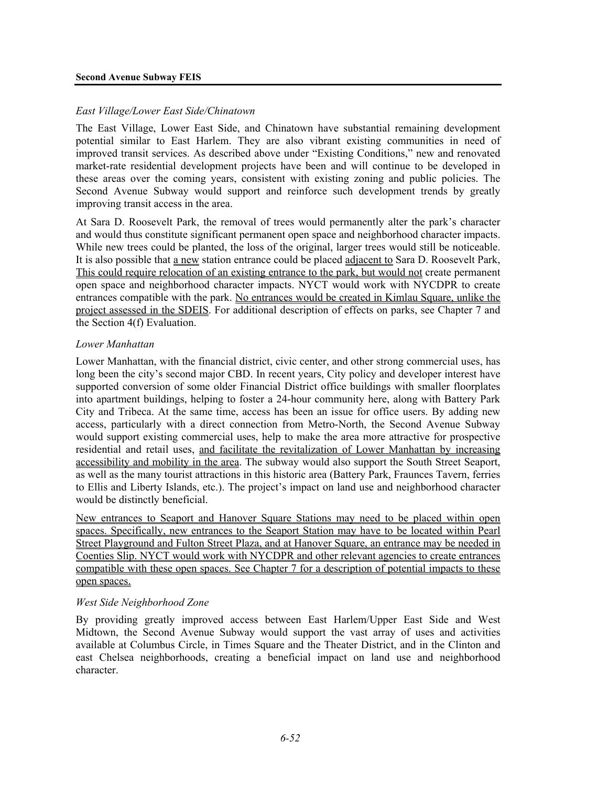#### **Second Avenue Subway FEIS**

#### *East Village/Lower East Side/Chinatown*

The East Village, Lower East Side, and Chinatown have substantial remaining development potential similar to East Harlem. They are also vibrant existing communities in need of improved transit services. As described above under "Existing Conditions," new and renovated market-rate residential development projects have been and will continue to be developed in these areas over the coming years, consistent with existing zoning and public policies. The Second Avenue Subway would support and reinforce such development trends by greatly improving transit access in the area.

At Sara D. Roosevelt Park, the removal of trees would permanently alter the park's character and would thus constitute significant permanent open space and neighborhood character impacts. While new trees could be planted, the loss of the original, larger trees would still be noticeable. It is also possible that a new station entrance could be placed adjacent to Sara D. Roosevelt Park, This could require relocation of an existing entrance to the park, but would not create permanent open space and neighborhood character impacts. NYCT would work with NYCDPR to create entrances compatible with the park. No entrances would be created in Kimlau Square, unlike the project assessed in the SDEIS. For additional description of effects on parks, see Chapter 7 and the Section 4(f) Evaluation.

#### *Lower Manhattan*

Lower Manhattan, with the financial district, civic center, and other strong commercial uses, has long been the city's second major CBD. In recent years, City policy and developer interest have supported conversion of some older Financial District office buildings with smaller floorplates into apartment buildings, helping to foster a 24-hour community here, along with Battery Park City and Tribeca. At the same time, access has been an issue for office users. By adding new access, particularly with a direct connection from Metro-North, the Second Avenue Subway would support existing commercial uses, help to make the area more attractive for prospective residential and retail uses, and facilitate the revitalization of Lower Manhattan by increasing accessibility and mobility in the area. The subway would also support the South Street Seaport, as well as the many tourist attractions in this historic area (Battery Park, Fraunces Tavern, ferries to Ellis and Liberty Islands, etc.). The project's impact on land use and neighborhood character would be distinctly beneficial.

New entrances to Seaport and Hanover Square Stations may need to be placed within open spaces. Specifically, new entrances to the Seaport Station may have to be located within Pearl Street Playground and Fulton Street Plaza, and at Hanover Square, an entrance may be needed in Coenties Slip. NYCT would work with NYCDPR and other relevant agencies to create entrances compatible with these open spaces. See Chapter 7 for a description of potential impacts to these open spaces.

#### *West Side Neighborhood Zone*

By providing greatly improved access between East Harlem/Upper East Side and West Midtown, the Second Avenue Subway would support the vast array of uses and activities available at Columbus Circle, in Times Square and the Theater District, and in the Clinton and east Chelsea neighborhoods, creating a beneficial impact on land use and neighborhood character.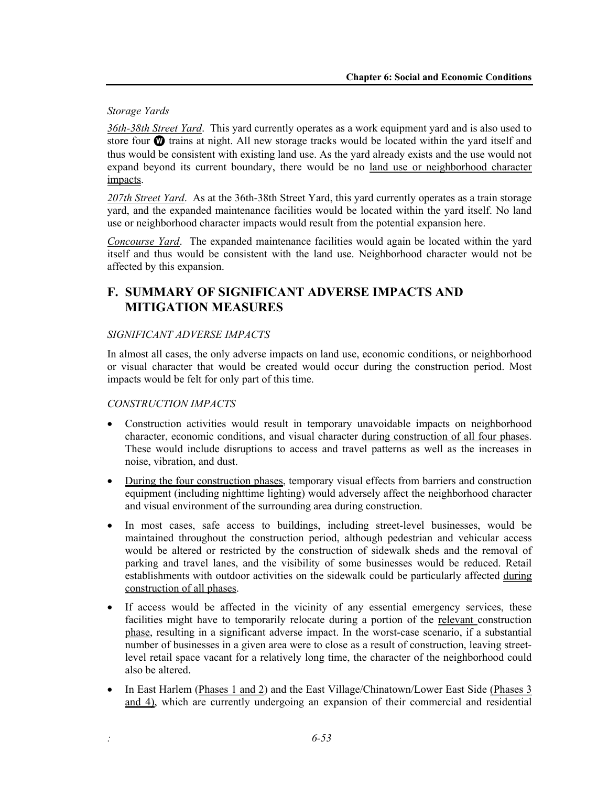#### *Storage Yards*

*36th-38th Street Yard*. This yard currently operates as a work equipment yard and is also used to store four **W** trains at night. All new storage tracks would be located within the yard itself and thus would be consistent with existing land use. As the yard already exists and the use would not expand beyond its current boundary, there would be no land use or neighborhood character impacts.

*207th Street Yard*. As at the 36th-38th Street Yard, this yard currently operates as a train storage yard, and the expanded maintenance facilities would be located within the yard itself. No land use or neighborhood character impacts would result from the potential expansion here.

*Concourse Yard*. The expanded maintenance facilities would again be located within the yard itself and thus would be consistent with the land use. Neighborhood character would not be affected by this expansion.

# **F. SUMMARY OF SIGNIFICANT ADVERSE IMPACTS AND MITIGATION MEASURES**

#### *SIGNIFICANT ADVERSE IMPACTS*

In almost all cases, the only adverse impacts on land use, economic conditions, or neighborhood or visual character that would be created would occur during the construction period. Most impacts would be felt for only part of this time.

#### *CONSTRUCTION IMPACTS*

- Construction activities would result in temporary unavoidable impacts on neighborhood character, economic conditions, and visual character during construction of all four phases. These would include disruptions to access and travel patterns as well as the increases in noise, vibration, and dust.
- During the four construction phases, temporary visual effects from barriers and construction equipment (including nighttime lighting) would adversely affect the neighborhood character and visual environment of the surrounding area during construction.
- In most cases, safe access to buildings, including street-level businesses, would be maintained throughout the construction period, although pedestrian and vehicular access would be altered or restricted by the construction of sidewalk sheds and the removal of parking and travel lanes, and the visibility of some businesses would be reduced. Retail establishments with outdoor activities on the sidewalk could be particularly affected during construction of all phases.
- If access would be affected in the vicinity of any essential emergency services, these facilities might have to temporarily relocate during a portion of the relevant construction phase, resulting in a significant adverse impact. In the worst-case scenario, if a substantial number of businesses in a given area were to close as a result of construction, leaving streetlevel retail space vacant for a relatively long time, the character of the neighborhood could also be altered.
- In East Harlem (Phases 1 and 2) and the East Village/Chinatown/Lower East Side (Phases 3 and 4), which are currently undergoing an expansion of their commercial and residential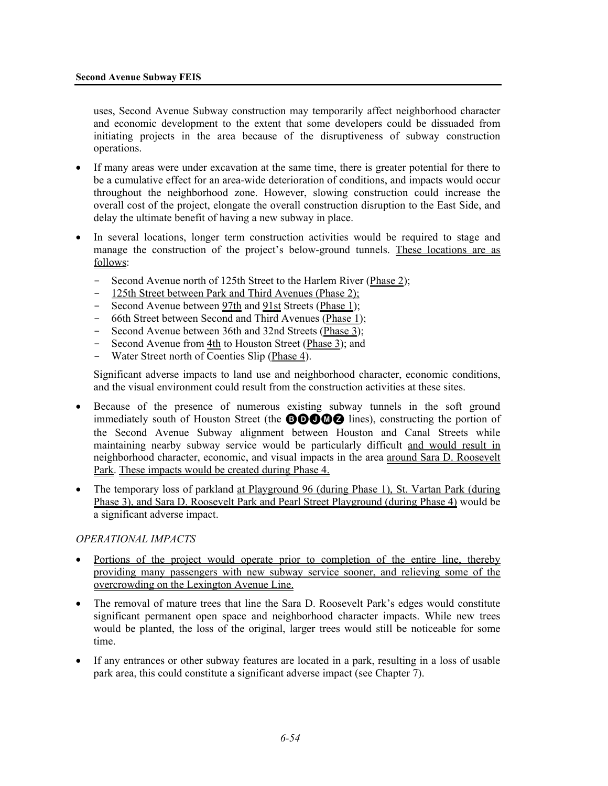uses, Second Avenue Subway construction may temporarily affect neighborhood character and economic development to the extent that some developers could be dissuaded from initiating projects in the area because of the disruptiveness of subway construction operations.

- If many areas were under excavation at the same time, there is greater potential for there to be a cumulative effect for an area-wide deterioration of conditions, and impacts would occur throughout the neighborhood zone. However, slowing construction could increase the overall cost of the project, elongate the overall construction disruption to the East Side, and delay the ultimate benefit of having a new subway in place.
- In several locations, longer term construction activities would be required to stage and manage the construction of the project's below-ground tunnels. These locations are as follows:
	- Second Avenue north of 125th Street to the Harlem River (Phase 2);
	- 125th Street between Park and Third Avenues (Phase 2);
	- Second Avenue between 97th and 91st Streets (Phase 1);
	- 66th Street between Second and Third Avenues (Phase 1);
	- Second Avenue between 36th and 32nd Streets (Phase 3);
	- Second Avenue from 4th to Houston Street (Phase 3); and
	- Water Street north of Coenties Slip (Phase 4).

Significant adverse impacts to land use and neighborhood character, economic conditions, and the visual environment could result from the construction activities at these sites.

- Because of the presence of numerous existing subway tunnels in the soft ground immediately south of Houston Street (the **BOOMZ** lines), constructing the portion of the Second Avenue Subway alignment between Houston and Canal Streets while maintaining nearby subway service would be particularly difficult and would result in neighborhood character, economic, and visual impacts in the area around Sara D. Roosevelt Park. These impacts would be created during Phase 4.
- The temporary loss of parkland at Playground 96 (during Phase 1), St. Vartan Park (during Phase 3), and Sara D. Roosevelt Park and Pearl Street Playground (during Phase 4) would be a significant adverse impact.

#### *OPERATIONAL IMPACTS*

- Portions of the project would operate prior to completion of the entire line, thereby providing many passengers with new subway service sooner, and relieving some of the overcrowding on the Lexington Avenue Line.
- The removal of mature trees that line the Sara D. Roosevelt Park's edges would constitute significant permanent open space and neighborhood character impacts. While new trees would be planted, the loss of the original, larger trees would still be noticeable for some time.
- If any entrances or other subway features are located in a park, resulting in a loss of usable park area, this could constitute a significant adverse impact (see Chapter 7).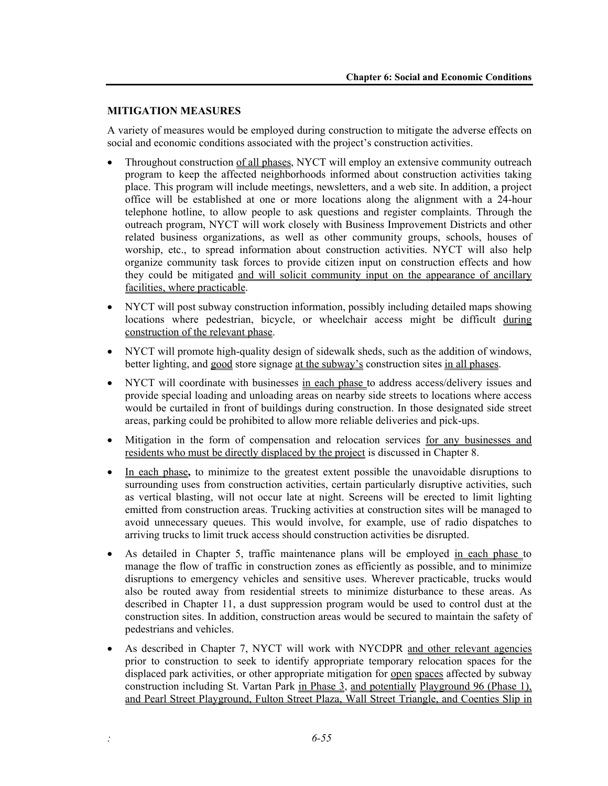#### **MITIGATION MEASURES**

A variety of measures would be employed during construction to mitigate the adverse effects on social and economic conditions associated with the project's construction activities.

- Throughout construction of all phases, NYCT will employ an extensive community outreach program to keep the affected neighborhoods informed about construction activities taking place. This program will include meetings, newsletters, and a web site. In addition, a project office will be established at one or more locations along the alignment with a 24-hour telephone hotline, to allow people to ask questions and register complaints. Through the outreach program, NYCT will work closely with Business Improvement Districts and other related business organizations, as well as other community groups, schools, houses of worship, etc., to spread information about construction activities. NYCT will also help organize community task forces to provide citizen input on construction effects and how they could be mitigated and will solicit community input on the appearance of ancillary facilities, where practicable.
- NYCT will post subway construction information, possibly including detailed maps showing locations where pedestrian, bicycle, or wheelchair access might be difficult during construction of the relevant phase.
- NYCT will promote high-quality design of sidewalk sheds, such as the addition of windows, better lighting, and good store signage at the subway's construction sites in all phases.
- NYCT will coordinate with businesses in each phase to address access/delivery issues and provide special loading and unloading areas on nearby side streets to locations where access would be curtailed in front of buildings during construction. In those designated side street areas, parking could be prohibited to allow more reliable deliveries and pick-ups.
- Mitigation in the form of compensation and relocation services for any businesses and residents who must be directly displaced by the project is discussed in Chapter 8.
- In each phase**,** to minimize to the greatest extent possible the unavoidable disruptions to surrounding uses from construction activities, certain particularly disruptive activities, such as vertical blasting, will not occur late at night. Screens will be erected to limit lighting emitted from construction areas. Trucking activities at construction sites will be managed to avoid unnecessary queues. This would involve, for example, use of radio dispatches to arriving trucks to limit truck access should construction activities be disrupted.
- As detailed in Chapter 5, traffic maintenance plans will be employed in each phase to manage the flow of traffic in construction zones as efficiently as possible, and to minimize disruptions to emergency vehicles and sensitive uses. Wherever practicable, trucks would also be routed away from residential streets to minimize disturbance to these areas. As described in Chapter 11, a dust suppression program would be used to control dust at the construction sites. In addition, construction areas would be secured to maintain the safety of pedestrians and vehicles.
- As described in Chapter 7, NYCT will work with NYCDPR and other relevant agencies prior to construction to seek to identify appropriate temporary relocation spaces for the displaced park activities, or other appropriate mitigation for open spaces affected by subway construction including St. Vartan Park in Phase 3, and potentially Playground 96 (Phase 1), and Pearl Street Playground, Fulton Street Plaza, Wall Street Triangle, and Coenties Slip in